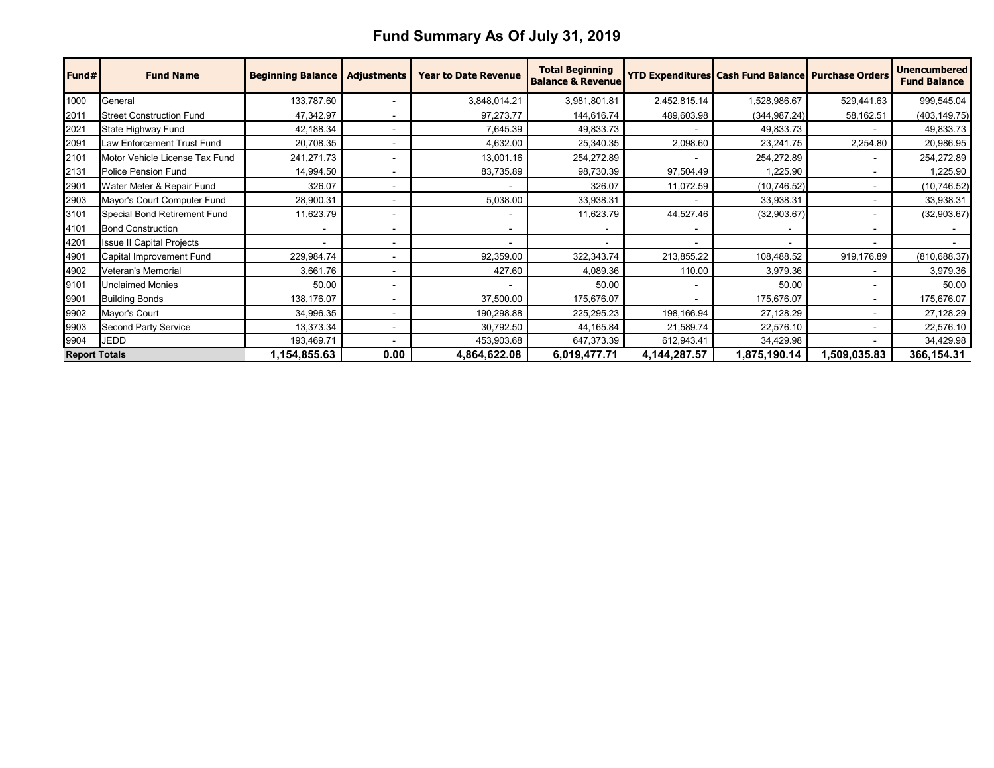## **Fund Summary As Of July 31, 2019**

| Fund#                | <b>Fund Name</b>                 | <b>Beginning Balance</b> | <b>Adjustments</b> | <b>Year to Date Revenue</b> | <b>Total Beginning</b><br><b>Balance &amp; Revenue</b> |                 | <b>YTD Expenditures Cash Fund Balance Purchase Orders</b> |              | <b>Unencumbered</b><br><b>Fund Balance</b> |
|----------------------|----------------------------------|--------------------------|--------------------|-----------------------------|--------------------------------------------------------|-----------------|-----------------------------------------------------------|--------------|--------------------------------------------|
| 1000                 | General                          | 133,787.60               |                    | 3,848,014.21                | 3,981,801.81                                           | 2,452,815.14    | 1,528,986.67                                              | 529,441.63   | 999,545.04                                 |
| 2011                 | <b>Street Construction Fund</b>  | 47,342.97                |                    | 97,273.77                   | 144,616.74                                             | 489,603.98      | (344, 987.24)                                             | 58,162.51    | (403, 149.75)                              |
| 2021                 | State Highway Fund               | 42,188.34                |                    | 7,645.39                    | 49,833.73                                              |                 | 49,833.73                                                 |              | 49,833.73                                  |
| 2091                 | Law Enforcement Trust Fund       | 20,708.35                |                    | 4,632.00                    | 25,340.35                                              | 2,098.60        | 23,241.75                                                 | 2,254.80     | 20,986.95                                  |
| 2101                 | Motor Vehicle License Tax Fund   | 241,271.73               |                    | 13,001.16                   | 254,272.89                                             | $\blacksquare$  | 254,272.89                                                |              | 254,272.89                                 |
| 2131                 | Police Pension Fund              | 14,994.50                |                    | 83,735.89                   | 98,730.39                                              | 97,504.49       | 1,225.90                                                  |              | 1,225.90                                   |
| 2901                 | Water Meter & Repair Fund        | 326.07                   |                    |                             | 326.07                                                 | 11,072.59       | (10,746.52)                                               |              | (10, 746.52)                               |
| 2903                 | Mayor's Court Computer Fund      | 28,900.31                |                    | 5,038.00                    | 33,938.31                                              |                 | 33,938.31                                                 |              | 33,938.31                                  |
| 3101                 | Special Bond Retirement Fund     | 11,623.79                | $\sim$             |                             | 11,623.79                                              | 44,527.46       | (32,903.67)                                               |              | (32,903.67)                                |
| 4101                 | <b>Bond Construction</b>         |                          |                    |                             |                                                        | $\blacksquare$  |                                                           |              |                                            |
| 4201                 | <b>Issue II Capital Projects</b> |                          |                    |                             |                                                        | $\blacksquare$  |                                                           |              |                                            |
| 4901                 | Capital Improvement Fund         | 229,984.74               |                    | 92,359.00                   | 322,343.74                                             | 213,855.22      | 108,488.52                                                | 919,176.89   | (810, 688.37)                              |
| 4902                 | Veteran's Memorial               | 3,661.76                 |                    | 427.60                      | 4,089.36                                               | 110.00          | 3,979.36                                                  |              | 3,979.36                                   |
| 9101                 | <b>Unclaimed Monies</b>          | 50.00                    |                    |                             | 50.00                                                  | $\blacksquare$  | 50.00                                                     |              | 50.00                                      |
| 9901                 | <b>Building Bonds</b>            | 138,176.07               |                    | 37,500.00                   | 175,676.07                                             |                 | 175,676.07                                                |              | 175,676.07                                 |
| 9902                 | Mayor's Court                    | 34,996.35                |                    | 190,298.88                  | 225,295.23                                             | 198,166.94      | 27,128.29                                                 |              | 27,128.29                                  |
| 9903                 | Second Party Service             | 13,373.34                |                    | 30,792.50                   | 44,165.84                                              | 21,589.74       | 22,576.10                                                 |              | 22,576.10                                  |
| 9904                 | JEDD                             | 193,469.71               |                    | 453,903.68                  | 647,373.39                                             | 612,943.41      | 34,429.98                                                 |              | 34,429.98                                  |
| <b>Report Totals</b> |                                  | 1,154,855.63             | 0.00               | 4,864,622.08                | 6,019,477.71                                           | 4, 144, 287. 57 | 1,875,190.14                                              | 1,509,035.83 | 366,154.31                                 |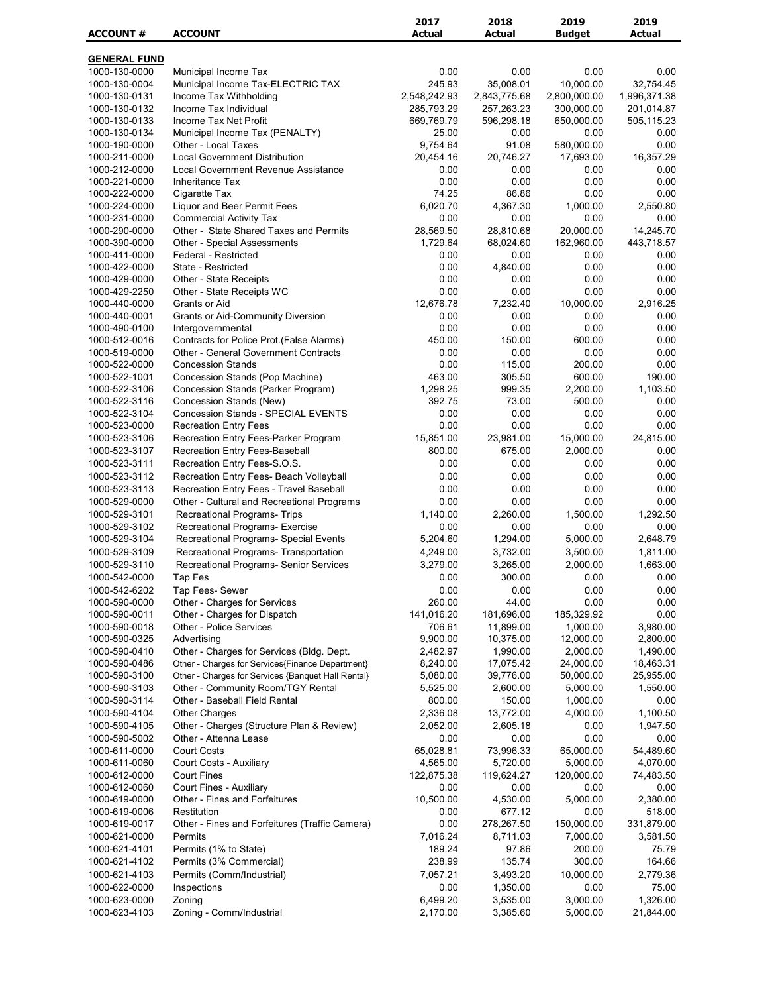| <b>ACCOUNT #</b>               | <b>ACCOUNT</b>                                                                        | 2017<br><b>Actual</b> | 2018<br><b>Actual</b>   | 2019<br><b>Budget</b>  | 2019<br>Actual    |
|--------------------------------|---------------------------------------------------------------------------------------|-----------------------|-------------------------|------------------------|-------------------|
|                                |                                                                                       |                       |                         |                        |                   |
| <b>GENERAL FUND</b>            |                                                                                       |                       |                         |                        |                   |
| 1000-130-0000<br>1000-130-0004 | Municipal Income Tax<br>Municipal Income Tax-ELECTRIC TAX                             | 0.00<br>245.93        | 0.00<br>35,008.01       | 0.00<br>10,000.00      | 0.00<br>32.754.45 |
| 1000-130-0131                  | Income Tax Withholding                                                                | 2,548,242.93          | 2,843,775.68            | 2,800,000.00           | 1,996,371.38      |
| 1000-130-0132                  | Income Tax Individual                                                                 | 285,793.29            | 257,263.23              | 300,000.00             | 201,014.87        |
| 1000-130-0133                  | Income Tax Net Profit                                                                 | 669,769.79            | 596,298.18              | 650,000.00             | 505,115.23        |
| 1000-130-0134                  | Municipal Income Tax (PENALTY)                                                        | 25.00                 | 0.00                    | 0.00                   | 0.00              |
| 1000-190-0000                  | Other - Local Taxes                                                                   | 9,754.64              | 91.08                   | 580,000.00             | 0.00              |
| 1000-211-0000                  | <b>Local Government Distribution</b>                                                  | 20,454.16             | 20,746.27               | 17,693.00              | 16,357.29         |
| 1000-212-0000<br>1000-221-0000 | Local Government Revenue Assistance<br>Inheritance Tax                                | 0.00<br>0.00          | 0.00<br>0.00            | 0.00<br>0.00           | 0.00<br>0.00      |
| 1000-222-0000                  | Cigarette Tax                                                                         | 74.25                 | 86.86                   | 0.00                   | 0.00              |
| 1000-224-0000                  | Liquor and Beer Permit Fees                                                           | 6,020.70              | 4,367.30                | 1,000.00               | 2,550.80          |
| 1000-231-0000                  | <b>Commercial Activity Tax</b>                                                        | 0.00                  | 0.00                    | 0.00                   | 0.00              |
| 1000-290-0000                  | Other - State Shared Taxes and Permits                                                | 28,569.50             | 28,810.68               | 20,000.00              | 14,245.70         |
| 1000-390-0000                  | <b>Other - Special Assessments</b>                                                    | 1,729.64              | 68,024.60               | 162,960.00             | 443,718.57        |
| 1000-411-0000                  | Federal - Restricted                                                                  | 0.00                  | 0.00                    | 0.00                   | 0.00              |
| 1000-422-0000<br>1000-429-0000 | State - Restricted<br>Other - State Receipts                                          | 0.00<br>0.00          | 4,840.00<br>0.00        | 0.00<br>0.00           | 0.00<br>0.00      |
| 1000-429-2250                  | Other - State Receipts WC                                                             | 0.00                  | 0.00                    | 0.00                   | 0.00              |
| 1000-440-0000                  | Grants or Aid                                                                         | 12,676.78             | 7,232.40                | 10,000.00              | 2,916.25          |
| 1000-440-0001                  | <b>Grants or Aid-Community Diversion</b>                                              | 0.00                  | 0.00                    | 0.00                   | 0.00              |
| 1000-490-0100                  | Intergovernmental                                                                     | 0.00                  | 0.00                    | 0.00                   | 0.00              |
| 1000-512-0016                  | Contracts for Police Prot.(False Alarms)                                              | 450.00                | 150.00                  | 600.00                 | 0.00              |
| 1000-519-0000                  | <b>Other - General Government Contracts</b>                                           | 0.00                  | 0.00                    | 0.00                   | 0.00              |
| 1000-522-0000<br>1000-522-1001 | <b>Concession Stands</b>                                                              | 0.00                  | 115.00                  | 200.00<br>600.00       | 0.00<br>190.00    |
| 1000-522-3106                  | Concession Stands (Pop Machine)<br>Concession Stands (Parker Program)                 | 463.00<br>1,298.25    | 305.50<br>999.35        | 2,200.00               | 1,103.50          |
| 1000-522-3116                  | Concession Stands (New)                                                               | 392.75                | 73.00                   | 500.00                 | 0.00              |
| 1000-522-3104                  | <b>Concession Stands - SPECIAL EVENTS</b>                                             | 0.00                  | 0.00                    | 0.00                   | 0.00              |
| 1000-523-0000                  | <b>Recreation Entry Fees</b>                                                          | 0.00                  | 0.00                    | 0.00                   | 0.00              |
| 1000-523-3106                  | Recreation Entry Fees-Parker Program                                                  | 15,851.00             | 23,981.00               | 15,000.00              | 24,815.00         |
| 1000-523-3107                  | Recreation Entry Fees-Baseball                                                        | 800.00                | 675.00                  | 2,000.00               | 0.00              |
| 1000-523-3111                  | Recreation Entry Fees-S.O.S.                                                          | 0.00                  | 0.00                    | 0.00                   | 0.00              |
| 1000-523-3112                  | Recreation Entry Fees- Beach Volleyball                                               | 0.00                  | 0.00                    | 0.00                   | 0.00              |
| 1000-523-3113<br>1000-529-0000 | Recreation Entry Fees - Travel Baseball<br>Other - Cultural and Recreational Programs | 0.00<br>0.00          | 0.00<br>0.00            | 0.00<br>0.00           | 0.00<br>0.00      |
| 1000-529-3101                  | <b>Recreational Programs- Trips</b>                                                   | 1,140.00              | 2,260.00                | 1,500.00               | 1,292.50          |
| 1000-529-3102                  | <b>Recreational Programs- Exercise</b>                                                | 0.00                  | 0.00                    | 0.00                   | 0.00              |
| 1000-529-3104                  | Recreational Programs- Special Events                                                 | 5,204.60              | 1,294.00                | 5,000.00               | 2,648.79          |
| 1000-529-3109                  | Recreational Programs- Transportation                                                 | 4,249.00              | 3,732.00                | 3,500.00               | 1,811.00          |
| 1000-529-3110                  | <b>Recreational Programs- Senior Services</b>                                         | 3,279.00              | 3,265.00                | 2,000.00               | 1,663.00          |
| 1000-542-0000                  | <b>Tap Fes</b>                                                                        | 0.00                  | 300.00                  | 0.00                   | 0.00              |
| 1000-542-6202                  | Tap Fees- Sewer                                                                       | 0.00                  | 0.00                    | 0.00                   | 0.00              |
| 1000-590-0000                  | Other - Charges for Services                                                          | 260.00                | 44.00                   | 0.00                   | 0.00              |
| 1000-590-0011<br>1000-590-0018 | Other - Charges for Dispatch<br>Other - Police Services                               | 141,016.20<br>706.61  | 181,696.00<br>11,899.00 | 185,329.92<br>1,000.00 | 0.00<br>3,980.00  |
| 1000-590-0325                  | Advertising                                                                           | 9,900.00              | 10,375.00               | 12,000.00              | 2,800.00          |
| 1000-590-0410                  | Other - Charges for Services (Bldg. Dept.                                             | 2,482.97              | 1,990.00                | 2,000.00               | 1,490.00          |
| 1000-590-0486                  | Other - Charges for Services{Finance Department}                                      | 8,240.00              | 17,075.42               | 24,000.00              | 18,463.31         |
| 1000-590-3100                  | Other - Charges for Services {Banquet Hall Rental}                                    | 5,080.00              | 39,776.00               | 50,000.00              | 25,955.00         |
| 1000-590-3103                  | Other - Community Room/TGY Rental                                                     | 5,525.00              | 2,600.00                | 5,000.00               | 1,550.00          |
| 1000-590-3114                  | Other - Baseball Field Rental                                                         | 800.00                | 150.00                  | 1,000.00               | 0.00              |
| 1000-590-4104                  | <b>Other Charges</b>                                                                  | 2,336.08              | 13,772.00               | 4,000.00               | 1,100.50          |
| 1000-590-4105<br>1000-590-5002 | Other - Charges (Structure Plan & Review)<br>Other - Attenna Lease                    | 2,052.00<br>0.00      | 2,605.18<br>0.00        | 0.00<br>0.00           | 1,947.50<br>0.00  |
| 1000-611-0000                  | <b>Court Costs</b>                                                                    | 65,028.81             | 73,996.33               | 65,000.00              | 54,489.60         |
| 1000-611-0060                  | Court Costs - Auxiliary                                                               | 4,565.00              | 5,720.00                | 5,000.00               | 4,070.00          |
| 1000-612-0000                  | <b>Court Fines</b>                                                                    | 122,875.38            | 119,624.27              | 120,000.00             | 74,483.50         |
| 1000-612-0060                  | Court Fines - Auxiliary                                                               | 0.00                  | 0.00                    | 0.00                   | 0.00              |
| 1000-619-0000                  | Other - Fines and Forfeitures                                                         | 10,500.00             | 4,530.00                | 5,000.00               | 2,380.00          |
| 1000-619-0006                  | Restitution                                                                           | 0.00                  | 677.12                  | 0.00                   | 518.00            |
| 1000-619-0017                  | Other - Fines and Forfeitures (Traffic Camera)                                        | 0.00                  | 278,267.50              | 150,000.00             | 331,879.00        |
| 1000-621-0000<br>1000-621-4101 | Permits<br>Permits (1% to State)                                                      | 7,016.24<br>189.24    | 8,711.03<br>97.86       | 7,000.00<br>200.00     | 3,581.50<br>75.79 |
| 1000-621-4102                  | Permits (3% Commercial)                                                               | 238.99                | 135.74                  | 300.00                 | 164.66            |
| 1000-621-4103                  | Permits (Comm/Industrial)                                                             | 7,057.21              | 3,493.20                | 10,000.00              | 2,779.36          |
| 1000-622-0000                  | Inspections                                                                           | 0.00                  | 1,350.00                | 0.00                   | 75.00             |
| 1000-623-0000                  | Zoning                                                                                | 6,499.20              | 3,535.00                | 3,000.00               | 1,326.00          |
| 1000-623-4103                  | Zoning - Comm/Industrial                                                              | 2,170.00              | 3,385.60                | 5,000.00               | 21,844.00         |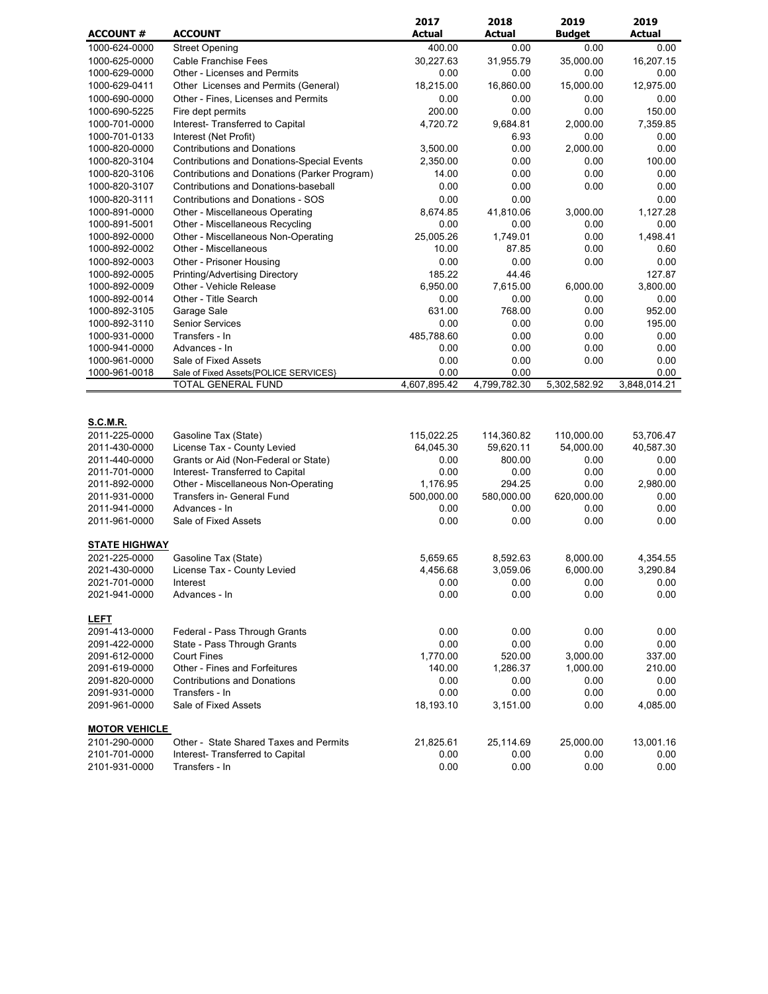| <b>ACCOUNT</b><br><b>Actual</b><br><b>Actual</b><br><b>Actual</b><br><b>ACCOUNT #</b><br><b>Budget</b><br>1000-624-0000<br><b>Street Opening</b><br>400.00<br>0.00<br>0.00<br>0.00<br>16,207.15<br><b>Cable Franchise Fees</b><br>30,227.63<br>31,955.79<br>35,000.00<br>1000-625-0000<br><b>Other - Licenses and Permits</b><br>0.00<br>0.00<br>1000-629-0000<br>0.00<br>0.00<br>1000-629-0411<br>Other Licenses and Permits (General)<br>18,215.00<br>16,860.00<br>15,000.00<br>12.975.00<br>0.00<br>0.00<br>0.00<br>0.00<br>1000-690-0000<br>Other - Fines, Licenses and Permits<br>Fire dept permits<br>200.00<br>0.00<br>0.00<br>150.00<br>1000-690-5225<br>1000-701-0000<br>Interest- Transferred to Capital<br>4,720.72<br>9,684.81<br>2,000.00<br>7,359.85<br>1000-701-0133<br>Interest (Net Profit)<br>6.93<br>0.00<br>0.00<br>0.00<br>2,000.00<br>0.00<br>1000-820-0000<br><b>Contributions and Donations</b><br>3,500.00<br>0.00<br>100.00<br>1000-820-3104<br><b>Contributions and Donations-Special Events</b><br>2,350.00<br>0.00<br>Contributions and Donations (Parker Program)<br>14.00<br>0.00<br>0.00<br>1000-820-3106<br>Contributions and Donations-baseball<br>0.00<br>0.00<br>1000-820-3107<br>0.00<br>1000-820-3111<br><b>Contributions and Donations - SOS</b><br>0.00<br>0.00<br>1000-891-0000<br>Other - Miscellaneous Operating<br>8,674.85<br>41,810.06<br>3,000.00<br>Other - Miscellaneous Recycling<br>0.00<br>0.00<br>1000-891-5001<br>0.00<br>Other - Miscellaneous Non-Operating<br>25,005.26<br>1,749.01<br>0.00<br>1000-892-0000<br>10.00<br>87.85<br>0.00<br>1000-892-0002<br>Other - Miscellaneous<br>Other - Prisoner Housing<br>0.00<br>0.00<br>0.00<br>1000-892-0003<br>185.22<br>1000-892-0005<br>Printing/Advertising Directory<br>44.46<br>Other - Vehicle Release<br>6,950.00<br>7,615.00<br>6,000.00<br>1000-892-0009<br>Other - Title Search<br>0.00<br>0.00<br>0.00<br>1000-892-0014<br>Garage Sale<br>768.00<br>1000-892-3105<br>631.00<br>0.00<br><b>Senior Services</b><br>0.00<br>0.00<br>0.00<br>1000-892-3110<br>1000-931-0000<br>Transfers - In<br>485,788.60<br>0.00<br>0.00<br>Advances - In<br>0.00<br>0.00<br>1000-941-0000<br>0.00<br>1000-961-0000<br>Sale of Fixed Assets<br>0.00<br>0.00<br>0.00<br>0.00<br>0.00<br>1000-961-0018<br>Sale of Fixed Assets{POLICE SERVICES}<br>4,607,895.42<br>4,799,782.30<br>3,848,014.21<br>TOTAL GENERAL FUND<br>5,302,582.92<br><b>S.C.M.R.</b><br>115,022.25<br>110,000.00<br>2011-225-0000<br>Gasoline Tax (State)<br>114,360.82<br>53,706.47<br>2011-430-0000<br>License Tax - County Levied<br>64,045.30<br>59,620.11<br>54,000.00<br>40,587.30<br>Grants or Aid (Non-Federal or State)<br>2011-440-0000<br>0.00<br>800.00<br>0.00<br>0.00<br>Interest- Transferred to Capital<br>0.00<br>0.00<br>0.00<br>2011-701-0000<br>0.00<br>Other - Miscellaneous Non-Operating<br>1,176.95<br>294.25<br>0.00<br>2,980.00<br>2011-892-0000<br>2011-931-0000<br>Transfers in- General Fund<br>500,000.00<br>580,000.00<br>620,000.00<br>0.00<br>Advances - In<br>0.00<br>2011-941-0000<br>0.00<br>0.00<br>0.00<br>2011-961-0000<br>Sale of Fixed Assets<br>0.00<br>0.00<br>0.00<br><b>STATE HIGHWAY</b><br>2021-225-0000<br>Gasoline Tax (State)<br>5,659.65<br>8,592.63<br>8,000.00<br>2021-430-0000<br>3,059.06<br>6,000.00<br>License Tax - County Levied<br>4,456.68<br>2021-701-0000<br>Interest<br>0.00<br>0.00<br>0.00<br>2021-941-0000<br>0.00<br>0.00<br>0.00<br>Advances - In<br><b>LEFT</b><br>2091-413-0000<br>0.00<br>0.00<br>0.00<br>Federal - Pass Through Grants<br>0.00<br>2091-422-0000<br>0.00<br>0.00<br>State - Pass Through Grants<br><b>Court Fines</b><br>1,770.00<br>520.00<br>3,000.00<br>2091-612-0000<br>Other - Fines and Forfeitures<br>140.00<br>2091-619-0000<br>1,286.37<br>1,000.00<br><b>Contributions and Donations</b><br>2091-820-0000<br>0.00<br>0.00<br>0.00<br>Transfers - In<br>0.00<br>0.00<br>0.00<br>2091-931-0000 |               |                      | 2017      | 2018     | 2019 | 2019         |
|---------------------------------------------------------------------------------------------------------------------------------------------------------------------------------------------------------------------------------------------------------------------------------------------------------------------------------------------------------------------------------------------------------------------------------------------------------------------------------------------------------------------------------------------------------------------------------------------------------------------------------------------------------------------------------------------------------------------------------------------------------------------------------------------------------------------------------------------------------------------------------------------------------------------------------------------------------------------------------------------------------------------------------------------------------------------------------------------------------------------------------------------------------------------------------------------------------------------------------------------------------------------------------------------------------------------------------------------------------------------------------------------------------------------------------------------------------------------------------------------------------------------------------------------------------------------------------------------------------------------------------------------------------------------------------------------------------------------------------------------------------------------------------------------------------------------------------------------------------------------------------------------------------------------------------------------------------------------------------------------------------------------------------------------------------------------------------------------------------------------------------------------------------------------------------------------------------------------------------------------------------------------------------------------------------------------------------------------------------------------------------------------------------------------------------------------------------------------------------------------------------------------------------------------------------------------------------------------------------------------------------------------------------------------------------------------------------------------------------------------------------------------------------------------------------------------------------------------------------------------------------------------------------------------------------------------------------------------------------------------------------------------------------------------------------------------------------------------------------------------------------------------------------------------------------------------------------------------------------------------------------------------------------------------------------------------------------------------------------------------------------------------------------------------------------------------------------------------------------------------------------------------------------------------------------------------------------------------------------------------------------------------------------------------------------------------------------------------------------------------------------------------------------------------------------------------------------------------------------------------------------------------------------------------------------------------------------------|---------------|----------------------|-----------|----------|------|--------------|
|                                                                                                                                                                                                                                                                                                                                                                                                                                                                                                                                                                                                                                                                                                                                                                                                                                                                                                                                                                                                                                                                                                                                                                                                                                                                                                                                                                                                                                                                                                                                                                                                                                                                                                                                                                                                                                                                                                                                                                                                                                                                                                                                                                                                                                                                                                                                                                                                                                                                                                                                                                                                                                                                                                                                                                                                                                                                                                                                                                                                                                                                                                                                                                                                                                                                                                                                                                                                                                                                                                                                                                                                                                                                                                                                                                                                                                                                                                                                                               |               |                      |           |          |      |              |
|                                                                                                                                                                                                                                                                                                                                                                                                                                                                                                                                                                                                                                                                                                                                                                                                                                                                                                                                                                                                                                                                                                                                                                                                                                                                                                                                                                                                                                                                                                                                                                                                                                                                                                                                                                                                                                                                                                                                                                                                                                                                                                                                                                                                                                                                                                                                                                                                                                                                                                                                                                                                                                                                                                                                                                                                                                                                                                                                                                                                                                                                                                                                                                                                                                                                                                                                                                                                                                                                                                                                                                                                                                                                                                                                                                                                                                                                                                                                                               |               |                      |           |          |      |              |
|                                                                                                                                                                                                                                                                                                                                                                                                                                                                                                                                                                                                                                                                                                                                                                                                                                                                                                                                                                                                                                                                                                                                                                                                                                                                                                                                                                                                                                                                                                                                                                                                                                                                                                                                                                                                                                                                                                                                                                                                                                                                                                                                                                                                                                                                                                                                                                                                                                                                                                                                                                                                                                                                                                                                                                                                                                                                                                                                                                                                                                                                                                                                                                                                                                                                                                                                                                                                                                                                                                                                                                                                                                                                                                                                                                                                                                                                                                                                                               |               |                      |           |          |      |              |
|                                                                                                                                                                                                                                                                                                                                                                                                                                                                                                                                                                                                                                                                                                                                                                                                                                                                                                                                                                                                                                                                                                                                                                                                                                                                                                                                                                                                                                                                                                                                                                                                                                                                                                                                                                                                                                                                                                                                                                                                                                                                                                                                                                                                                                                                                                                                                                                                                                                                                                                                                                                                                                                                                                                                                                                                                                                                                                                                                                                                                                                                                                                                                                                                                                                                                                                                                                                                                                                                                                                                                                                                                                                                                                                                                                                                                                                                                                                                                               |               |                      |           |          |      |              |
|                                                                                                                                                                                                                                                                                                                                                                                                                                                                                                                                                                                                                                                                                                                                                                                                                                                                                                                                                                                                                                                                                                                                                                                                                                                                                                                                                                                                                                                                                                                                                                                                                                                                                                                                                                                                                                                                                                                                                                                                                                                                                                                                                                                                                                                                                                                                                                                                                                                                                                                                                                                                                                                                                                                                                                                                                                                                                                                                                                                                                                                                                                                                                                                                                                                                                                                                                                                                                                                                                                                                                                                                                                                                                                                                                                                                                                                                                                                                                               |               |                      |           |          |      |              |
|                                                                                                                                                                                                                                                                                                                                                                                                                                                                                                                                                                                                                                                                                                                                                                                                                                                                                                                                                                                                                                                                                                                                                                                                                                                                                                                                                                                                                                                                                                                                                                                                                                                                                                                                                                                                                                                                                                                                                                                                                                                                                                                                                                                                                                                                                                                                                                                                                                                                                                                                                                                                                                                                                                                                                                                                                                                                                                                                                                                                                                                                                                                                                                                                                                                                                                                                                                                                                                                                                                                                                                                                                                                                                                                                                                                                                                                                                                                                                               |               |                      |           |          |      |              |
|                                                                                                                                                                                                                                                                                                                                                                                                                                                                                                                                                                                                                                                                                                                                                                                                                                                                                                                                                                                                                                                                                                                                                                                                                                                                                                                                                                                                                                                                                                                                                                                                                                                                                                                                                                                                                                                                                                                                                                                                                                                                                                                                                                                                                                                                                                                                                                                                                                                                                                                                                                                                                                                                                                                                                                                                                                                                                                                                                                                                                                                                                                                                                                                                                                                                                                                                                                                                                                                                                                                                                                                                                                                                                                                                                                                                                                                                                                                                                               |               |                      |           |          |      |              |
|                                                                                                                                                                                                                                                                                                                                                                                                                                                                                                                                                                                                                                                                                                                                                                                                                                                                                                                                                                                                                                                                                                                                                                                                                                                                                                                                                                                                                                                                                                                                                                                                                                                                                                                                                                                                                                                                                                                                                                                                                                                                                                                                                                                                                                                                                                                                                                                                                                                                                                                                                                                                                                                                                                                                                                                                                                                                                                                                                                                                                                                                                                                                                                                                                                                                                                                                                                                                                                                                                                                                                                                                                                                                                                                                                                                                                                                                                                                                                               |               |                      |           |          |      |              |
|                                                                                                                                                                                                                                                                                                                                                                                                                                                                                                                                                                                                                                                                                                                                                                                                                                                                                                                                                                                                                                                                                                                                                                                                                                                                                                                                                                                                                                                                                                                                                                                                                                                                                                                                                                                                                                                                                                                                                                                                                                                                                                                                                                                                                                                                                                                                                                                                                                                                                                                                                                                                                                                                                                                                                                                                                                                                                                                                                                                                                                                                                                                                                                                                                                                                                                                                                                                                                                                                                                                                                                                                                                                                                                                                                                                                                                                                                                                                                               |               |                      |           |          |      |              |
|                                                                                                                                                                                                                                                                                                                                                                                                                                                                                                                                                                                                                                                                                                                                                                                                                                                                                                                                                                                                                                                                                                                                                                                                                                                                                                                                                                                                                                                                                                                                                                                                                                                                                                                                                                                                                                                                                                                                                                                                                                                                                                                                                                                                                                                                                                                                                                                                                                                                                                                                                                                                                                                                                                                                                                                                                                                                                                                                                                                                                                                                                                                                                                                                                                                                                                                                                                                                                                                                                                                                                                                                                                                                                                                                                                                                                                                                                                                                                               |               |                      |           |          |      |              |
|                                                                                                                                                                                                                                                                                                                                                                                                                                                                                                                                                                                                                                                                                                                                                                                                                                                                                                                                                                                                                                                                                                                                                                                                                                                                                                                                                                                                                                                                                                                                                                                                                                                                                                                                                                                                                                                                                                                                                                                                                                                                                                                                                                                                                                                                                                                                                                                                                                                                                                                                                                                                                                                                                                                                                                                                                                                                                                                                                                                                                                                                                                                                                                                                                                                                                                                                                                                                                                                                                                                                                                                                                                                                                                                                                                                                                                                                                                                                                               |               |                      |           |          |      | 0.00         |
|                                                                                                                                                                                                                                                                                                                                                                                                                                                                                                                                                                                                                                                                                                                                                                                                                                                                                                                                                                                                                                                                                                                                                                                                                                                                                                                                                                                                                                                                                                                                                                                                                                                                                                                                                                                                                                                                                                                                                                                                                                                                                                                                                                                                                                                                                                                                                                                                                                                                                                                                                                                                                                                                                                                                                                                                                                                                                                                                                                                                                                                                                                                                                                                                                                                                                                                                                                                                                                                                                                                                                                                                                                                                                                                                                                                                                                                                                                                                                               |               |                      |           |          |      | 0.00         |
|                                                                                                                                                                                                                                                                                                                                                                                                                                                                                                                                                                                                                                                                                                                                                                                                                                                                                                                                                                                                                                                                                                                                                                                                                                                                                                                                                                                                                                                                                                                                                                                                                                                                                                                                                                                                                                                                                                                                                                                                                                                                                                                                                                                                                                                                                                                                                                                                                                                                                                                                                                                                                                                                                                                                                                                                                                                                                                                                                                                                                                                                                                                                                                                                                                                                                                                                                                                                                                                                                                                                                                                                                                                                                                                                                                                                                                                                                                                                                               |               |                      |           |          |      | 0.00         |
|                                                                                                                                                                                                                                                                                                                                                                                                                                                                                                                                                                                                                                                                                                                                                                                                                                                                                                                                                                                                                                                                                                                                                                                                                                                                                                                                                                                                                                                                                                                                                                                                                                                                                                                                                                                                                                                                                                                                                                                                                                                                                                                                                                                                                                                                                                                                                                                                                                                                                                                                                                                                                                                                                                                                                                                                                                                                                                                                                                                                                                                                                                                                                                                                                                                                                                                                                                                                                                                                                                                                                                                                                                                                                                                                                                                                                                                                                                                                                               |               |                      |           |          |      | 1,127.28     |
|                                                                                                                                                                                                                                                                                                                                                                                                                                                                                                                                                                                                                                                                                                                                                                                                                                                                                                                                                                                                                                                                                                                                                                                                                                                                                                                                                                                                                                                                                                                                                                                                                                                                                                                                                                                                                                                                                                                                                                                                                                                                                                                                                                                                                                                                                                                                                                                                                                                                                                                                                                                                                                                                                                                                                                                                                                                                                                                                                                                                                                                                                                                                                                                                                                                                                                                                                                                                                                                                                                                                                                                                                                                                                                                                                                                                                                                                                                                                                               |               |                      |           |          |      | 0.00         |
|                                                                                                                                                                                                                                                                                                                                                                                                                                                                                                                                                                                                                                                                                                                                                                                                                                                                                                                                                                                                                                                                                                                                                                                                                                                                                                                                                                                                                                                                                                                                                                                                                                                                                                                                                                                                                                                                                                                                                                                                                                                                                                                                                                                                                                                                                                                                                                                                                                                                                                                                                                                                                                                                                                                                                                                                                                                                                                                                                                                                                                                                                                                                                                                                                                                                                                                                                                                                                                                                                                                                                                                                                                                                                                                                                                                                                                                                                                                                                               |               |                      |           |          |      | 1,498.41     |
|                                                                                                                                                                                                                                                                                                                                                                                                                                                                                                                                                                                                                                                                                                                                                                                                                                                                                                                                                                                                                                                                                                                                                                                                                                                                                                                                                                                                                                                                                                                                                                                                                                                                                                                                                                                                                                                                                                                                                                                                                                                                                                                                                                                                                                                                                                                                                                                                                                                                                                                                                                                                                                                                                                                                                                                                                                                                                                                                                                                                                                                                                                                                                                                                                                                                                                                                                                                                                                                                                                                                                                                                                                                                                                                                                                                                                                                                                                                                                               |               |                      |           |          |      | 0.60         |
|                                                                                                                                                                                                                                                                                                                                                                                                                                                                                                                                                                                                                                                                                                                                                                                                                                                                                                                                                                                                                                                                                                                                                                                                                                                                                                                                                                                                                                                                                                                                                                                                                                                                                                                                                                                                                                                                                                                                                                                                                                                                                                                                                                                                                                                                                                                                                                                                                                                                                                                                                                                                                                                                                                                                                                                                                                                                                                                                                                                                                                                                                                                                                                                                                                                                                                                                                                                                                                                                                                                                                                                                                                                                                                                                                                                                                                                                                                                                                               |               |                      |           |          |      | 0.00         |
|                                                                                                                                                                                                                                                                                                                                                                                                                                                                                                                                                                                                                                                                                                                                                                                                                                                                                                                                                                                                                                                                                                                                                                                                                                                                                                                                                                                                                                                                                                                                                                                                                                                                                                                                                                                                                                                                                                                                                                                                                                                                                                                                                                                                                                                                                                                                                                                                                                                                                                                                                                                                                                                                                                                                                                                                                                                                                                                                                                                                                                                                                                                                                                                                                                                                                                                                                                                                                                                                                                                                                                                                                                                                                                                                                                                                                                                                                                                                                               |               |                      |           |          |      | 127.87       |
|                                                                                                                                                                                                                                                                                                                                                                                                                                                                                                                                                                                                                                                                                                                                                                                                                                                                                                                                                                                                                                                                                                                                                                                                                                                                                                                                                                                                                                                                                                                                                                                                                                                                                                                                                                                                                                                                                                                                                                                                                                                                                                                                                                                                                                                                                                                                                                                                                                                                                                                                                                                                                                                                                                                                                                                                                                                                                                                                                                                                                                                                                                                                                                                                                                                                                                                                                                                                                                                                                                                                                                                                                                                                                                                                                                                                                                                                                                                                                               |               |                      |           |          |      | 3,800.00     |
|                                                                                                                                                                                                                                                                                                                                                                                                                                                                                                                                                                                                                                                                                                                                                                                                                                                                                                                                                                                                                                                                                                                                                                                                                                                                                                                                                                                                                                                                                                                                                                                                                                                                                                                                                                                                                                                                                                                                                                                                                                                                                                                                                                                                                                                                                                                                                                                                                                                                                                                                                                                                                                                                                                                                                                                                                                                                                                                                                                                                                                                                                                                                                                                                                                                                                                                                                                                                                                                                                                                                                                                                                                                                                                                                                                                                                                                                                                                                                               |               |                      |           |          |      | 0.00         |
|                                                                                                                                                                                                                                                                                                                                                                                                                                                                                                                                                                                                                                                                                                                                                                                                                                                                                                                                                                                                                                                                                                                                                                                                                                                                                                                                                                                                                                                                                                                                                                                                                                                                                                                                                                                                                                                                                                                                                                                                                                                                                                                                                                                                                                                                                                                                                                                                                                                                                                                                                                                                                                                                                                                                                                                                                                                                                                                                                                                                                                                                                                                                                                                                                                                                                                                                                                                                                                                                                                                                                                                                                                                                                                                                                                                                                                                                                                                                                               |               |                      |           |          |      | 952.00       |
|                                                                                                                                                                                                                                                                                                                                                                                                                                                                                                                                                                                                                                                                                                                                                                                                                                                                                                                                                                                                                                                                                                                                                                                                                                                                                                                                                                                                                                                                                                                                                                                                                                                                                                                                                                                                                                                                                                                                                                                                                                                                                                                                                                                                                                                                                                                                                                                                                                                                                                                                                                                                                                                                                                                                                                                                                                                                                                                                                                                                                                                                                                                                                                                                                                                                                                                                                                                                                                                                                                                                                                                                                                                                                                                                                                                                                                                                                                                                                               |               |                      |           |          |      | 195.00       |
|                                                                                                                                                                                                                                                                                                                                                                                                                                                                                                                                                                                                                                                                                                                                                                                                                                                                                                                                                                                                                                                                                                                                                                                                                                                                                                                                                                                                                                                                                                                                                                                                                                                                                                                                                                                                                                                                                                                                                                                                                                                                                                                                                                                                                                                                                                                                                                                                                                                                                                                                                                                                                                                                                                                                                                                                                                                                                                                                                                                                                                                                                                                                                                                                                                                                                                                                                                                                                                                                                                                                                                                                                                                                                                                                                                                                                                                                                                                                                               |               |                      |           |          |      | 0.00         |
|                                                                                                                                                                                                                                                                                                                                                                                                                                                                                                                                                                                                                                                                                                                                                                                                                                                                                                                                                                                                                                                                                                                                                                                                                                                                                                                                                                                                                                                                                                                                                                                                                                                                                                                                                                                                                                                                                                                                                                                                                                                                                                                                                                                                                                                                                                                                                                                                                                                                                                                                                                                                                                                                                                                                                                                                                                                                                                                                                                                                                                                                                                                                                                                                                                                                                                                                                                                                                                                                                                                                                                                                                                                                                                                                                                                                                                                                                                                                                               |               |                      |           |          |      | 0.00         |
|                                                                                                                                                                                                                                                                                                                                                                                                                                                                                                                                                                                                                                                                                                                                                                                                                                                                                                                                                                                                                                                                                                                                                                                                                                                                                                                                                                                                                                                                                                                                                                                                                                                                                                                                                                                                                                                                                                                                                                                                                                                                                                                                                                                                                                                                                                                                                                                                                                                                                                                                                                                                                                                                                                                                                                                                                                                                                                                                                                                                                                                                                                                                                                                                                                                                                                                                                                                                                                                                                                                                                                                                                                                                                                                                                                                                                                                                                                                                                               |               |                      |           |          |      | 0.00         |
|                                                                                                                                                                                                                                                                                                                                                                                                                                                                                                                                                                                                                                                                                                                                                                                                                                                                                                                                                                                                                                                                                                                                                                                                                                                                                                                                                                                                                                                                                                                                                                                                                                                                                                                                                                                                                                                                                                                                                                                                                                                                                                                                                                                                                                                                                                                                                                                                                                                                                                                                                                                                                                                                                                                                                                                                                                                                                                                                                                                                                                                                                                                                                                                                                                                                                                                                                                                                                                                                                                                                                                                                                                                                                                                                                                                                                                                                                                                                                               |               |                      |           |          |      | 0.00         |
|                                                                                                                                                                                                                                                                                                                                                                                                                                                                                                                                                                                                                                                                                                                                                                                                                                                                                                                                                                                                                                                                                                                                                                                                                                                                                                                                                                                                                                                                                                                                                                                                                                                                                                                                                                                                                                                                                                                                                                                                                                                                                                                                                                                                                                                                                                                                                                                                                                                                                                                                                                                                                                                                                                                                                                                                                                                                                                                                                                                                                                                                                                                                                                                                                                                                                                                                                                                                                                                                                                                                                                                                                                                                                                                                                                                                                                                                                                                                                               |               |                      |           |          |      |              |
|                                                                                                                                                                                                                                                                                                                                                                                                                                                                                                                                                                                                                                                                                                                                                                                                                                                                                                                                                                                                                                                                                                                                                                                                                                                                                                                                                                                                                                                                                                                                                                                                                                                                                                                                                                                                                                                                                                                                                                                                                                                                                                                                                                                                                                                                                                                                                                                                                                                                                                                                                                                                                                                                                                                                                                                                                                                                                                                                                                                                                                                                                                                                                                                                                                                                                                                                                                                                                                                                                                                                                                                                                                                                                                                                                                                                                                                                                                                                                               |               |                      |           |          |      |              |
|                                                                                                                                                                                                                                                                                                                                                                                                                                                                                                                                                                                                                                                                                                                                                                                                                                                                                                                                                                                                                                                                                                                                                                                                                                                                                                                                                                                                                                                                                                                                                                                                                                                                                                                                                                                                                                                                                                                                                                                                                                                                                                                                                                                                                                                                                                                                                                                                                                                                                                                                                                                                                                                                                                                                                                                                                                                                                                                                                                                                                                                                                                                                                                                                                                                                                                                                                                                                                                                                                                                                                                                                                                                                                                                                                                                                                                                                                                                                                               |               |                      |           |          |      |              |
|                                                                                                                                                                                                                                                                                                                                                                                                                                                                                                                                                                                                                                                                                                                                                                                                                                                                                                                                                                                                                                                                                                                                                                                                                                                                                                                                                                                                                                                                                                                                                                                                                                                                                                                                                                                                                                                                                                                                                                                                                                                                                                                                                                                                                                                                                                                                                                                                                                                                                                                                                                                                                                                                                                                                                                                                                                                                                                                                                                                                                                                                                                                                                                                                                                                                                                                                                                                                                                                                                                                                                                                                                                                                                                                                                                                                                                                                                                                                                               |               |                      |           |          |      |              |
|                                                                                                                                                                                                                                                                                                                                                                                                                                                                                                                                                                                                                                                                                                                                                                                                                                                                                                                                                                                                                                                                                                                                                                                                                                                                                                                                                                                                                                                                                                                                                                                                                                                                                                                                                                                                                                                                                                                                                                                                                                                                                                                                                                                                                                                                                                                                                                                                                                                                                                                                                                                                                                                                                                                                                                                                                                                                                                                                                                                                                                                                                                                                                                                                                                                                                                                                                                                                                                                                                                                                                                                                                                                                                                                                                                                                                                                                                                                                                               |               |                      |           |          |      |              |
|                                                                                                                                                                                                                                                                                                                                                                                                                                                                                                                                                                                                                                                                                                                                                                                                                                                                                                                                                                                                                                                                                                                                                                                                                                                                                                                                                                                                                                                                                                                                                                                                                                                                                                                                                                                                                                                                                                                                                                                                                                                                                                                                                                                                                                                                                                                                                                                                                                                                                                                                                                                                                                                                                                                                                                                                                                                                                                                                                                                                                                                                                                                                                                                                                                                                                                                                                                                                                                                                                                                                                                                                                                                                                                                                                                                                                                                                                                                                                               |               |                      |           |          |      |              |
|                                                                                                                                                                                                                                                                                                                                                                                                                                                                                                                                                                                                                                                                                                                                                                                                                                                                                                                                                                                                                                                                                                                                                                                                                                                                                                                                                                                                                                                                                                                                                                                                                                                                                                                                                                                                                                                                                                                                                                                                                                                                                                                                                                                                                                                                                                                                                                                                                                                                                                                                                                                                                                                                                                                                                                                                                                                                                                                                                                                                                                                                                                                                                                                                                                                                                                                                                                                                                                                                                                                                                                                                                                                                                                                                                                                                                                                                                                                                                               |               |                      |           |          |      |              |
|                                                                                                                                                                                                                                                                                                                                                                                                                                                                                                                                                                                                                                                                                                                                                                                                                                                                                                                                                                                                                                                                                                                                                                                                                                                                                                                                                                                                                                                                                                                                                                                                                                                                                                                                                                                                                                                                                                                                                                                                                                                                                                                                                                                                                                                                                                                                                                                                                                                                                                                                                                                                                                                                                                                                                                                                                                                                                                                                                                                                                                                                                                                                                                                                                                                                                                                                                                                                                                                                                                                                                                                                                                                                                                                                                                                                                                                                                                                                                               |               |                      |           |          |      | 0.00         |
|                                                                                                                                                                                                                                                                                                                                                                                                                                                                                                                                                                                                                                                                                                                                                                                                                                                                                                                                                                                                                                                                                                                                                                                                                                                                                                                                                                                                                                                                                                                                                                                                                                                                                                                                                                                                                                                                                                                                                                                                                                                                                                                                                                                                                                                                                                                                                                                                                                                                                                                                                                                                                                                                                                                                                                                                                                                                                                                                                                                                                                                                                                                                                                                                                                                                                                                                                                                                                                                                                                                                                                                                                                                                                                                                                                                                                                                                                                                                                               |               |                      |           |          |      |              |
|                                                                                                                                                                                                                                                                                                                                                                                                                                                                                                                                                                                                                                                                                                                                                                                                                                                                                                                                                                                                                                                                                                                                                                                                                                                                                                                                                                                                                                                                                                                                                                                                                                                                                                                                                                                                                                                                                                                                                                                                                                                                                                                                                                                                                                                                                                                                                                                                                                                                                                                                                                                                                                                                                                                                                                                                                                                                                                                                                                                                                                                                                                                                                                                                                                                                                                                                                                                                                                                                                                                                                                                                                                                                                                                                                                                                                                                                                                                                                               |               |                      |           |          |      | 4,354.55     |
|                                                                                                                                                                                                                                                                                                                                                                                                                                                                                                                                                                                                                                                                                                                                                                                                                                                                                                                                                                                                                                                                                                                                                                                                                                                                                                                                                                                                                                                                                                                                                                                                                                                                                                                                                                                                                                                                                                                                                                                                                                                                                                                                                                                                                                                                                                                                                                                                                                                                                                                                                                                                                                                                                                                                                                                                                                                                                                                                                                                                                                                                                                                                                                                                                                                                                                                                                                                                                                                                                                                                                                                                                                                                                                                                                                                                                                                                                                                                                               |               |                      |           |          |      | 3,290.84     |
|                                                                                                                                                                                                                                                                                                                                                                                                                                                                                                                                                                                                                                                                                                                                                                                                                                                                                                                                                                                                                                                                                                                                                                                                                                                                                                                                                                                                                                                                                                                                                                                                                                                                                                                                                                                                                                                                                                                                                                                                                                                                                                                                                                                                                                                                                                                                                                                                                                                                                                                                                                                                                                                                                                                                                                                                                                                                                                                                                                                                                                                                                                                                                                                                                                                                                                                                                                                                                                                                                                                                                                                                                                                                                                                                                                                                                                                                                                                                                               |               |                      |           |          |      | 0.00         |
|                                                                                                                                                                                                                                                                                                                                                                                                                                                                                                                                                                                                                                                                                                                                                                                                                                                                                                                                                                                                                                                                                                                                                                                                                                                                                                                                                                                                                                                                                                                                                                                                                                                                                                                                                                                                                                                                                                                                                                                                                                                                                                                                                                                                                                                                                                                                                                                                                                                                                                                                                                                                                                                                                                                                                                                                                                                                                                                                                                                                                                                                                                                                                                                                                                                                                                                                                                                                                                                                                                                                                                                                                                                                                                                                                                                                                                                                                                                                                               |               |                      |           |          |      | 0.00         |
|                                                                                                                                                                                                                                                                                                                                                                                                                                                                                                                                                                                                                                                                                                                                                                                                                                                                                                                                                                                                                                                                                                                                                                                                                                                                                                                                                                                                                                                                                                                                                                                                                                                                                                                                                                                                                                                                                                                                                                                                                                                                                                                                                                                                                                                                                                                                                                                                                                                                                                                                                                                                                                                                                                                                                                                                                                                                                                                                                                                                                                                                                                                                                                                                                                                                                                                                                                                                                                                                                                                                                                                                                                                                                                                                                                                                                                                                                                                                                               |               |                      |           |          |      |              |
|                                                                                                                                                                                                                                                                                                                                                                                                                                                                                                                                                                                                                                                                                                                                                                                                                                                                                                                                                                                                                                                                                                                                                                                                                                                                                                                                                                                                                                                                                                                                                                                                                                                                                                                                                                                                                                                                                                                                                                                                                                                                                                                                                                                                                                                                                                                                                                                                                                                                                                                                                                                                                                                                                                                                                                                                                                                                                                                                                                                                                                                                                                                                                                                                                                                                                                                                                                                                                                                                                                                                                                                                                                                                                                                                                                                                                                                                                                                                                               |               |                      |           |          |      | 0.00         |
|                                                                                                                                                                                                                                                                                                                                                                                                                                                                                                                                                                                                                                                                                                                                                                                                                                                                                                                                                                                                                                                                                                                                                                                                                                                                                                                                                                                                                                                                                                                                                                                                                                                                                                                                                                                                                                                                                                                                                                                                                                                                                                                                                                                                                                                                                                                                                                                                                                                                                                                                                                                                                                                                                                                                                                                                                                                                                                                                                                                                                                                                                                                                                                                                                                                                                                                                                                                                                                                                                                                                                                                                                                                                                                                                                                                                                                                                                                                                                               |               |                      |           |          |      | 0.00         |
|                                                                                                                                                                                                                                                                                                                                                                                                                                                                                                                                                                                                                                                                                                                                                                                                                                                                                                                                                                                                                                                                                                                                                                                                                                                                                                                                                                                                                                                                                                                                                                                                                                                                                                                                                                                                                                                                                                                                                                                                                                                                                                                                                                                                                                                                                                                                                                                                                                                                                                                                                                                                                                                                                                                                                                                                                                                                                                                                                                                                                                                                                                                                                                                                                                                                                                                                                                                                                                                                                                                                                                                                                                                                                                                                                                                                                                                                                                                                                               |               |                      |           |          |      | 337.00       |
|                                                                                                                                                                                                                                                                                                                                                                                                                                                                                                                                                                                                                                                                                                                                                                                                                                                                                                                                                                                                                                                                                                                                                                                                                                                                                                                                                                                                                                                                                                                                                                                                                                                                                                                                                                                                                                                                                                                                                                                                                                                                                                                                                                                                                                                                                                                                                                                                                                                                                                                                                                                                                                                                                                                                                                                                                                                                                                                                                                                                                                                                                                                                                                                                                                                                                                                                                                                                                                                                                                                                                                                                                                                                                                                                                                                                                                                                                                                                                               |               |                      |           |          |      | 210.00       |
|                                                                                                                                                                                                                                                                                                                                                                                                                                                                                                                                                                                                                                                                                                                                                                                                                                                                                                                                                                                                                                                                                                                                                                                                                                                                                                                                                                                                                                                                                                                                                                                                                                                                                                                                                                                                                                                                                                                                                                                                                                                                                                                                                                                                                                                                                                                                                                                                                                                                                                                                                                                                                                                                                                                                                                                                                                                                                                                                                                                                                                                                                                                                                                                                                                                                                                                                                                                                                                                                                                                                                                                                                                                                                                                                                                                                                                                                                                                                                               |               |                      |           |          |      | 0.00         |
|                                                                                                                                                                                                                                                                                                                                                                                                                                                                                                                                                                                                                                                                                                                                                                                                                                                                                                                                                                                                                                                                                                                                                                                                                                                                                                                                                                                                                                                                                                                                                                                                                                                                                                                                                                                                                                                                                                                                                                                                                                                                                                                                                                                                                                                                                                                                                                                                                                                                                                                                                                                                                                                                                                                                                                                                                                                                                                                                                                                                                                                                                                                                                                                                                                                                                                                                                                                                                                                                                                                                                                                                                                                                                                                                                                                                                                                                                                                                                               |               |                      |           |          |      | 0.00         |
|                                                                                                                                                                                                                                                                                                                                                                                                                                                                                                                                                                                                                                                                                                                                                                                                                                                                                                                                                                                                                                                                                                                                                                                                                                                                                                                                                                                                                                                                                                                                                                                                                                                                                                                                                                                                                                                                                                                                                                                                                                                                                                                                                                                                                                                                                                                                                                                                                                                                                                                                                                                                                                                                                                                                                                                                                                                                                                                                                                                                                                                                                                                                                                                                                                                                                                                                                                                                                                                                                                                                                                                                                                                                                                                                                                                                                                                                                                                                                               | 2091-961-0000 | Sale of Fixed Assets | 18,193.10 | 3,151.00 | 0.00 | 4,085.00     |
| <b>MOTOR VEHICLE</b>                                                                                                                                                                                                                                                                                                                                                                                                                                                                                                                                                                                                                                                                                                                                                                                                                                                                                                                                                                                                                                                                                                                                                                                                                                                                                                                                                                                                                                                                                                                                                                                                                                                                                                                                                                                                                                                                                                                                                                                                                                                                                                                                                                                                                                                                                                                                                                                                                                                                                                                                                                                                                                                                                                                                                                                                                                                                                                                                                                                                                                                                                                                                                                                                                                                                                                                                                                                                                                                                                                                                                                                                                                                                                                                                                                                                                                                                                                                                          |               |                      |           |          |      |              |
| 2101-290-0000<br>Other - State Shared Taxes and Permits<br>21,825.61<br>25,114.69<br>25,000.00<br>2101-701-0000<br>0.00<br>0.00                                                                                                                                                                                                                                                                                                                                                                                                                                                                                                                                                                                                                                                                                                                                                                                                                                                                                                                                                                                                                                                                                                                                                                                                                                                                                                                                                                                                                                                                                                                                                                                                                                                                                                                                                                                                                                                                                                                                                                                                                                                                                                                                                                                                                                                                                                                                                                                                                                                                                                                                                                                                                                                                                                                                                                                                                                                                                                                                                                                                                                                                                                                                                                                                                                                                                                                                                                                                                                                                                                                                                                                                                                                                                                                                                                                                                               |               |                      |           |          |      | 13,001.16    |
| Interest- Transferred to Capital<br>0.00<br>2101-931-0000<br>Transfers - In<br>0.00<br>0.00<br>0.00                                                                                                                                                                                                                                                                                                                                                                                                                                                                                                                                                                                                                                                                                                                                                                                                                                                                                                                                                                                                                                                                                                                                                                                                                                                                                                                                                                                                                                                                                                                                                                                                                                                                                                                                                                                                                                                                                                                                                                                                                                                                                                                                                                                                                                                                                                                                                                                                                                                                                                                                                                                                                                                                                                                                                                                                                                                                                                                                                                                                                                                                                                                                                                                                                                                                                                                                                                                                                                                                                                                                                                                                                                                                                                                                                                                                                                                           |               |                      |           |          |      | 0.00<br>0.00 |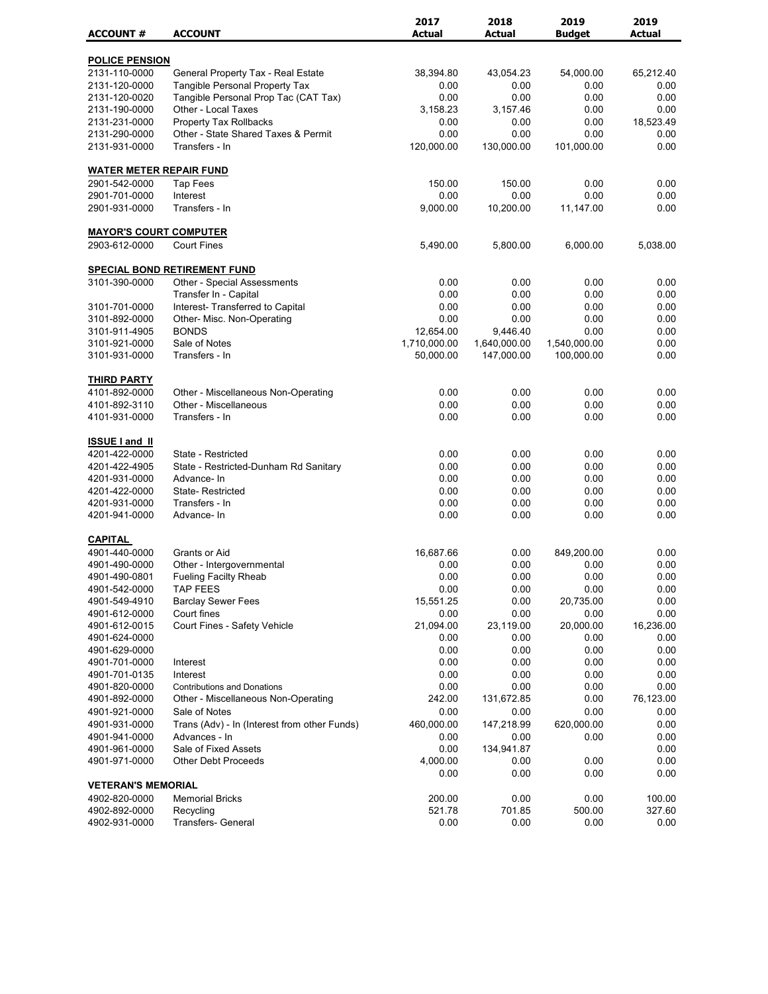| <b>ACCOUNT#</b><br><b>ACCOUNT</b><br><b>Actual</b><br><b>Actual</b><br><b>Actual</b><br><b>Budget</b><br><b>POLICE PENSION</b><br>2131-110-0000<br>General Property Tax - Real Estate<br>38,394.80<br>43,054.23<br>54,000.00<br>65,212.40<br><b>Tangible Personal Property Tax</b><br>2131-120-0000<br>0.00<br>0.00<br>0.00<br>0.00<br>2131-120-0020<br>0.00<br>0.00<br>0.00<br>0.00<br>Tangible Personal Prop Tac (CAT Tax)<br>Other - Local Taxes<br>2131-190-0000<br>3,158.23<br>3,157.46<br>0.00<br>0.00<br>Property Tax Rollbacks<br>0.00<br>0.00<br>2131-231-0000<br>0.00<br>18,523.49<br>Other - State Shared Taxes & Permit<br>0.00<br>0.00<br>0.00<br>2131-290-0000<br>0.00<br>2131-931-0000<br>Transfers - In<br>120,000.00<br>130.000.00<br>101,000.00<br>0.00<br><b>WATER METER REPAIR FUND</b><br>2901-542-0000<br>150.00<br>150.00<br>0.00<br>0.00<br><b>Tap Fees</b><br>2901-701-0000<br>Interest<br>0.00<br>0.00<br>0.00<br>0.00<br>2901-931-0000<br>Transfers - In<br>9,000.00<br>10,200.00<br>11,147.00<br>0.00<br><b>MAYOR'S COURT COMPUTER</b><br>2903-612-0000<br><b>Court Fines</b><br>5,490.00<br>5,800.00<br>6,000.00<br>5,038.00<br><b>SPECIAL BOND RETIREMENT FUND</b><br>3101-390-0000<br>Other - Special Assessments<br>0.00<br>0.00<br>0.00<br>0.00<br>0.00<br>0.00<br>0.00<br>0.00<br>Transfer In - Capital<br>0.00<br>Interest- Transferred to Capital<br>0.00<br>0.00<br>0.00<br>3101-701-0000<br>0.00<br>0.00<br>3101-892-0000<br>Other- Misc. Non-Operating<br>0.00<br>0.00<br><b>BONDS</b><br>12,654.00<br>0.00<br>0.00<br>3101-911-4905<br>9,446.40<br>Sale of Notes<br>1,710,000.00<br>3101-921-0000<br>1,640,000.00<br>1,540,000.00<br>0.00<br>100,000.00<br>0.00<br>3101-931-0000<br>Transfers - In<br>50,000.00<br>147,000.00<br><b>THIRD PARTY</b><br>0.00<br>0.00<br>0.00<br>0.00<br>4101-892-0000<br>Other - Miscellaneous Non-Operating<br>4101-892-3110<br>Other - Miscellaneous<br>0.00<br>0.00<br>0.00<br>0.00<br>4101-931-0000<br>Transfers - In<br>0.00<br>0.00<br>0.00<br>0.00<br><b>ISSUE I and II</b><br>0.00<br>0.00<br>4201-422-0000<br>State - Restricted<br>0.00<br>0.00<br>4201-422-4905<br>0.00<br>0.00<br>0.00<br>0.00<br>State - Restricted-Dunham Rd Sanitary<br>0.00<br>0.00<br>4201-931-0000<br>Advance-In<br>0.00<br>0.00<br>4201-422-0000<br><b>State-Restricted</b><br>0.00<br>0.00<br>0.00<br>0.00<br>Transfers - In<br>0.00<br>0.00<br>0.00<br>4201-931-0000<br>0.00<br>0.00<br>0.00<br>0.00<br>0.00<br>4201-941-0000<br>Advance-In<br><b>CAPITAL</b><br>4901-440-0000<br>16,687.66<br>849,200.00<br>Grants or Aid<br>0.00<br>0.00<br>0.00<br>4901-490-0000<br>Other - Intergovernmental<br>0.00<br>0.00<br>0.00<br>0.00<br>4901-490-0801<br>Fueling Facilty Rheab<br>0.00<br>0.00<br>0.00<br>TAP FEES<br>0.00<br>4901-542-0000<br>0.00<br>0.00<br>0.00<br>15,551.25<br>0.00<br>20,735.00<br>0.00<br>4901-549-4910<br><b>Barclay Sewer Fees</b><br>0.00<br>0.00<br>0.00<br>4901-612-0000<br>Court fines<br>0.00<br>Court Fines - Safety Vehicle<br>4901-612-0015<br>21,094.00<br>23,119.00<br>20,000.00<br>16,236.00<br>4901-624-0000<br>0.00<br>0.00<br>0.00<br>0.00<br>0.00<br>0.00<br>4901-629-0000<br>0.00<br>0.00<br>0.00<br>0.00<br>0.00<br>4901-701-0000<br>0.00<br>Interest<br>0.00<br>0.00<br>4901-701-0135<br>Interest<br>0.00<br>0.00<br>0.00<br>0.00<br>0.00<br>0.00<br>4901-820-0000<br><b>Contributions and Donations</b><br>4901-892-0000<br>Other - Miscellaneous Non-Operating<br>242.00<br>131,672.85<br>0.00<br>76,123.00<br>0.00<br>4901-921-0000<br>Sale of Notes<br>0.00<br>0.00<br>0.00<br>Trans (Adv) - In (Interest from other Funds)<br>460,000.00<br>620,000.00<br>0.00<br>4901-931-0000<br>147,218.99<br>4901-941-0000<br>Advances - In<br>0.00<br>0.00<br>0.00<br>0.00<br>Sale of Fixed Assets<br>0.00<br>134,941.87<br>0.00<br>4901-961-0000<br>0.00<br>4901-971-0000<br><b>Other Debt Proceeds</b><br>4,000.00<br>0.00<br>0.00<br>0.00<br>0.00<br>0.00<br>0.00<br><b>VETERAN'S MEMORIAL</b><br>4902-820-0000<br><b>Memorial Bricks</b><br>200.00<br>0.00<br>0.00<br>100.00<br>521.78<br>701.85<br>327.60<br>4902-892-0000<br>Recycling<br>500.00<br>Transfers- General<br>0.00<br>0.00<br>4902-931-0000<br>0.00<br>0.00 |  | 2017 | 2018 | 2019 | 2019 |
|----------------------------------------------------------------------------------------------------------------------------------------------------------------------------------------------------------------------------------------------------------------------------------------------------------------------------------------------------------------------------------------------------------------------------------------------------------------------------------------------------------------------------------------------------------------------------------------------------------------------------------------------------------------------------------------------------------------------------------------------------------------------------------------------------------------------------------------------------------------------------------------------------------------------------------------------------------------------------------------------------------------------------------------------------------------------------------------------------------------------------------------------------------------------------------------------------------------------------------------------------------------------------------------------------------------------------------------------------------------------------------------------------------------------------------------------------------------------------------------------------------------------------------------------------------------------------------------------------------------------------------------------------------------------------------------------------------------------------------------------------------------------------------------------------------------------------------------------------------------------------------------------------------------------------------------------------------------------------------------------------------------------------------------------------------------------------------------------------------------------------------------------------------------------------------------------------------------------------------------------------------------------------------------------------------------------------------------------------------------------------------------------------------------------------------------------------------------------------------------------------------------------------------------------------------------------------------------------------------------------------------------------------------------------------------------------------------------------------------------------------------------------------------------------------------------------------------------------------------------------------------------------------------------------------------------------------------------------------------------------------------------------------------------------------------------------------------------------------------------------------------------------------------------------------------------------------------------------------------------------------------------------------------------------------------------------------------------------------------------------------------------------------------------------------------------------------------------------------------------------------------------------------------------------------------------------------------------------------------------------------------------------------------------------------------------------------------------------------------------------------------------------------------------------------------------------------------------------------------------------------------------------------------------------------------------------------------------------------------------------------------------------------------------------------------------------------------------------------------------------------------------------------------------------------------------------------------------------------|--|------|------|------|------|
|                                                                                                                                                                                                                                                                                                                                                                                                                                                                                                                                                                                                                                                                                                                                                                                                                                                                                                                                                                                                                                                                                                                                                                                                                                                                                                                                                                                                                                                                                                                                                                                                                                                                                                                                                                                                                                                                                                                                                                                                                                                                                                                                                                                                                                                                                                                                                                                                                                                                                                                                                                                                                                                                                                                                                                                                                                                                                                                                                                                                                                                                                                                                                                                                                                                                                                                                                                                                                                                                                                                                                                                                                                                                                                                                                                                                                                                                                                                                                                                                                                                                                                                                                                                                                            |  |      |      |      |      |
|                                                                                                                                                                                                                                                                                                                                                                                                                                                                                                                                                                                                                                                                                                                                                                                                                                                                                                                                                                                                                                                                                                                                                                                                                                                                                                                                                                                                                                                                                                                                                                                                                                                                                                                                                                                                                                                                                                                                                                                                                                                                                                                                                                                                                                                                                                                                                                                                                                                                                                                                                                                                                                                                                                                                                                                                                                                                                                                                                                                                                                                                                                                                                                                                                                                                                                                                                                                                                                                                                                                                                                                                                                                                                                                                                                                                                                                                                                                                                                                                                                                                                                                                                                                                                            |  |      |      |      |      |
|                                                                                                                                                                                                                                                                                                                                                                                                                                                                                                                                                                                                                                                                                                                                                                                                                                                                                                                                                                                                                                                                                                                                                                                                                                                                                                                                                                                                                                                                                                                                                                                                                                                                                                                                                                                                                                                                                                                                                                                                                                                                                                                                                                                                                                                                                                                                                                                                                                                                                                                                                                                                                                                                                                                                                                                                                                                                                                                                                                                                                                                                                                                                                                                                                                                                                                                                                                                                                                                                                                                                                                                                                                                                                                                                                                                                                                                                                                                                                                                                                                                                                                                                                                                                                            |  |      |      |      |      |
|                                                                                                                                                                                                                                                                                                                                                                                                                                                                                                                                                                                                                                                                                                                                                                                                                                                                                                                                                                                                                                                                                                                                                                                                                                                                                                                                                                                                                                                                                                                                                                                                                                                                                                                                                                                                                                                                                                                                                                                                                                                                                                                                                                                                                                                                                                                                                                                                                                                                                                                                                                                                                                                                                                                                                                                                                                                                                                                                                                                                                                                                                                                                                                                                                                                                                                                                                                                                                                                                                                                                                                                                                                                                                                                                                                                                                                                                                                                                                                                                                                                                                                                                                                                                                            |  |      |      |      |      |
|                                                                                                                                                                                                                                                                                                                                                                                                                                                                                                                                                                                                                                                                                                                                                                                                                                                                                                                                                                                                                                                                                                                                                                                                                                                                                                                                                                                                                                                                                                                                                                                                                                                                                                                                                                                                                                                                                                                                                                                                                                                                                                                                                                                                                                                                                                                                                                                                                                                                                                                                                                                                                                                                                                                                                                                                                                                                                                                                                                                                                                                                                                                                                                                                                                                                                                                                                                                                                                                                                                                                                                                                                                                                                                                                                                                                                                                                                                                                                                                                                                                                                                                                                                                                                            |  |      |      |      |      |
|                                                                                                                                                                                                                                                                                                                                                                                                                                                                                                                                                                                                                                                                                                                                                                                                                                                                                                                                                                                                                                                                                                                                                                                                                                                                                                                                                                                                                                                                                                                                                                                                                                                                                                                                                                                                                                                                                                                                                                                                                                                                                                                                                                                                                                                                                                                                                                                                                                                                                                                                                                                                                                                                                                                                                                                                                                                                                                                                                                                                                                                                                                                                                                                                                                                                                                                                                                                                                                                                                                                                                                                                                                                                                                                                                                                                                                                                                                                                                                                                                                                                                                                                                                                                                            |  |      |      |      |      |
|                                                                                                                                                                                                                                                                                                                                                                                                                                                                                                                                                                                                                                                                                                                                                                                                                                                                                                                                                                                                                                                                                                                                                                                                                                                                                                                                                                                                                                                                                                                                                                                                                                                                                                                                                                                                                                                                                                                                                                                                                                                                                                                                                                                                                                                                                                                                                                                                                                                                                                                                                                                                                                                                                                                                                                                                                                                                                                                                                                                                                                                                                                                                                                                                                                                                                                                                                                                                                                                                                                                                                                                                                                                                                                                                                                                                                                                                                                                                                                                                                                                                                                                                                                                                                            |  |      |      |      |      |
|                                                                                                                                                                                                                                                                                                                                                                                                                                                                                                                                                                                                                                                                                                                                                                                                                                                                                                                                                                                                                                                                                                                                                                                                                                                                                                                                                                                                                                                                                                                                                                                                                                                                                                                                                                                                                                                                                                                                                                                                                                                                                                                                                                                                                                                                                                                                                                                                                                                                                                                                                                                                                                                                                                                                                                                                                                                                                                                                                                                                                                                                                                                                                                                                                                                                                                                                                                                                                                                                                                                                                                                                                                                                                                                                                                                                                                                                                                                                                                                                                                                                                                                                                                                                                            |  |      |      |      |      |
|                                                                                                                                                                                                                                                                                                                                                                                                                                                                                                                                                                                                                                                                                                                                                                                                                                                                                                                                                                                                                                                                                                                                                                                                                                                                                                                                                                                                                                                                                                                                                                                                                                                                                                                                                                                                                                                                                                                                                                                                                                                                                                                                                                                                                                                                                                                                                                                                                                                                                                                                                                                                                                                                                                                                                                                                                                                                                                                                                                                                                                                                                                                                                                                                                                                                                                                                                                                                                                                                                                                                                                                                                                                                                                                                                                                                                                                                                                                                                                                                                                                                                                                                                                                                                            |  |      |      |      |      |
|                                                                                                                                                                                                                                                                                                                                                                                                                                                                                                                                                                                                                                                                                                                                                                                                                                                                                                                                                                                                                                                                                                                                                                                                                                                                                                                                                                                                                                                                                                                                                                                                                                                                                                                                                                                                                                                                                                                                                                                                                                                                                                                                                                                                                                                                                                                                                                                                                                                                                                                                                                                                                                                                                                                                                                                                                                                                                                                                                                                                                                                                                                                                                                                                                                                                                                                                                                                                                                                                                                                                                                                                                                                                                                                                                                                                                                                                                                                                                                                                                                                                                                                                                                                                                            |  |      |      |      |      |
|                                                                                                                                                                                                                                                                                                                                                                                                                                                                                                                                                                                                                                                                                                                                                                                                                                                                                                                                                                                                                                                                                                                                                                                                                                                                                                                                                                                                                                                                                                                                                                                                                                                                                                                                                                                                                                                                                                                                                                                                                                                                                                                                                                                                                                                                                                                                                                                                                                                                                                                                                                                                                                                                                                                                                                                                                                                                                                                                                                                                                                                                                                                                                                                                                                                                                                                                                                                                                                                                                                                                                                                                                                                                                                                                                                                                                                                                                                                                                                                                                                                                                                                                                                                                                            |  |      |      |      |      |
|                                                                                                                                                                                                                                                                                                                                                                                                                                                                                                                                                                                                                                                                                                                                                                                                                                                                                                                                                                                                                                                                                                                                                                                                                                                                                                                                                                                                                                                                                                                                                                                                                                                                                                                                                                                                                                                                                                                                                                                                                                                                                                                                                                                                                                                                                                                                                                                                                                                                                                                                                                                                                                                                                                                                                                                                                                                                                                                                                                                                                                                                                                                                                                                                                                                                                                                                                                                                                                                                                                                                                                                                                                                                                                                                                                                                                                                                                                                                                                                                                                                                                                                                                                                                                            |  |      |      |      |      |
|                                                                                                                                                                                                                                                                                                                                                                                                                                                                                                                                                                                                                                                                                                                                                                                                                                                                                                                                                                                                                                                                                                                                                                                                                                                                                                                                                                                                                                                                                                                                                                                                                                                                                                                                                                                                                                                                                                                                                                                                                                                                                                                                                                                                                                                                                                                                                                                                                                                                                                                                                                                                                                                                                                                                                                                                                                                                                                                                                                                                                                                                                                                                                                                                                                                                                                                                                                                                                                                                                                                                                                                                                                                                                                                                                                                                                                                                                                                                                                                                                                                                                                                                                                                                                            |  |      |      |      |      |
|                                                                                                                                                                                                                                                                                                                                                                                                                                                                                                                                                                                                                                                                                                                                                                                                                                                                                                                                                                                                                                                                                                                                                                                                                                                                                                                                                                                                                                                                                                                                                                                                                                                                                                                                                                                                                                                                                                                                                                                                                                                                                                                                                                                                                                                                                                                                                                                                                                                                                                                                                                                                                                                                                                                                                                                                                                                                                                                                                                                                                                                                                                                                                                                                                                                                                                                                                                                                                                                                                                                                                                                                                                                                                                                                                                                                                                                                                                                                                                                                                                                                                                                                                                                                                            |  |      |      |      |      |
|                                                                                                                                                                                                                                                                                                                                                                                                                                                                                                                                                                                                                                                                                                                                                                                                                                                                                                                                                                                                                                                                                                                                                                                                                                                                                                                                                                                                                                                                                                                                                                                                                                                                                                                                                                                                                                                                                                                                                                                                                                                                                                                                                                                                                                                                                                                                                                                                                                                                                                                                                                                                                                                                                                                                                                                                                                                                                                                                                                                                                                                                                                                                                                                                                                                                                                                                                                                                                                                                                                                                                                                                                                                                                                                                                                                                                                                                                                                                                                                                                                                                                                                                                                                                                            |  |      |      |      |      |
|                                                                                                                                                                                                                                                                                                                                                                                                                                                                                                                                                                                                                                                                                                                                                                                                                                                                                                                                                                                                                                                                                                                                                                                                                                                                                                                                                                                                                                                                                                                                                                                                                                                                                                                                                                                                                                                                                                                                                                                                                                                                                                                                                                                                                                                                                                                                                                                                                                                                                                                                                                                                                                                                                                                                                                                                                                                                                                                                                                                                                                                                                                                                                                                                                                                                                                                                                                                                                                                                                                                                                                                                                                                                                                                                                                                                                                                                                                                                                                                                                                                                                                                                                                                                                            |  |      |      |      |      |
|                                                                                                                                                                                                                                                                                                                                                                                                                                                                                                                                                                                                                                                                                                                                                                                                                                                                                                                                                                                                                                                                                                                                                                                                                                                                                                                                                                                                                                                                                                                                                                                                                                                                                                                                                                                                                                                                                                                                                                                                                                                                                                                                                                                                                                                                                                                                                                                                                                                                                                                                                                                                                                                                                                                                                                                                                                                                                                                                                                                                                                                                                                                                                                                                                                                                                                                                                                                                                                                                                                                                                                                                                                                                                                                                                                                                                                                                                                                                                                                                                                                                                                                                                                                                                            |  |      |      |      |      |
|                                                                                                                                                                                                                                                                                                                                                                                                                                                                                                                                                                                                                                                                                                                                                                                                                                                                                                                                                                                                                                                                                                                                                                                                                                                                                                                                                                                                                                                                                                                                                                                                                                                                                                                                                                                                                                                                                                                                                                                                                                                                                                                                                                                                                                                                                                                                                                                                                                                                                                                                                                                                                                                                                                                                                                                                                                                                                                                                                                                                                                                                                                                                                                                                                                                                                                                                                                                                                                                                                                                                                                                                                                                                                                                                                                                                                                                                                                                                                                                                                                                                                                                                                                                                                            |  |      |      |      |      |
|                                                                                                                                                                                                                                                                                                                                                                                                                                                                                                                                                                                                                                                                                                                                                                                                                                                                                                                                                                                                                                                                                                                                                                                                                                                                                                                                                                                                                                                                                                                                                                                                                                                                                                                                                                                                                                                                                                                                                                                                                                                                                                                                                                                                                                                                                                                                                                                                                                                                                                                                                                                                                                                                                                                                                                                                                                                                                                                                                                                                                                                                                                                                                                                                                                                                                                                                                                                                                                                                                                                                                                                                                                                                                                                                                                                                                                                                                                                                                                                                                                                                                                                                                                                                                            |  |      |      |      |      |
|                                                                                                                                                                                                                                                                                                                                                                                                                                                                                                                                                                                                                                                                                                                                                                                                                                                                                                                                                                                                                                                                                                                                                                                                                                                                                                                                                                                                                                                                                                                                                                                                                                                                                                                                                                                                                                                                                                                                                                                                                                                                                                                                                                                                                                                                                                                                                                                                                                                                                                                                                                                                                                                                                                                                                                                                                                                                                                                                                                                                                                                                                                                                                                                                                                                                                                                                                                                                                                                                                                                                                                                                                                                                                                                                                                                                                                                                                                                                                                                                                                                                                                                                                                                                                            |  |      |      |      |      |
|                                                                                                                                                                                                                                                                                                                                                                                                                                                                                                                                                                                                                                                                                                                                                                                                                                                                                                                                                                                                                                                                                                                                                                                                                                                                                                                                                                                                                                                                                                                                                                                                                                                                                                                                                                                                                                                                                                                                                                                                                                                                                                                                                                                                                                                                                                                                                                                                                                                                                                                                                                                                                                                                                                                                                                                                                                                                                                                                                                                                                                                                                                                                                                                                                                                                                                                                                                                                                                                                                                                                                                                                                                                                                                                                                                                                                                                                                                                                                                                                                                                                                                                                                                                                                            |  |      |      |      |      |
|                                                                                                                                                                                                                                                                                                                                                                                                                                                                                                                                                                                                                                                                                                                                                                                                                                                                                                                                                                                                                                                                                                                                                                                                                                                                                                                                                                                                                                                                                                                                                                                                                                                                                                                                                                                                                                                                                                                                                                                                                                                                                                                                                                                                                                                                                                                                                                                                                                                                                                                                                                                                                                                                                                                                                                                                                                                                                                                                                                                                                                                                                                                                                                                                                                                                                                                                                                                                                                                                                                                                                                                                                                                                                                                                                                                                                                                                                                                                                                                                                                                                                                                                                                                                                            |  |      |      |      |      |
|                                                                                                                                                                                                                                                                                                                                                                                                                                                                                                                                                                                                                                                                                                                                                                                                                                                                                                                                                                                                                                                                                                                                                                                                                                                                                                                                                                                                                                                                                                                                                                                                                                                                                                                                                                                                                                                                                                                                                                                                                                                                                                                                                                                                                                                                                                                                                                                                                                                                                                                                                                                                                                                                                                                                                                                                                                                                                                                                                                                                                                                                                                                                                                                                                                                                                                                                                                                                                                                                                                                                                                                                                                                                                                                                                                                                                                                                                                                                                                                                                                                                                                                                                                                                                            |  |      |      |      |      |
|                                                                                                                                                                                                                                                                                                                                                                                                                                                                                                                                                                                                                                                                                                                                                                                                                                                                                                                                                                                                                                                                                                                                                                                                                                                                                                                                                                                                                                                                                                                                                                                                                                                                                                                                                                                                                                                                                                                                                                                                                                                                                                                                                                                                                                                                                                                                                                                                                                                                                                                                                                                                                                                                                                                                                                                                                                                                                                                                                                                                                                                                                                                                                                                                                                                                                                                                                                                                                                                                                                                                                                                                                                                                                                                                                                                                                                                                                                                                                                                                                                                                                                                                                                                                                            |  |      |      |      |      |
|                                                                                                                                                                                                                                                                                                                                                                                                                                                                                                                                                                                                                                                                                                                                                                                                                                                                                                                                                                                                                                                                                                                                                                                                                                                                                                                                                                                                                                                                                                                                                                                                                                                                                                                                                                                                                                                                                                                                                                                                                                                                                                                                                                                                                                                                                                                                                                                                                                                                                                                                                                                                                                                                                                                                                                                                                                                                                                                                                                                                                                                                                                                                                                                                                                                                                                                                                                                                                                                                                                                                                                                                                                                                                                                                                                                                                                                                                                                                                                                                                                                                                                                                                                                                                            |  |      |      |      |      |
|                                                                                                                                                                                                                                                                                                                                                                                                                                                                                                                                                                                                                                                                                                                                                                                                                                                                                                                                                                                                                                                                                                                                                                                                                                                                                                                                                                                                                                                                                                                                                                                                                                                                                                                                                                                                                                                                                                                                                                                                                                                                                                                                                                                                                                                                                                                                                                                                                                                                                                                                                                                                                                                                                                                                                                                                                                                                                                                                                                                                                                                                                                                                                                                                                                                                                                                                                                                                                                                                                                                                                                                                                                                                                                                                                                                                                                                                                                                                                                                                                                                                                                                                                                                                                            |  |      |      |      |      |
|                                                                                                                                                                                                                                                                                                                                                                                                                                                                                                                                                                                                                                                                                                                                                                                                                                                                                                                                                                                                                                                                                                                                                                                                                                                                                                                                                                                                                                                                                                                                                                                                                                                                                                                                                                                                                                                                                                                                                                                                                                                                                                                                                                                                                                                                                                                                                                                                                                                                                                                                                                                                                                                                                                                                                                                                                                                                                                                                                                                                                                                                                                                                                                                                                                                                                                                                                                                                                                                                                                                                                                                                                                                                                                                                                                                                                                                                                                                                                                                                                                                                                                                                                                                                                            |  |      |      |      |      |
|                                                                                                                                                                                                                                                                                                                                                                                                                                                                                                                                                                                                                                                                                                                                                                                                                                                                                                                                                                                                                                                                                                                                                                                                                                                                                                                                                                                                                                                                                                                                                                                                                                                                                                                                                                                                                                                                                                                                                                                                                                                                                                                                                                                                                                                                                                                                                                                                                                                                                                                                                                                                                                                                                                                                                                                                                                                                                                                                                                                                                                                                                                                                                                                                                                                                                                                                                                                                                                                                                                                                                                                                                                                                                                                                                                                                                                                                                                                                                                                                                                                                                                                                                                                                                            |  |      |      |      |      |
|                                                                                                                                                                                                                                                                                                                                                                                                                                                                                                                                                                                                                                                                                                                                                                                                                                                                                                                                                                                                                                                                                                                                                                                                                                                                                                                                                                                                                                                                                                                                                                                                                                                                                                                                                                                                                                                                                                                                                                                                                                                                                                                                                                                                                                                                                                                                                                                                                                                                                                                                                                                                                                                                                                                                                                                                                                                                                                                                                                                                                                                                                                                                                                                                                                                                                                                                                                                                                                                                                                                                                                                                                                                                                                                                                                                                                                                                                                                                                                                                                                                                                                                                                                                                                            |  |      |      |      |      |
|                                                                                                                                                                                                                                                                                                                                                                                                                                                                                                                                                                                                                                                                                                                                                                                                                                                                                                                                                                                                                                                                                                                                                                                                                                                                                                                                                                                                                                                                                                                                                                                                                                                                                                                                                                                                                                                                                                                                                                                                                                                                                                                                                                                                                                                                                                                                                                                                                                                                                                                                                                                                                                                                                                                                                                                                                                                                                                                                                                                                                                                                                                                                                                                                                                                                                                                                                                                                                                                                                                                                                                                                                                                                                                                                                                                                                                                                                                                                                                                                                                                                                                                                                                                                                            |  |      |      |      |      |
|                                                                                                                                                                                                                                                                                                                                                                                                                                                                                                                                                                                                                                                                                                                                                                                                                                                                                                                                                                                                                                                                                                                                                                                                                                                                                                                                                                                                                                                                                                                                                                                                                                                                                                                                                                                                                                                                                                                                                                                                                                                                                                                                                                                                                                                                                                                                                                                                                                                                                                                                                                                                                                                                                                                                                                                                                                                                                                                                                                                                                                                                                                                                                                                                                                                                                                                                                                                                                                                                                                                                                                                                                                                                                                                                                                                                                                                                                                                                                                                                                                                                                                                                                                                                                            |  |      |      |      |      |
|                                                                                                                                                                                                                                                                                                                                                                                                                                                                                                                                                                                                                                                                                                                                                                                                                                                                                                                                                                                                                                                                                                                                                                                                                                                                                                                                                                                                                                                                                                                                                                                                                                                                                                                                                                                                                                                                                                                                                                                                                                                                                                                                                                                                                                                                                                                                                                                                                                                                                                                                                                                                                                                                                                                                                                                                                                                                                                                                                                                                                                                                                                                                                                                                                                                                                                                                                                                                                                                                                                                                                                                                                                                                                                                                                                                                                                                                                                                                                                                                                                                                                                                                                                                                                            |  |      |      |      |      |
|                                                                                                                                                                                                                                                                                                                                                                                                                                                                                                                                                                                                                                                                                                                                                                                                                                                                                                                                                                                                                                                                                                                                                                                                                                                                                                                                                                                                                                                                                                                                                                                                                                                                                                                                                                                                                                                                                                                                                                                                                                                                                                                                                                                                                                                                                                                                                                                                                                                                                                                                                                                                                                                                                                                                                                                                                                                                                                                                                                                                                                                                                                                                                                                                                                                                                                                                                                                                                                                                                                                                                                                                                                                                                                                                                                                                                                                                                                                                                                                                                                                                                                                                                                                                                            |  |      |      |      |      |
|                                                                                                                                                                                                                                                                                                                                                                                                                                                                                                                                                                                                                                                                                                                                                                                                                                                                                                                                                                                                                                                                                                                                                                                                                                                                                                                                                                                                                                                                                                                                                                                                                                                                                                                                                                                                                                                                                                                                                                                                                                                                                                                                                                                                                                                                                                                                                                                                                                                                                                                                                                                                                                                                                                                                                                                                                                                                                                                                                                                                                                                                                                                                                                                                                                                                                                                                                                                                                                                                                                                                                                                                                                                                                                                                                                                                                                                                                                                                                                                                                                                                                                                                                                                                                            |  |      |      |      |      |
|                                                                                                                                                                                                                                                                                                                                                                                                                                                                                                                                                                                                                                                                                                                                                                                                                                                                                                                                                                                                                                                                                                                                                                                                                                                                                                                                                                                                                                                                                                                                                                                                                                                                                                                                                                                                                                                                                                                                                                                                                                                                                                                                                                                                                                                                                                                                                                                                                                                                                                                                                                                                                                                                                                                                                                                                                                                                                                                                                                                                                                                                                                                                                                                                                                                                                                                                                                                                                                                                                                                                                                                                                                                                                                                                                                                                                                                                                                                                                                                                                                                                                                                                                                                                                            |  |      |      |      |      |
|                                                                                                                                                                                                                                                                                                                                                                                                                                                                                                                                                                                                                                                                                                                                                                                                                                                                                                                                                                                                                                                                                                                                                                                                                                                                                                                                                                                                                                                                                                                                                                                                                                                                                                                                                                                                                                                                                                                                                                                                                                                                                                                                                                                                                                                                                                                                                                                                                                                                                                                                                                                                                                                                                                                                                                                                                                                                                                                                                                                                                                                                                                                                                                                                                                                                                                                                                                                                                                                                                                                                                                                                                                                                                                                                                                                                                                                                                                                                                                                                                                                                                                                                                                                                                            |  |      |      |      |      |
|                                                                                                                                                                                                                                                                                                                                                                                                                                                                                                                                                                                                                                                                                                                                                                                                                                                                                                                                                                                                                                                                                                                                                                                                                                                                                                                                                                                                                                                                                                                                                                                                                                                                                                                                                                                                                                                                                                                                                                                                                                                                                                                                                                                                                                                                                                                                                                                                                                                                                                                                                                                                                                                                                                                                                                                                                                                                                                                                                                                                                                                                                                                                                                                                                                                                                                                                                                                                                                                                                                                                                                                                                                                                                                                                                                                                                                                                                                                                                                                                                                                                                                                                                                                                                            |  |      |      |      |      |
|                                                                                                                                                                                                                                                                                                                                                                                                                                                                                                                                                                                                                                                                                                                                                                                                                                                                                                                                                                                                                                                                                                                                                                                                                                                                                                                                                                                                                                                                                                                                                                                                                                                                                                                                                                                                                                                                                                                                                                                                                                                                                                                                                                                                                                                                                                                                                                                                                                                                                                                                                                                                                                                                                                                                                                                                                                                                                                                                                                                                                                                                                                                                                                                                                                                                                                                                                                                                                                                                                                                                                                                                                                                                                                                                                                                                                                                                                                                                                                                                                                                                                                                                                                                                                            |  |      |      |      |      |
|                                                                                                                                                                                                                                                                                                                                                                                                                                                                                                                                                                                                                                                                                                                                                                                                                                                                                                                                                                                                                                                                                                                                                                                                                                                                                                                                                                                                                                                                                                                                                                                                                                                                                                                                                                                                                                                                                                                                                                                                                                                                                                                                                                                                                                                                                                                                                                                                                                                                                                                                                                                                                                                                                                                                                                                                                                                                                                                                                                                                                                                                                                                                                                                                                                                                                                                                                                                                                                                                                                                                                                                                                                                                                                                                                                                                                                                                                                                                                                                                                                                                                                                                                                                                                            |  |      |      |      |      |
|                                                                                                                                                                                                                                                                                                                                                                                                                                                                                                                                                                                                                                                                                                                                                                                                                                                                                                                                                                                                                                                                                                                                                                                                                                                                                                                                                                                                                                                                                                                                                                                                                                                                                                                                                                                                                                                                                                                                                                                                                                                                                                                                                                                                                                                                                                                                                                                                                                                                                                                                                                                                                                                                                                                                                                                                                                                                                                                                                                                                                                                                                                                                                                                                                                                                                                                                                                                                                                                                                                                                                                                                                                                                                                                                                                                                                                                                                                                                                                                                                                                                                                                                                                                                                            |  |      |      |      |      |
|                                                                                                                                                                                                                                                                                                                                                                                                                                                                                                                                                                                                                                                                                                                                                                                                                                                                                                                                                                                                                                                                                                                                                                                                                                                                                                                                                                                                                                                                                                                                                                                                                                                                                                                                                                                                                                                                                                                                                                                                                                                                                                                                                                                                                                                                                                                                                                                                                                                                                                                                                                                                                                                                                                                                                                                                                                                                                                                                                                                                                                                                                                                                                                                                                                                                                                                                                                                                                                                                                                                                                                                                                                                                                                                                                                                                                                                                                                                                                                                                                                                                                                                                                                                                                            |  |      |      |      |      |
|                                                                                                                                                                                                                                                                                                                                                                                                                                                                                                                                                                                                                                                                                                                                                                                                                                                                                                                                                                                                                                                                                                                                                                                                                                                                                                                                                                                                                                                                                                                                                                                                                                                                                                                                                                                                                                                                                                                                                                                                                                                                                                                                                                                                                                                                                                                                                                                                                                                                                                                                                                                                                                                                                                                                                                                                                                                                                                                                                                                                                                                                                                                                                                                                                                                                                                                                                                                                                                                                                                                                                                                                                                                                                                                                                                                                                                                                                                                                                                                                                                                                                                                                                                                                                            |  |      |      |      |      |
|                                                                                                                                                                                                                                                                                                                                                                                                                                                                                                                                                                                                                                                                                                                                                                                                                                                                                                                                                                                                                                                                                                                                                                                                                                                                                                                                                                                                                                                                                                                                                                                                                                                                                                                                                                                                                                                                                                                                                                                                                                                                                                                                                                                                                                                                                                                                                                                                                                                                                                                                                                                                                                                                                                                                                                                                                                                                                                                                                                                                                                                                                                                                                                                                                                                                                                                                                                                                                                                                                                                                                                                                                                                                                                                                                                                                                                                                                                                                                                                                                                                                                                                                                                                                                            |  |      |      |      |      |
|                                                                                                                                                                                                                                                                                                                                                                                                                                                                                                                                                                                                                                                                                                                                                                                                                                                                                                                                                                                                                                                                                                                                                                                                                                                                                                                                                                                                                                                                                                                                                                                                                                                                                                                                                                                                                                                                                                                                                                                                                                                                                                                                                                                                                                                                                                                                                                                                                                                                                                                                                                                                                                                                                                                                                                                                                                                                                                                                                                                                                                                                                                                                                                                                                                                                                                                                                                                                                                                                                                                                                                                                                                                                                                                                                                                                                                                                                                                                                                                                                                                                                                                                                                                                                            |  |      |      |      |      |
|                                                                                                                                                                                                                                                                                                                                                                                                                                                                                                                                                                                                                                                                                                                                                                                                                                                                                                                                                                                                                                                                                                                                                                                                                                                                                                                                                                                                                                                                                                                                                                                                                                                                                                                                                                                                                                                                                                                                                                                                                                                                                                                                                                                                                                                                                                                                                                                                                                                                                                                                                                                                                                                                                                                                                                                                                                                                                                                                                                                                                                                                                                                                                                                                                                                                                                                                                                                                                                                                                                                                                                                                                                                                                                                                                                                                                                                                                                                                                                                                                                                                                                                                                                                                                            |  |      |      |      |      |
|                                                                                                                                                                                                                                                                                                                                                                                                                                                                                                                                                                                                                                                                                                                                                                                                                                                                                                                                                                                                                                                                                                                                                                                                                                                                                                                                                                                                                                                                                                                                                                                                                                                                                                                                                                                                                                                                                                                                                                                                                                                                                                                                                                                                                                                                                                                                                                                                                                                                                                                                                                                                                                                                                                                                                                                                                                                                                                                                                                                                                                                                                                                                                                                                                                                                                                                                                                                                                                                                                                                                                                                                                                                                                                                                                                                                                                                                                                                                                                                                                                                                                                                                                                                                                            |  |      |      |      |      |
|                                                                                                                                                                                                                                                                                                                                                                                                                                                                                                                                                                                                                                                                                                                                                                                                                                                                                                                                                                                                                                                                                                                                                                                                                                                                                                                                                                                                                                                                                                                                                                                                                                                                                                                                                                                                                                                                                                                                                                                                                                                                                                                                                                                                                                                                                                                                                                                                                                                                                                                                                                                                                                                                                                                                                                                                                                                                                                                                                                                                                                                                                                                                                                                                                                                                                                                                                                                                                                                                                                                                                                                                                                                                                                                                                                                                                                                                                                                                                                                                                                                                                                                                                                                                                            |  |      |      |      |      |
|                                                                                                                                                                                                                                                                                                                                                                                                                                                                                                                                                                                                                                                                                                                                                                                                                                                                                                                                                                                                                                                                                                                                                                                                                                                                                                                                                                                                                                                                                                                                                                                                                                                                                                                                                                                                                                                                                                                                                                                                                                                                                                                                                                                                                                                                                                                                                                                                                                                                                                                                                                                                                                                                                                                                                                                                                                                                                                                                                                                                                                                                                                                                                                                                                                                                                                                                                                                                                                                                                                                                                                                                                                                                                                                                                                                                                                                                                                                                                                                                                                                                                                                                                                                                                            |  |      |      |      |      |
|                                                                                                                                                                                                                                                                                                                                                                                                                                                                                                                                                                                                                                                                                                                                                                                                                                                                                                                                                                                                                                                                                                                                                                                                                                                                                                                                                                                                                                                                                                                                                                                                                                                                                                                                                                                                                                                                                                                                                                                                                                                                                                                                                                                                                                                                                                                                                                                                                                                                                                                                                                                                                                                                                                                                                                                                                                                                                                                                                                                                                                                                                                                                                                                                                                                                                                                                                                                                                                                                                                                                                                                                                                                                                                                                                                                                                                                                                                                                                                                                                                                                                                                                                                                                                            |  |      |      |      |      |
|                                                                                                                                                                                                                                                                                                                                                                                                                                                                                                                                                                                                                                                                                                                                                                                                                                                                                                                                                                                                                                                                                                                                                                                                                                                                                                                                                                                                                                                                                                                                                                                                                                                                                                                                                                                                                                                                                                                                                                                                                                                                                                                                                                                                                                                                                                                                                                                                                                                                                                                                                                                                                                                                                                                                                                                                                                                                                                                                                                                                                                                                                                                                                                                                                                                                                                                                                                                                                                                                                                                                                                                                                                                                                                                                                                                                                                                                                                                                                                                                                                                                                                                                                                                                                            |  |      |      |      |      |
|                                                                                                                                                                                                                                                                                                                                                                                                                                                                                                                                                                                                                                                                                                                                                                                                                                                                                                                                                                                                                                                                                                                                                                                                                                                                                                                                                                                                                                                                                                                                                                                                                                                                                                                                                                                                                                                                                                                                                                                                                                                                                                                                                                                                                                                                                                                                                                                                                                                                                                                                                                                                                                                                                                                                                                                                                                                                                                                                                                                                                                                                                                                                                                                                                                                                                                                                                                                                                                                                                                                                                                                                                                                                                                                                                                                                                                                                                                                                                                                                                                                                                                                                                                                                                            |  |      |      |      |      |
|                                                                                                                                                                                                                                                                                                                                                                                                                                                                                                                                                                                                                                                                                                                                                                                                                                                                                                                                                                                                                                                                                                                                                                                                                                                                                                                                                                                                                                                                                                                                                                                                                                                                                                                                                                                                                                                                                                                                                                                                                                                                                                                                                                                                                                                                                                                                                                                                                                                                                                                                                                                                                                                                                                                                                                                                                                                                                                                                                                                                                                                                                                                                                                                                                                                                                                                                                                                                                                                                                                                                                                                                                                                                                                                                                                                                                                                                                                                                                                                                                                                                                                                                                                                                                            |  |      |      |      |      |
|                                                                                                                                                                                                                                                                                                                                                                                                                                                                                                                                                                                                                                                                                                                                                                                                                                                                                                                                                                                                                                                                                                                                                                                                                                                                                                                                                                                                                                                                                                                                                                                                                                                                                                                                                                                                                                                                                                                                                                                                                                                                                                                                                                                                                                                                                                                                                                                                                                                                                                                                                                                                                                                                                                                                                                                                                                                                                                                                                                                                                                                                                                                                                                                                                                                                                                                                                                                                                                                                                                                                                                                                                                                                                                                                                                                                                                                                                                                                                                                                                                                                                                                                                                                                                            |  |      |      |      |      |
|                                                                                                                                                                                                                                                                                                                                                                                                                                                                                                                                                                                                                                                                                                                                                                                                                                                                                                                                                                                                                                                                                                                                                                                                                                                                                                                                                                                                                                                                                                                                                                                                                                                                                                                                                                                                                                                                                                                                                                                                                                                                                                                                                                                                                                                                                                                                                                                                                                                                                                                                                                                                                                                                                                                                                                                                                                                                                                                                                                                                                                                                                                                                                                                                                                                                                                                                                                                                                                                                                                                                                                                                                                                                                                                                                                                                                                                                                                                                                                                                                                                                                                                                                                                                                            |  |      |      |      |      |
|                                                                                                                                                                                                                                                                                                                                                                                                                                                                                                                                                                                                                                                                                                                                                                                                                                                                                                                                                                                                                                                                                                                                                                                                                                                                                                                                                                                                                                                                                                                                                                                                                                                                                                                                                                                                                                                                                                                                                                                                                                                                                                                                                                                                                                                                                                                                                                                                                                                                                                                                                                                                                                                                                                                                                                                                                                                                                                                                                                                                                                                                                                                                                                                                                                                                                                                                                                                                                                                                                                                                                                                                                                                                                                                                                                                                                                                                                                                                                                                                                                                                                                                                                                                                                            |  |      |      |      |      |
|                                                                                                                                                                                                                                                                                                                                                                                                                                                                                                                                                                                                                                                                                                                                                                                                                                                                                                                                                                                                                                                                                                                                                                                                                                                                                                                                                                                                                                                                                                                                                                                                                                                                                                                                                                                                                                                                                                                                                                                                                                                                                                                                                                                                                                                                                                                                                                                                                                                                                                                                                                                                                                                                                                                                                                                                                                                                                                                                                                                                                                                                                                                                                                                                                                                                                                                                                                                                                                                                                                                                                                                                                                                                                                                                                                                                                                                                                                                                                                                                                                                                                                                                                                                                                            |  |      |      |      |      |
|                                                                                                                                                                                                                                                                                                                                                                                                                                                                                                                                                                                                                                                                                                                                                                                                                                                                                                                                                                                                                                                                                                                                                                                                                                                                                                                                                                                                                                                                                                                                                                                                                                                                                                                                                                                                                                                                                                                                                                                                                                                                                                                                                                                                                                                                                                                                                                                                                                                                                                                                                                                                                                                                                                                                                                                                                                                                                                                                                                                                                                                                                                                                                                                                                                                                                                                                                                                                                                                                                                                                                                                                                                                                                                                                                                                                                                                                                                                                                                                                                                                                                                                                                                                                                            |  |      |      |      |      |
|                                                                                                                                                                                                                                                                                                                                                                                                                                                                                                                                                                                                                                                                                                                                                                                                                                                                                                                                                                                                                                                                                                                                                                                                                                                                                                                                                                                                                                                                                                                                                                                                                                                                                                                                                                                                                                                                                                                                                                                                                                                                                                                                                                                                                                                                                                                                                                                                                                                                                                                                                                                                                                                                                                                                                                                                                                                                                                                                                                                                                                                                                                                                                                                                                                                                                                                                                                                                                                                                                                                                                                                                                                                                                                                                                                                                                                                                                                                                                                                                                                                                                                                                                                                                                            |  |      |      |      |      |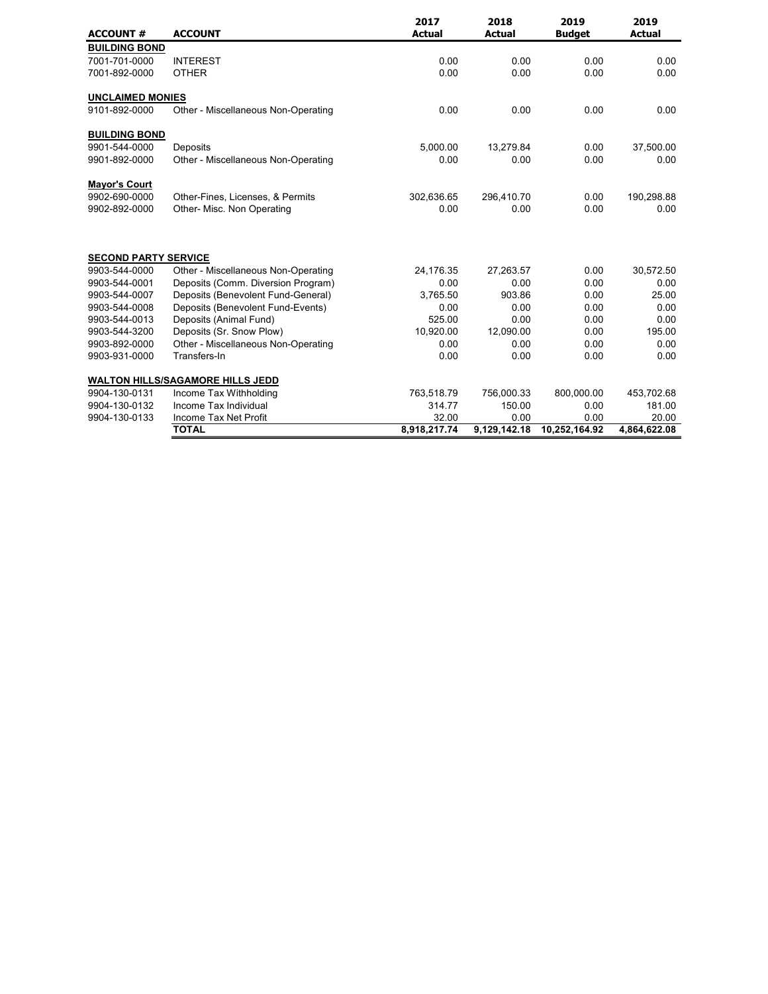| <b>ACCOUNT #</b>            | <b>ACCOUNT</b>                          | 2017<br><b>Actual</b> | 2018<br><b>Actual</b> | 2019<br><b>Budget</b> | 2019<br><b>Actual</b> |
|-----------------------------|-----------------------------------------|-----------------------|-----------------------|-----------------------|-----------------------|
| <b>BUILDING BOND</b>        |                                         |                       |                       |                       |                       |
| 7001-701-0000               | <b>INTEREST</b>                         | 0.00                  | 0.00                  | 0.00                  | 0.00                  |
| 7001-892-0000               | <b>OTHER</b>                            | 0.00                  | 0.00                  | 0.00                  | 0.00                  |
| <b>UNCLAIMED MONIES</b>     |                                         |                       |                       |                       |                       |
| 9101-892-0000               | Other - Miscellaneous Non-Operating     | 0.00                  | 0.00                  | 0.00                  | 0.00                  |
| <b>BUILDING BOND</b>        |                                         |                       |                       |                       |                       |
| 9901-544-0000               | Deposits                                | 5,000.00              | 13.279.84             | 0.00                  | 37,500.00             |
| 9901-892-0000               | Other - Miscellaneous Non-Operating     | 0.00                  | 0.00                  | 0.00                  | 0.00                  |
| <b>Mayor's Court</b>        |                                         |                       |                       |                       |                       |
| 9902-690-0000               | Other-Fines, Licenses, & Permits        | 302,636.65            | 296,410.70            | 0.00                  | 190,298.88            |
| 9902-892-0000               | Other- Misc. Non Operating              | 0.00                  | 0.00                  | 0.00                  | 0.00                  |
| <b>SECOND PARTY SERVICE</b> |                                         |                       |                       |                       |                       |
| 9903-544-0000               | Other - Miscellaneous Non-Operating     | 24,176.35             | 27,263.57             | 0.00                  | 30,572.50             |
| 9903-544-0001               | Deposits (Comm. Diversion Program)      | 0.00                  | 0.00                  | 0.00                  | 0.00                  |
| 9903-544-0007               | Deposits (Benevolent Fund-General)      | 3,765.50              | 903.86                | 0.00                  | 25.00                 |
| 9903-544-0008               | Deposits (Benevolent Fund-Events)       | 0.00                  | 0.00                  | 0.00                  | 0.00                  |
| 9903-544-0013               | Deposits (Animal Fund)                  | 525.00                | 0.00                  | 0.00                  | 0.00                  |
| 9903-544-3200               | Deposits (Sr. Snow Plow)                | 10,920.00             | 12,090.00             | 0.00                  | 195.00                |
| 9903-892-0000               | Other - Miscellaneous Non-Operating     | 0.00                  | 0.00                  | 0.00                  | 0.00                  |
| 9903-931-0000               | Transfers-In                            | 0.00                  | 0.00                  | 0.00                  | 0.00                  |
|                             | <b>WALTON HILLS/SAGAMORE HILLS JEDD</b> |                       |                       |                       |                       |
| 9904-130-0131               | Income Tax Withholding                  | 763,518.79            | 756,000.33            | 800,000.00            | 453,702.68            |
| 9904-130-0132               | Income Tax Individual                   | 314.77                | 150.00                | 0.00                  | 181.00                |
| 9904-130-0133               | Income Tax Net Profit                   | 32.00                 | 0.00                  | 0.00                  | 20.00                 |
|                             | <b>TOTAL</b>                            | 8,918,217.74          | 9,129,142.18          | 10,252,164.92         | 4,864,622.08          |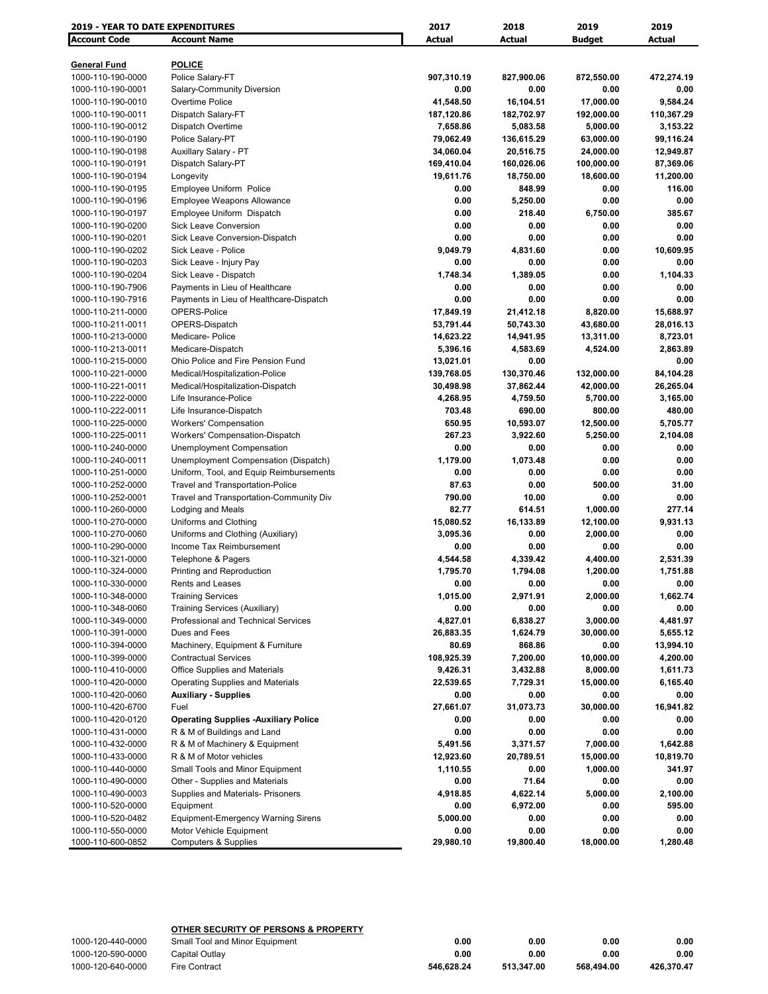| <b>Account Code</b><br><b>Account Name</b><br><b>Actual</b><br><b>Actual</b><br><b>Budget</b><br><b>Actual</b><br><b>POLICE</b><br><b>General Fund</b><br>1000-110-190-0000<br>Police Salary-FT<br>907,310.19<br>827,900.06<br>872,550.00<br>472,274.19<br>0.00<br>0.00<br>1000-110-190-0001<br>Salary-Community Diversion<br>0.00<br>0.00<br>Overtime Police<br>16,104.51<br>17,000.00<br>9,584.24<br>1000-110-190-0010<br>41,548.50<br>110,367.29<br>1000-110-190-0011<br>Dispatch Salary-FT<br>187,120.86<br>182,702.97<br>192,000.00<br>Dispatch Overtime<br>3,153.22<br>1000-110-190-0012<br>7,658.86<br>5,083.58<br>5,000.00<br>1000-110-190-0190<br>Police Salary-PT<br>79,062.49<br>136,615.29<br>63,000.00<br>99,116.24<br>1000-110-190-0198<br>Auxillary Salary - PT<br>34,060.04<br>20,516.75<br>24,000.00<br>12,949.87<br>Dispatch Salary-PT<br>1000-110-190-0191<br>169,410.04<br>160,026.06<br>100,000.00<br>87,369.06<br>19,611.76<br>1000-110-190-0194<br>Longevity<br>18,750.00<br>18,600.00<br>11,200.00<br>Employee Uniform Police<br>0.00<br>848.99<br>0.00<br>116.00<br>1000-110-190-0195<br><b>Employee Weapons Allowance</b><br>5,250.00<br>0.00<br>1000-110-190-0196<br>0.00<br>0.00<br>1000-110-190-0197<br>Employee Uniform Dispatch<br>0.00<br>218.40<br>6,750.00<br>385.67<br><b>Sick Leave Conversion</b><br>0.00<br>0.00<br>0.00<br>0.00<br>1000-110-190-0200<br>Sick Leave Conversion-Dispatch<br>0.00<br>0.00<br>0.00<br>0.00<br>1000-110-190-0201<br>1000-110-190-0202<br>Sick Leave - Police<br>9,049.79<br>4,831.60<br>0.00<br>10,609.95<br>Sick Leave - Injury Pay<br>0.00<br>0.00<br>0.00<br>0.00<br>1000-110-190-0203<br>1,748.34<br>1,389.05<br>0.00<br>1,104.33<br>1000-110-190-0204<br>Sick Leave - Dispatch<br>0.00<br>0.00<br>1000-110-190-7906<br>Payments in Lieu of Healthcare<br>0.00<br>0.00<br>0.00<br>0.00<br>0.00<br>0.00<br>1000-110-190-7916<br>Payments in Lieu of Healthcare-Dispatch<br>OPERS-Police<br>17,849.19<br>21,412.18<br>1000-110-211-0000<br>8,820.00<br>15,688.97<br>OPERS-Dispatch<br>53,791.44<br>50,743.30<br>43,680.00<br>1000-110-211-0011<br>28,016.13<br>1000-110-213-0000<br>Medicare- Police<br>14,623.22<br>14,941.95<br>13,311.00<br>8,723.01<br>5,396.16<br>4,583.69<br>4,524.00<br>2,863.89<br>Medicare-Dispatch<br>1000-110-213-0011<br>1000-110-215-0000<br>Ohio Police and Fire Pension Fund<br>13,021.01<br>0.00<br>0.00<br>139,768.05<br>130,370.46<br>84,104.28<br>1000-110-221-0000<br>Medical/Hospitalization-Police<br>132,000.00<br>30,498.98<br>37,862.44<br>42,000.00<br>26,265.04<br>1000-110-221-0011<br>Medical/Hospitalization-Dispatch<br>Life Insurance-Police<br>1000-110-222-0000<br>4,268.95<br>4,759.50<br>5,700.00<br>3,165.00<br>1000-110-222-0011<br>Life Insurance-Dispatch<br>703.48<br>690.00<br>800.00<br>480.00<br>650.95<br>10,593.07<br>1000-110-225-0000<br><b>Workers' Compensation</b><br>12,500.00<br>5,705.77<br>1000-110-225-0011<br>Workers' Compensation-Dispatch<br>267.23<br>3,922.60<br>5,250.00<br>2,104.08<br>1000-110-240-0000<br><b>Unemployment Compensation</b><br>0.00<br>0.00<br>0.00<br>0.00<br>1,073.48<br>Unemployment Compensation (Dispatch)<br>1,179.00<br>0.00<br>0.00<br>1000-110-240-0011<br>Uniform, Tool, and Equip Reimbursements<br>0.00<br>0.00<br>0.00<br>1000-110-251-0000<br>0.00<br>87.63<br>0.00<br>500.00<br>31.00<br>1000-110-252-0000<br><b>Travel and Transportation-Police</b><br>1000-110-252-0001<br>Travel and Transportation-Community Div<br>790.00<br>10.00<br>0.00<br>0.00<br>82.77<br>614.51<br>277.14<br>1000-110-260-0000<br>Lodging and Meals<br>1,000.00<br>15,080.52<br>16,133.89<br>9,931.13<br>1000-110-270-0000<br>Uniforms and Clothing<br>12,100.00<br>Uniforms and Clothing (Auxiliary)<br>3,095.36<br>0.00<br>0.00<br>1000-110-270-0060<br>2,000.00<br>1000-110-290-0000<br>Income Tax Reimbursement<br>0.00<br>0.00<br>0.00<br>0.00<br>1000-110-321-0000<br>4,544.58<br>4,339.42<br>4,400.00<br>2,531.39<br>Telephone & Pagers<br>1000-110-324-0000<br>Printing and Reproduction<br>1,795.70<br>1,794.08<br>1,200.00<br>1,751.88<br>0.00<br>0.00<br>1000-110-330-0000<br>0.00<br>0.00<br>Rents and Leases<br>1,015.00<br>2,971.91<br>2,000.00<br>1,662.74<br>1000-110-348-0000<br><b>Training Services</b><br>1000-110-348-0060<br>Training Services (Auxiliary)<br>0.00<br>0.00<br>0.00<br>0.00<br>Professional and Technical Services<br>4,827.01<br>3,000.00<br>4,481.97<br>1000-110-349-0000<br>6,838.27<br>Dues and Fees<br>26,883.35<br>1,624.79<br>30,000.00<br>5,655.12<br>1000-110-391-0000<br>Machinery, Equipment & Furniture<br>1000-110-394-0000<br>80.69<br>868.86<br>0.00<br>13,994.10<br><b>Contractual Services</b><br>108,925.39<br>7,200.00<br>10,000.00<br>1000-110-399-0000<br>4,200.00<br><b>Office Supplies and Materials</b><br>9,426.31<br>1000-110-410-0000<br>3,432.88<br>8,000.00<br>1,611.73<br>1000-110-420-0000<br>Operating Supplies and Materials<br>22,539.65<br>7,729.31<br>15,000.00<br>6,165.40<br>1000-110-420-0060<br><b>Auxiliary - Supplies</b><br>0.00<br>0.00<br>0.00<br>0.00<br>27,661.07<br>31,073.73<br>30,000.00<br>16,941.82<br>1000-110-420-6700<br>Fuel<br>1000-110-420-0120<br><b>Operating Supplies -Auxiliary Police</b><br>0.00<br>0.00<br>0.00<br>0.00<br>0.00<br>0.00<br>0.00<br>0.00<br>1000-110-431-0000<br>R & M of Buildings and Land<br>1000-110-432-0000<br>R & M of Machinery & Equipment<br>5,491.56<br>3,371.57<br>7,000.00<br>1,642.88<br>1000-110-433-0000<br>R & M of Motor vehicles<br>12,923.60<br>20,789.51<br>15,000.00<br>10,819.70<br>Small Tools and Minor Equipment<br>1,110.55<br>0.00<br>1,000.00<br>341.97<br>1000-110-440-0000<br>Other - Supplies and Materials<br>71.64<br>1000-110-490-0000<br>0.00<br>0.00<br>0.00<br>Supplies and Materials- Prisoners<br>4,622.14<br>1000-110-490-0003<br>4,918.85<br>5,000.00<br>2,100.00<br>6,972.00<br>595.00<br>1000-110-520-0000<br>Equipment<br>0.00<br>0.00<br><b>Equipment-Emergency Warning Sirens</b><br>0.00<br>1000-110-520-0482<br>5,000.00<br>0.00<br>0.00<br>1000-110-550-0000<br>Motor Vehicle Equipment<br>0.00<br>0.00<br>0.00<br>0.00<br><b>Computers &amp; Supplies</b><br>29,980.10<br>19,800.40<br>18,000.00<br>1,280.48<br>1000-110-600-0852 | <b>2019 - YEAR TO DATE EXPENDITURES</b> | 2017 | 2018 | 2019 | 2019 |
|---------------------------------------------------------------------------------------------------------------------------------------------------------------------------------------------------------------------------------------------------------------------------------------------------------------------------------------------------------------------------------------------------------------------------------------------------------------------------------------------------------------------------------------------------------------------------------------------------------------------------------------------------------------------------------------------------------------------------------------------------------------------------------------------------------------------------------------------------------------------------------------------------------------------------------------------------------------------------------------------------------------------------------------------------------------------------------------------------------------------------------------------------------------------------------------------------------------------------------------------------------------------------------------------------------------------------------------------------------------------------------------------------------------------------------------------------------------------------------------------------------------------------------------------------------------------------------------------------------------------------------------------------------------------------------------------------------------------------------------------------------------------------------------------------------------------------------------------------------------------------------------------------------------------------------------------------------------------------------------------------------------------------------------------------------------------------------------------------------------------------------------------------------------------------------------------------------------------------------------------------------------------------------------------------------------------------------------------------------------------------------------------------------------------------------------------------------------------------------------------------------------------------------------------------------------------------------------------------------------------------------------------------------------------------------------------------------------------------------------------------------------------------------------------------------------------------------------------------------------------------------------------------------------------------------------------------------------------------------------------------------------------------------------------------------------------------------------------------------------------------------------------------------------------------------------------------------------------------------------------------------------------------------------------------------------------------------------------------------------------------------------------------------------------------------------------------------------------------------------------------------------------------------------------------------------------------------------------------------------------------------------------------------------------------------------------------------------------------------------------------------------------------------------------------------------------------------------------------------------------------------------------------------------------------------------------------------------------------------------------------------------------------------------------------------------------------------------------------------------------------------------------------------------------------------------------------------------------------------------------------------------------------------------------------------------------------------------------------------------------------------------------------------------------------------------------------------------------------------------------------------------------------------------------------------------------------------------------------------------------------------------------------------------------------------------------------------------------------------------------------------------------------------------------------------------------------------------------------------------------------------------------------------------------------------------------------------------------------------------------------------------------------------------------------------------------------------------------------------------------------------------------------------------------------------------------------------------------------------------------------------------------------------------------------------------------------------------------------------------------------------------------------------------------------------------------------------------------------------------------------------------------------------------------------------------------------------------------------------------------------------------------------------------------------------------------------------------------------------------------------------------------------------------------------------------------------------------------------------------------------------------------------------------------------------------------------------------------------------------------------------------------------------------------------------------------------------------------------------------------------------------------------------------------------------------------------------------------------------------------------------------------------|-----------------------------------------|------|------|------|------|
|                                                                                                                                                                                                                                                                                                                                                                                                                                                                                                                                                                                                                                                                                                                                                                                                                                                                                                                                                                                                                                                                                                                                                                                                                                                                                                                                                                                                                                                                                                                                                                                                                                                                                                                                                                                                                                                                                                                                                                                                                                                                                                                                                                                                                                                                                                                                                                                                                                                                                                                                                                                                                                                                                                                                                                                                                                                                                                                                                                                                                                                                                                                                                                                                                                                                                                                                                                                                                                                                                                                                                                                                                                                                                                                                                                                                                                                                                                                                                                                                                                                                                                                                                                                                                                                                                                                                                                                                                                                                                                                                                                                                                                                                                                                                                                                                                                                                                                                                                                                                                                                                                                                                                                                                                                                                                                                                                                                                                                                                                                                                                                                                                                                                                                                                                                                                                                                                                                                                                                                                                                                                                                                                                                                                                                                                           |                                         |      |      |      |      |
|                                                                                                                                                                                                                                                                                                                                                                                                                                                                                                                                                                                                                                                                                                                                                                                                                                                                                                                                                                                                                                                                                                                                                                                                                                                                                                                                                                                                                                                                                                                                                                                                                                                                                                                                                                                                                                                                                                                                                                                                                                                                                                                                                                                                                                                                                                                                                                                                                                                                                                                                                                                                                                                                                                                                                                                                                                                                                                                                                                                                                                                                                                                                                                                                                                                                                                                                                                                                                                                                                                                                                                                                                                                                                                                                                                                                                                                                                                                                                                                                                                                                                                                                                                                                                                                                                                                                                                                                                                                                                                                                                                                                                                                                                                                                                                                                                                                                                                                                                                                                                                                                                                                                                                                                                                                                                                                                                                                                                                                                                                                                                                                                                                                                                                                                                                                                                                                                                                                                                                                                                                                                                                                                                                                                                                                                           |                                         |      |      |      |      |
|                                                                                                                                                                                                                                                                                                                                                                                                                                                                                                                                                                                                                                                                                                                                                                                                                                                                                                                                                                                                                                                                                                                                                                                                                                                                                                                                                                                                                                                                                                                                                                                                                                                                                                                                                                                                                                                                                                                                                                                                                                                                                                                                                                                                                                                                                                                                                                                                                                                                                                                                                                                                                                                                                                                                                                                                                                                                                                                                                                                                                                                                                                                                                                                                                                                                                                                                                                                                                                                                                                                                                                                                                                                                                                                                                                                                                                                                                                                                                                                                                                                                                                                                                                                                                                                                                                                                                                                                                                                                                                                                                                                                                                                                                                                                                                                                                                                                                                                                                                                                                                                                                                                                                                                                                                                                                                                                                                                                                                                                                                                                                                                                                                                                                                                                                                                                                                                                                                                                                                                                                                                                                                                                                                                                                                                                           |                                         |      |      |      |      |
|                                                                                                                                                                                                                                                                                                                                                                                                                                                                                                                                                                                                                                                                                                                                                                                                                                                                                                                                                                                                                                                                                                                                                                                                                                                                                                                                                                                                                                                                                                                                                                                                                                                                                                                                                                                                                                                                                                                                                                                                                                                                                                                                                                                                                                                                                                                                                                                                                                                                                                                                                                                                                                                                                                                                                                                                                                                                                                                                                                                                                                                                                                                                                                                                                                                                                                                                                                                                                                                                                                                                                                                                                                                                                                                                                                                                                                                                                                                                                                                                                                                                                                                                                                                                                                                                                                                                                                                                                                                                                                                                                                                                                                                                                                                                                                                                                                                                                                                                                                                                                                                                                                                                                                                                                                                                                                                                                                                                                                                                                                                                                                                                                                                                                                                                                                                                                                                                                                                                                                                                                                                                                                                                                                                                                                                                           |                                         |      |      |      |      |
|                                                                                                                                                                                                                                                                                                                                                                                                                                                                                                                                                                                                                                                                                                                                                                                                                                                                                                                                                                                                                                                                                                                                                                                                                                                                                                                                                                                                                                                                                                                                                                                                                                                                                                                                                                                                                                                                                                                                                                                                                                                                                                                                                                                                                                                                                                                                                                                                                                                                                                                                                                                                                                                                                                                                                                                                                                                                                                                                                                                                                                                                                                                                                                                                                                                                                                                                                                                                                                                                                                                                                                                                                                                                                                                                                                                                                                                                                                                                                                                                                                                                                                                                                                                                                                                                                                                                                                                                                                                                                                                                                                                                                                                                                                                                                                                                                                                                                                                                                                                                                                                                                                                                                                                                                                                                                                                                                                                                                                                                                                                                                                                                                                                                                                                                                                                                                                                                                                                                                                                                                                                                                                                                                                                                                                                                           |                                         |      |      |      |      |
|                                                                                                                                                                                                                                                                                                                                                                                                                                                                                                                                                                                                                                                                                                                                                                                                                                                                                                                                                                                                                                                                                                                                                                                                                                                                                                                                                                                                                                                                                                                                                                                                                                                                                                                                                                                                                                                                                                                                                                                                                                                                                                                                                                                                                                                                                                                                                                                                                                                                                                                                                                                                                                                                                                                                                                                                                                                                                                                                                                                                                                                                                                                                                                                                                                                                                                                                                                                                                                                                                                                                                                                                                                                                                                                                                                                                                                                                                                                                                                                                                                                                                                                                                                                                                                                                                                                                                                                                                                                                                                                                                                                                                                                                                                                                                                                                                                                                                                                                                                                                                                                                                                                                                                                                                                                                                                                                                                                                                                                                                                                                                                                                                                                                                                                                                                                                                                                                                                                                                                                                                                                                                                                                                                                                                                                                           |                                         |      |      |      |      |
|                                                                                                                                                                                                                                                                                                                                                                                                                                                                                                                                                                                                                                                                                                                                                                                                                                                                                                                                                                                                                                                                                                                                                                                                                                                                                                                                                                                                                                                                                                                                                                                                                                                                                                                                                                                                                                                                                                                                                                                                                                                                                                                                                                                                                                                                                                                                                                                                                                                                                                                                                                                                                                                                                                                                                                                                                                                                                                                                                                                                                                                                                                                                                                                                                                                                                                                                                                                                                                                                                                                                                                                                                                                                                                                                                                                                                                                                                                                                                                                                                                                                                                                                                                                                                                                                                                                                                                                                                                                                                                                                                                                                                                                                                                                                                                                                                                                                                                                                                                                                                                                                                                                                                                                                                                                                                                                                                                                                                                                                                                                                                                                                                                                                                                                                                                                                                                                                                                                                                                                                                                                                                                                                                                                                                                                                           |                                         |      |      |      |      |
|                                                                                                                                                                                                                                                                                                                                                                                                                                                                                                                                                                                                                                                                                                                                                                                                                                                                                                                                                                                                                                                                                                                                                                                                                                                                                                                                                                                                                                                                                                                                                                                                                                                                                                                                                                                                                                                                                                                                                                                                                                                                                                                                                                                                                                                                                                                                                                                                                                                                                                                                                                                                                                                                                                                                                                                                                                                                                                                                                                                                                                                                                                                                                                                                                                                                                                                                                                                                                                                                                                                                                                                                                                                                                                                                                                                                                                                                                                                                                                                                                                                                                                                                                                                                                                                                                                                                                                                                                                                                                                                                                                                                                                                                                                                                                                                                                                                                                                                                                                                                                                                                                                                                                                                                                                                                                                                                                                                                                                                                                                                                                                                                                                                                                                                                                                                                                                                                                                                                                                                                                                                                                                                                                                                                                                                                           |                                         |      |      |      |      |
|                                                                                                                                                                                                                                                                                                                                                                                                                                                                                                                                                                                                                                                                                                                                                                                                                                                                                                                                                                                                                                                                                                                                                                                                                                                                                                                                                                                                                                                                                                                                                                                                                                                                                                                                                                                                                                                                                                                                                                                                                                                                                                                                                                                                                                                                                                                                                                                                                                                                                                                                                                                                                                                                                                                                                                                                                                                                                                                                                                                                                                                                                                                                                                                                                                                                                                                                                                                                                                                                                                                                                                                                                                                                                                                                                                                                                                                                                                                                                                                                                                                                                                                                                                                                                                                                                                                                                                                                                                                                                                                                                                                                                                                                                                                                                                                                                                                                                                                                                                                                                                                                                                                                                                                                                                                                                                                                                                                                                                                                                                                                                                                                                                                                                                                                                                                                                                                                                                                                                                                                                                                                                                                                                                                                                                                                           |                                         |      |      |      |      |
|                                                                                                                                                                                                                                                                                                                                                                                                                                                                                                                                                                                                                                                                                                                                                                                                                                                                                                                                                                                                                                                                                                                                                                                                                                                                                                                                                                                                                                                                                                                                                                                                                                                                                                                                                                                                                                                                                                                                                                                                                                                                                                                                                                                                                                                                                                                                                                                                                                                                                                                                                                                                                                                                                                                                                                                                                                                                                                                                                                                                                                                                                                                                                                                                                                                                                                                                                                                                                                                                                                                                                                                                                                                                                                                                                                                                                                                                                                                                                                                                                                                                                                                                                                                                                                                                                                                                                                                                                                                                                                                                                                                                                                                                                                                                                                                                                                                                                                                                                                                                                                                                                                                                                                                                                                                                                                                                                                                                                                                                                                                                                                                                                                                                                                                                                                                                                                                                                                                                                                                                                                                                                                                                                                                                                                                                           |                                         |      |      |      |      |
|                                                                                                                                                                                                                                                                                                                                                                                                                                                                                                                                                                                                                                                                                                                                                                                                                                                                                                                                                                                                                                                                                                                                                                                                                                                                                                                                                                                                                                                                                                                                                                                                                                                                                                                                                                                                                                                                                                                                                                                                                                                                                                                                                                                                                                                                                                                                                                                                                                                                                                                                                                                                                                                                                                                                                                                                                                                                                                                                                                                                                                                                                                                                                                                                                                                                                                                                                                                                                                                                                                                                                                                                                                                                                                                                                                                                                                                                                                                                                                                                                                                                                                                                                                                                                                                                                                                                                                                                                                                                                                                                                                                                                                                                                                                                                                                                                                                                                                                                                                                                                                                                                                                                                                                                                                                                                                                                                                                                                                                                                                                                                                                                                                                                                                                                                                                                                                                                                                                                                                                                                                                                                                                                                                                                                                                                           |                                         |      |      |      |      |
|                                                                                                                                                                                                                                                                                                                                                                                                                                                                                                                                                                                                                                                                                                                                                                                                                                                                                                                                                                                                                                                                                                                                                                                                                                                                                                                                                                                                                                                                                                                                                                                                                                                                                                                                                                                                                                                                                                                                                                                                                                                                                                                                                                                                                                                                                                                                                                                                                                                                                                                                                                                                                                                                                                                                                                                                                                                                                                                                                                                                                                                                                                                                                                                                                                                                                                                                                                                                                                                                                                                                                                                                                                                                                                                                                                                                                                                                                                                                                                                                                                                                                                                                                                                                                                                                                                                                                                                                                                                                                                                                                                                                                                                                                                                                                                                                                                                                                                                                                                                                                                                                                                                                                                                                                                                                                                                                                                                                                                                                                                                                                                                                                                                                                                                                                                                                                                                                                                                                                                                                                                                                                                                                                                                                                                                                           |                                         |      |      |      |      |
|                                                                                                                                                                                                                                                                                                                                                                                                                                                                                                                                                                                                                                                                                                                                                                                                                                                                                                                                                                                                                                                                                                                                                                                                                                                                                                                                                                                                                                                                                                                                                                                                                                                                                                                                                                                                                                                                                                                                                                                                                                                                                                                                                                                                                                                                                                                                                                                                                                                                                                                                                                                                                                                                                                                                                                                                                                                                                                                                                                                                                                                                                                                                                                                                                                                                                                                                                                                                                                                                                                                                                                                                                                                                                                                                                                                                                                                                                                                                                                                                                                                                                                                                                                                                                                                                                                                                                                                                                                                                                                                                                                                                                                                                                                                                                                                                                                                                                                                                                                                                                                                                                                                                                                                                                                                                                                                                                                                                                                                                                                                                                                                                                                                                                                                                                                                                                                                                                                                                                                                                                                                                                                                                                                                                                                                                           |                                         |      |      |      |      |
|                                                                                                                                                                                                                                                                                                                                                                                                                                                                                                                                                                                                                                                                                                                                                                                                                                                                                                                                                                                                                                                                                                                                                                                                                                                                                                                                                                                                                                                                                                                                                                                                                                                                                                                                                                                                                                                                                                                                                                                                                                                                                                                                                                                                                                                                                                                                                                                                                                                                                                                                                                                                                                                                                                                                                                                                                                                                                                                                                                                                                                                                                                                                                                                                                                                                                                                                                                                                                                                                                                                                                                                                                                                                                                                                                                                                                                                                                                                                                                                                                                                                                                                                                                                                                                                                                                                                                                                                                                                                                                                                                                                                                                                                                                                                                                                                                                                                                                                                                                                                                                                                                                                                                                                                                                                                                                                                                                                                                                                                                                                                                                                                                                                                                                                                                                                                                                                                                                                                                                                                                                                                                                                                                                                                                                                                           |                                         |      |      |      |      |
|                                                                                                                                                                                                                                                                                                                                                                                                                                                                                                                                                                                                                                                                                                                                                                                                                                                                                                                                                                                                                                                                                                                                                                                                                                                                                                                                                                                                                                                                                                                                                                                                                                                                                                                                                                                                                                                                                                                                                                                                                                                                                                                                                                                                                                                                                                                                                                                                                                                                                                                                                                                                                                                                                                                                                                                                                                                                                                                                                                                                                                                                                                                                                                                                                                                                                                                                                                                                                                                                                                                                                                                                                                                                                                                                                                                                                                                                                                                                                                                                                                                                                                                                                                                                                                                                                                                                                                                                                                                                                                                                                                                                                                                                                                                                                                                                                                                                                                                                                                                                                                                                                                                                                                                                                                                                                                                                                                                                                                                                                                                                                                                                                                                                                                                                                                                                                                                                                                                                                                                                                                                                                                                                                                                                                                                                           |                                         |      |      |      |      |
|                                                                                                                                                                                                                                                                                                                                                                                                                                                                                                                                                                                                                                                                                                                                                                                                                                                                                                                                                                                                                                                                                                                                                                                                                                                                                                                                                                                                                                                                                                                                                                                                                                                                                                                                                                                                                                                                                                                                                                                                                                                                                                                                                                                                                                                                                                                                                                                                                                                                                                                                                                                                                                                                                                                                                                                                                                                                                                                                                                                                                                                                                                                                                                                                                                                                                                                                                                                                                                                                                                                                                                                                                                                                                                                                                                                                                                                                                                                                                                                                                                                                                                                                                                                                                                                                                                                                                                                                                                                                                                                                                                                                                                                                                                                                                                                                                                                                                                                                                                                                                                                                                                                                                                                                                                                                                                                                                                                                                                                                                                                                                                                                                                                                                                                                                                                                                                                                                                                                                                                                                                                                                                                                                                                                                                                                           |                                         |      |      |      |      |
|                                                                                                                                                                                                                                                                                                                                                                                                                                                                                                                                                                                                                                                                                                                                                                                                                                                                                                                                                                                                                                                                                                                                                                                                                                                                                                                                                                                                                                                                                                                                                                                                                                                                                                                                                                                                                                                                                                                                                                                                                                                                                                                                                                                                                                                                                                                                                                                                                                                                                                                                                                                                                                                                                                                                                                                                                                                                                                                                                                                                                                                                                                                                                                                                                                                                                                                                                                                                                                                                                                                                                                                                                                                                                                                                                                                                                                                                                                                                                                                                                                                                                                                                                                                                                                                                                                                                                                                                                                                                                                                                                                                                                                                                                                                                                                                                                                                                                                                                                                                                                                                                                                                                                                                                                                                                                                                                                                                                                                                                                                                                                                                                                                                                                                                                                                                                                                                                                                                                                                                                                                                                                                                                                                                                                                                                           |                                         |      |      |      |      |
|                                                                                                                                                                                                                                                                                                                                                                                                                                                                                                                                                                                                                                                                                                                                                                                                                                                                                                                                                                                                                                                                                                                                                                                                                                                                                                                                                                                                                                                                                                                                                                                                                                                                                                                                                                                                                                                                                                                                                                                                                                                                                                                                                                                                                                                                                                                                                                                                                                                                                                                                                                                                                                                                                                                                                                                                                                                                                                                                                                                                                                                                                                                                                                                                                                                                                                                                                                                                                                                                                                                                                                                                                                                                                                                                                                                                                                                                                                                                                                                                                                                                                                                                                                                                                                                                                                                                                                                                                                                                                                                                                                                                                                                                                                                                                                                                                                                                                                                                                                                                                                                                                                                                                                                                                                                                                                                                                                                                                                                                                                                                                                                                                                                                                                                                                                                                                                                                                                                                                                                                                                                                                                                                                                                                                                                                           |                                         |      |      |      |      |
|                                                                                                                                                                                                                                                                                                                                                                                                                                                                                                                                                                                                                                                                                                                                                                                                                                                                                                                                                                                                                                                                                                                                                                                                                                                                                                                                                                                                                                                                                                                                                                                                                                                                                                                                                                                                                                                                                                                                                                                                                                                                                                                                                                                                                                                                                                                                                                                                                                                                                                                                                                                                                                                                                                                                                                                                                                                                                                                                                                                                                                                                                                                                                                                                                                                                                                                                                                                                                                                                                                                                                                                                                                                                                                                                                                                                                                                                                                                                                                                                                                                                                                                                                                                                                                                                                                                                                                                                                                                                                                                                                                                                                                                                                                                                                                                                                                                                                                                                                                                                                                                                                                                                                                                                                                                                                                                                                                                                                                                                                                                                                                                                                                                                                                                                                                                                                                                                                                                                                                                                                                                                                                                                                                                                                                                                           |                                         |      |      |      |      |
|                                                                                                                                                                                                                                                                                                                                                                                                                                                                                                                                                                                                                                                                                                                                                                                                                                                                                                                                                                                                                                                                                                                                                                                                                                                                                                                                                                                                                                                                                                                                                                                                                                                                                                                                                                                                                                                                                                                                                                                                                                                                                                                                                                                                                                                                                                                                                                                                                                                                                                                                                                                                                                                                                                                                                                                                                                                                                                                                                                                                                                                                                                                                                                                                                                                                                                                                                                                                                                                                                                                                                                                                                                                                                                                                                                                                                                                                                                                                                                                                                                                                                                                                                                                                                                                                                                                                                                                                                                                                                                                                                                                                                                                                                                                                                                                                                                                                                                                                                                                                                                                                                                                                                                                                                                                                                                                                                                                                                                                                                                                                                                                                                                                                                                                                                                                                                                                                                                                                                                                                                                                                                                                                                                                                                                                                           |                                         |      |      |      |      |
|                                                                                                                                                                                                                                                                                                                                                                                                                                                                                                                                                                                                                                                                                                                                                                                                                                                                                                                                                                                                                                                                                                                                                                                                                                                                                                                                                                                                                                                                                                                                                                                                                                                                                                                                                                                                                                                                                                                                                                                                                                                                                                                                                                                                                                                                                                                                                                                                                                                                                                                                                                                                                                                                                                                                                                                                                                                                                                                                                                                                                                                                                                                                                                                                                                                                                                                                                                                                                                                                                                                                                                                                                                                                                                                                                                                                                                                                                                                                                                                                                                                                                                                                                                                                                                                                                                                                                                                                                                                                                                                                                                                                                                                                                                                                                                                                                                                                                                                                                                                                                                                                                                                                                                                                                                                                                                                                                                                                                                                                                                                                                                                                                                                                                                                                                                                                                                                                                                                                                                                                                                                                                                                                                                                                                                                                           |                                         |      |      |      |      |
|                                                                                                                                                                                                                                                                                                                                                                                                                                                                                                                                                                                                                                                                                                                                                                                                                                                                                                                                                                                                                                                                                                                                                                                                                                                                                                                                                                                                                                                                                                                                                                                                                                                                                                                                                                                                                                                                                                                                                                                                                                                                                                                                                                                                                                                                                                                                                                                                                                                                                                                                                                                                                                                                                                                                                                                                                                                                                                                                                                                                                                                                                                                                                                                                                                                                                                                                                                                                                                                                                                                                                                                                                                                                                                                                                                                                                                                                                                                                                                                                                                                                                                                                                                                                                                                                                                                                                                                                                                                                                                                                                                                                                                                                                                                                                                                                                                                                                                                                                                                                                                                                                                                                                                                                                                                                                                                                                                                                                                                                                                                                                                                                                                                                                                                                                                                                                                                                                                                                                                                                                                                                                                                                                                                                                                                                           |                                         |      |      |      |      |
|                                                                                                                                                                                                                                                                                                                                                                                                                                                                                                                                                                                                                                                                                                                                                                                                                                                                                                                                                                                                                                                                                                                                                                                                                                                                                                                                                                                                                                                                                                                                                                                                                                                                                                                                                                                                                                                                                                                                                                                                                                                                                                                                                                                                                                                                                                                                                                                                                                                                                                                                                                                                                                                                                                                                                                                                                                                                                                                                                                                                                                                                                                                                                                                                                                                                                                                                                                                                                                                                                                                                                                                                                                                                                                                                                                                                                                                                                                                                                                                                                                                                                                                                                                                                                                                                                                                                                                                                                                                                                                                                                                                                                                                                                                                                                                                                                                                                                                                                                                                                                                                                                                                                                                                                                                                                                                                                                                                                                                                                                                                                                                                                                                                                                                                                                                                                                                                                                                                                                                                                                                                                                                                                                                                                                                                                           |                                         |      |      |      |      |
|                                                                                                                                                                                                                                                                                                                                                                                                                                                                                                                                                                                                                                                                                                                                                                                                                                                                                                                                                                                                                                                                                                                                                                                                                                                                                                                                                                                                                                                                                                                                                                                                                                                                                                                                                                                                                                                                                                                                                                                                                                                                                                                                                                                                                                                                                                                                                                                                                                                                                                                                                                                                                                                                                                                                                                                                                                                                                                                                                                                                                                                                                                                                                                                                                                                                                                                                                                                                                                                                                                                                                                                                                                                                                                                                                                                                                                                                                                                                                                                                                                                                                                                                                                                                                                                                                                                                                                                                                                                                                                                                                                                                                                                                                                                                                                                                                                                                                                                                                                                                                                                                                                                                                                                                                                                                                                                                                                                                                                                                                                                                                                                                                                                                                                                                                                                                                                                                                                                                                                                                                                                                                                                                                                                                                                                                           |                                         |      |      |      |      |
|                                                                                                                                                                                                                                                                                                                                                                                                                                                                                                                                                                                                                                                                                                                                                                                                                                                                                                                                                                                                                                                                                                                                                                                                                                                                                                                                                                                                                                                                                                                                                                                                                                                                                                                                                                                                                                                                                                                                                                                                                                                                                                                                                                                                                                                                                                                                                                                                                                                                                                                                                                                                                                                                                                                                                                                                                                                                                                                                                                                                                                                                                                                                                                                                                                                                                                                                                                                                                                                                                                                                                                                                                                                                                                                                                                                                                                                                                                                                                                                                                                                                                                                                                                                                                                                                                                                                                                                                                                                                                                                                                                                                                                                                                                                                                                                                                                                                                                                                                                                                                                                                                                                                                                                                                                                                                                                                                                                                                                                                                                                                                                                                                                                                                                                                                                                                                                                                                                                                                                                                                                                                                                                                                                                                                                                                           |                                         |      |      |      |      |
|                                                                                                                                                                                                                                                                                                                                                                                                                                                                                                                                                                                                                                                                                                                                                                                                                                                                                                                                                                                                                                                                                                                                                                                                                                                                                                                                                                                                                                                                                                                                                                                                                                                                                                                                                                                                                                                                                                                                                                                                                                                                                                                                                                                                                                                                                                                                                                                                                                                                                                                                                                                                                                                                                                                                                                                                                                                                                                                                                                                                                                                                                                                                                                                                                                                                                                                                                                                                                                                                                                                                                                                                                                                                                                                                                                                                                                                                                                                                                                                                                                                                                                                                                                                                                                                                                                                                                                                                                                                                                                                                                                                                                                                                                                                                                                                                                                                                                                                                                                                                                                                                                                                                                                                                                                                                                                                                                                                                                                                                                                                                                                                                                                                                                                                                                                                                                                                                                                                                                                                                                                                                                                                                                                                                                                                                           |                                         |      |      |      |      |
|                                                                                                                                                                                                                                                                                                                                                                                                                                                                                                                                                                                                                                                                                                                                                                                                                                                                                                                                                                                                                                                                                                                                                                                                                                                                                                                                                                                                                                                                                                                                                                                                                                                                                                                                                                                                                                                                                                                                                                                                                                                                                                                                                                                                                                                                                                                                                                                                                                                                                                                                                                                                                                                                                                                                                                                                                                                                                                                                                                                                                                                                                                                                                                                                                                                                                                                                                                                                                                                                                                                                                                                                                                                                                                                                                                                                                                                                                                                                                                                                                                                                                                                                                                                                                                                                                                                                                                                                                                                                                                                                                                                                                                                                                                                                                                                                                                                                                                                                                                                                                                                                                                                                                                                                                                                                                                                                                                                                                                                                                                                                                                                                                                                                                                                                                                                                                                                                                                                                                                                                                                                                                                                                                                                                                                                                           |                                         |      |      |      |      |
|                                                                                                                                                                                                                                                                                                                                                                                                                                                                                                                                                                                                                                                                                                                                                                                                                                                                                                                                                                                                                                                                                                                                                                                                                                                                                                                                                                                                                                                                                                                                                                                                                                                                                                                                                                                                                                                                                                                                                                                                                                                                                                                                                                                                                                                                                                                                                                                                                                                                                                                                                                                                                                                                                                                                                                                                                                                                                                                                                                                                                                                                                                                                                                                                                                                                                                                                                                                                                                                                                                                                                                                                                                                                                                                                                                                                                                                                                                                                                                                                                                                                                                                                                                                                                                                                                                                                                                                                                                                                                                                                                                                                                                                                                                                                                                                                                                                                                                                                                                                                                                                                                                                                                                                                                                                                                                                                                                                                                                                                                                                                                                                                                                                                                                                                                                                                                                                                                                                                                                                                                                                                                                                                                                                                                                                                           |                                         |      |      |      |      |
|                                                                                                                                                                                                                                                                                                                                                                                                                                                                                                                                                                                                                                                                                                                                                                                                                                                                                                                                                                                                                                                                                                                                                                                                                                                                                                                                                                                                                                                                                                                                                                                                                                                                                                                                                                                                                                                                                                                                                                                                                                                                                                                                                                                                                                                                                                                                                                                                                                                                                                                                                                                                                                                                                                                                                                                                                                                                                                                                                                                                                                                                                                                                                                                                                                                                                                                                                                                                                                                                                                                                                                                                                                                                                                                                                                                                                                                                                                                                                                                                                                                                                                                                                                                                                                                                                                                                                                                                                                                                                                                                                                                                                                                                                                                                                                                                                                                                                                                                                                                                                                                                                                                                                                                                                                                                                                                                                                                                                                                                                                                                                                                                                                                                                                                                                                                                                                                                                                                                                                                                                                                                                                                                                                                                                                                                           |                                         |      |      |      |      |
|                                                                                                                                                                                                                                                                                                                                                                                                                                                                                                                                                                                                                                                                                                                                                                                                                                                                                                                                                                                                                                                                                                                                                                                                                                                                                                                                                                                                                                                                                                                                                                                                                                                                                                                                                                                                                                                                                                                                                                                                                                                                                                                                                                                                                                                                                                                                                                                                                                                                                                                                                                                                                                                                                                                                                                                                                                                                                                                                                                                                                                                                                                                                                                                                                                                                                                                                                                                                                                                                                                                                                                                                                                                                                                                                                                                                                                                                                                                                                                                                                                                                                                                                                                                                                                                                                                                                                                                                                                                                                                                                                                                                                                                                                                                                                                                                                                                                                                                                                                                                                                                                                                                                                                                                                                                                                                                                                                                                                                                                                                                                                                                                                                                                                                                                                                                                                                                                                                                                                                                                                                                                                                                                                                                                                                                                           |                                         |      |      |      |      |
|                                                                                                                                                                                                                                                                                                                                                                                                                                                                                                                                                                                                                                                                                                                                                                                                                                                                                                                                                                                                                                                                                                                                                                                                                                                                                                                                                                                                                                                                                                                                                                                                                                                                                                                                                                                                                                                                                                                                                                                                                                                                                                                                                                                                                                                                                                                                                                                                                                                                                                                                                                                                                                                                                                                                                                                                                                                                                                                                                                                                                                                                                                                                                                                                                                                                                                                                                                                                                                                                                                                                                                                                                                                                                                                                                                                                                                                                                                                                                                                                                                                                                                                                                                                                                                                                                                                                                                                                                                                                                                                                                                                                                                                                                                                                                                                                                                                                                                                                                                                                                                                                                                                                                                                                                                                                                                                                                                                                                                                                                                                                                                                                                                                                                                                                                                                                                                                                                                                                                                                                                                                                                                                                                                                                                                                                           |                                         |      |      |      |      |
|                                                                                                                                                                                                                                                                                                                                                                                                                                                                                                                                                                                                                                                                                                                                                                                                                                                                                                                                                                                                                                                                                                                                                                                                                                                                                                                                                                                                                                                                                                                                                                                                                                                                                                                                                                                                                                                                                                                                                                                                                                                                                                                                                                                                                                                                                                                                                                                                                                                                                                                                                                                                                                                                                                                                                                                                                                                                                                                                                                                                                                                                                                                                                                                                                                                                                                                                                                                                                                                                                                                                                                                                                                                                                                                                                                                                                                                                                                                                                                                                                                                                                                                                                                                                                                                                                                                                                                                                                                                                                                                                                                                                                                                                                                                                                                                                                                                                                                                                                                                                                                                                                                                                                                                                                                                                                                                                                                                                                                                                                                                                                                                                                                                                                                                                                                                                                                                                                                                                                                                                                                                                                                                                                                                                                                                                           |                                         |      |      |      |      |
|                                                                                                                                                                                                                                                                                                                                                                                                                                                                                                                                                                                                                                                                                                                                                                                                                                                                                                                                                                                                                                                                                                                                                                                                                                                                                                                                                                                                                                                                                                                                                                                                                                                                                                                                                                                                                                                                                                                                                                                                                                                                                                                                                                                                                                                                                                                                                                                                                                                                                                                                                                                                                                                                                                                                                                                                                                                                                                                                                                                                                                                                                                                                                                                                                                                                                                                                                                                                                                                                                                                                                                                                                                                                                                                                                                                                                                                                                                                                                                                                                                                                                                                                                                                                                                                                                                                                                                                                                                                                                                                                                                                                                                                                                                                                                                                                                                                                                                                                                                                                                                                                                                                                                                                                                                                                                                                                                                                                                                                                                                                                                                                                                                                                                                                                                                                                                                                                                                                                                                                                                                                                                                                                                                                                                                                                           |                                         |      |      |      |      |
|                                                                                                                                                                                                                                                                                                                                                                                                                                                                                                                                                                                                                                                                                                                                                                                                                                                                                                                                                                                                                                                                                                                                                                                                                                                                                                                                                                                                                                                                                                                                                                                                                                                                                                                                                                                                                                                                                                                                                                                                                                                                                                                                                                                                                                                                                                                                                                                                                                                                                                                                                                                                                                                                                                                                                                                                                                                                                                                                                                                                                                                                                                                                                                                                                                                                                                                                                                                                                                                                                                                                                                                                                                                                                                                                                                                                                                                                                                                                                                                                                                                                                                                                                                                                                                                                                                                                                                                                                                                                                                                                                                                                                                                                                                                                                                                                                                                                                                                                                                                                                                                                                                                                                                                                                                                                                                                                                                                                                                                                                                                                                                                                                                                                                                                                                                                                                                                                                                                                                                                                                                                                                                                                                                                                                                                                           |                                         |      |      |      |      |
|                                                                                                                                                                                                                                                                                                                                                                                                                                                                                                                                                                                                                                                                                                                                                                                                                                                                                                                                                                                                                                                                                                                                                                                                                                                                                                                                                                                                                                                                                                                                                                                                                                                                                                                                                                                                                                                                                                                                                                                                                                                                                                                                                                                                                                                                                                                                                                                                                                                                                                                                                                                                                                                                                                                                                                                                                                                                                                                                                                                                                                                                                                                                                                                                                                                                                                                                                                                                                                                                                                                                                                                                                                                                                                                                                                                                                                                                                                                                                                                                                                                                                                                                                                                                                                                                                                                                                                                                                                                                                                                                                                                                                                                                                                                                                                                                                                                                                                                                                                                                                                                                                                                                                                                                                                                                                                                                                                                                                                                                                                                                                                                                                                                                                                                                                                                                                                                                                                                                                                                                                                                                                                                                                                                                                                                                           |                                         |      |      |      |      |
|                                                                                                                                                                                                                                                                                                                                                                                                                                                                                                                                                                                                                                                                                                                                                                                                                                                                                                                                                                                                                                                                                                                                                                                                                                                                                                                                                                                                                                                                                                                                                                                                                                                                                                                                                                                                                                                                                                                                                                                                                                                                                                                                                                                                                                                                                                                                                                                                                                                                                                                                                                                                                                                                                                                                                                                                                                                                                                                                                                                                                                                                                                                                                                                                                                                                                                                                                                                                                                                                                                                                                                                                                                                                                                                                                                                                                                                                                                                                                                                                                                                                                                                                                                                                                                                                                                                                                                                                                                                                                                                                                                                                                                                                                                                                                                                                                                                                                                                                                                                                                                                                                                                                                                                                                                                                                                                                                                                                                                                                                                                                                                                                                                                                                                                                                                                                                                                                                                                                                                                                                                                                                                                                                                                                                                                                           |                                         |      |      |      |      |
|                                                                                                                                                                                                                                                                                                                                                                                                                                                                                                                                                                                                                                                                                                                                                                                                                                                                                                                                                                                                                                                                                                                                                                                                                                                                                                                                                                                                                                                                                                                                                                                                                                                                                                                                                                                                                                                                                                                                                                                                                                                                                                                                                                                                                                                                                                                                                                                                                                                                                                                                                                                                                                                                                                                                                                                                                                                                                                                                                                                                                                                                                                                                                                                                                                                                                                                                                                                                                                                                                                                                                                                                                                                                                                                                                                                                                                                                                                                                                                                                                                                                                                                                                                                                                                                                                                                                                                                                                                                                                                                                                                                                                                                                                                                                                                                                                                                                                                                                                                                                                                                                                                                                                                                                                                                                                                                                                                                                                                                                                                                                                                                                                                                                                                                                                                                                                                                                                                                                                                                                                                                                                                                                                                                                                                                                           |                                         |      |      |      |      |
|                                                                                                                                                                                                                                                                                                                                                                                                                                                                                                                                                                                                                                                                                                                                                                                                                                                                                                                                                                                                                                                                                                                                                                                                                                                                                                                                                                                                                                                                                                                                                                                                                                                                                                                                                                                                                                                                                                                                                                                                                                                                                                                                                                                                                                                                                                                                                                                                                                                                                                                                                                                                                                                                                                                                                                                                                                                                                                                                                                                                                                                                                                                                                                                                                                                                                                                                                                                                                                                                                                                                                                                                                                                                                                                                                                                                                                                                                                                                                                                                                                                                                                                                                                                                                                                                                                                                                                                                                                                                                                                                                                                                                                                                                                                                                                                                                                                                                                                                                                                                                                                                                                                                                                                                                                                                                                                                                                                                                                                                                                                                                                                                                                                                                                                                                                                                                                                                                                                                                                                                                                                                                                                                                                                                                                                                           |                                         |      |      |      |      |
|                                                                                                                                                                                                                                                                                                                                                                                                                                                                                                                                                                                                                                                                                                                                                                                                                                                                                                                                                                                                                                                                                                                                                                                                                                                                                                                                                                                                                                                                                                                                                                                                                                                                                                                                                                                                                                                                                                                                                                                                                                                                                                                                                                                                                                                                                                                                                                                                                                                                                                                                                                                                                                                                                                                                                                                                                                                                                                                                                                                                                                                                                                                                                                                                                                                                                                                                                                                                                                                                                                                                                                                                                                                                                                                                                                                                                                                                                                                                                                                                                                                                                                                                                                                                                                                                                                                                                                                                                                                                                                                                                                                                                                                                                                                                                                                                                                                                                                                                                                                                                                                                                                                                                                                                                                                                                                                                                                                                                                                                                                                                                                                                                                                                                                                                                                                                                                                                                                                                                                                                                                                                                                                                                                                                                                                                           |                                         |      |      |      |      |
|                                                                                                                                                                                                                                                                                                                                                                                                                                                                                                                                                                                                                                                                                                                                                                                                                                                                                                                                                                                                                                                                                                                                                                                                                                                                                                                                                                                                                                                                                                                                                                                                                                                                                                                                                                                                                                                                                                                                                                                                                                                                                                                                                                                                                                                                                                                                                                                                                                                                                                                                                                                                                                                                                                                                                                                                                                                                                                                                                                                                                                                                                                                                                                                                                                                                                                                                                                                                                                                                                                                                                                                                                                                                                                                                                                                                                                                                                                                                                                                                                                                                                                                                                                                                                                                                                                                                                                                                                                                                                                                                                                                                                                                                                                                                                                                                                                                                                                                                                                                                                                                                                                                                                                                                                                                                                                                                                                                                                                                                                                                                                                                                                                                                                                                                                                                                                                                                                                                                                                                                                                                                                                                                                                                                                                                                           |                                         |      |      |      |      |
|                                                                                                                                                                                                                                                                                                                                                                                                                                                                                                                                                                                                                                                                                                                                                                                                                                                                                                                                                                                                                                                                                                                                                                                                                                                                                                                                                                                                                                                                                                                                                                                                                                                                                                                                                                                                                                                                                                                                                                                                                                                                                                                                                                                                                                                                                                                                                                                                                                                                                                                                                                                                                                                                                                                                                                                                                                                                                                                                                                                                                                                                                                                                                                                                                                                                                                                                                                                                                                                                                                                                                                                                                                                                                                                                                                                                                                                                                                                                                                                                                                                                                                                                                                                                                                                                                                                                                                                                                                                                                                                                                                                                                                                                                                                                                                                                                                                                                                                                                                                                                                                                                                                                                                                                                                                                                                                                                                                                                                                                                                                                                                                                                                                                                                                                                                                                                                                                                                                                                                                                                                                                                                                                                                                                                                                                           |                                         |      |      |      |      |
|                                                                                                                                                                                                                                                                                                                                                                                                                                                                                                                                                                                                                                                                                                                                                                                                                                                                                                                                                                                                                                                                                                                                                                                                                                                                                                                                                                                                                                                                                                                                                                                                                                                                                                                                                                                                                                                                                                                                                                                                                                                                                                                                                                                                                                                                                                                                                                                                                                                                                                                                                                                                                                                                                                                                                                                                                                                                                                                                                                                                                                                                                                                                                                                                                                                                                                                                                                                                                                                                                                                                                                                                                                                                                                                                                                                                                                                                                                                                                                                                                                                                                                                                                                                                                                                                                                                                                                                                                                                                                                                                                                                                                                                                                                                                                                                                                                                                                                                                                                                                                                                                                                                                                                                                                                                                                                                                                                                                                                                                                                                                                                                                                                                                                                                                                                                                                                                                                                                                                                                                                                                                                                                                                                                                                                                                           |                                         |      |      |      |      |
|                                                                                                                                                                                                                                                                                                                                                                                                                                                                                                                                                                                                                                                                                                                                                                                                                                                                                                                                                                                                                                                                                                                                                                                                                                                                                                                                                                                                                                                                                                                                                                                                                                                                                                                                                                                                                                                                                                                                                                                                                                                                                                                                                                                                                                                                                                                                                                                                                                                                                                                                                                                                                                                                                                                                                                                                                                                                                                                                                                                                                                                                                                                                                                                                                                                                                                                                                                                                                                                                                                                                                                                                                                                                                                                                                                                                                                                                                                                                                                                                                                                                                                                                                                                                                                                                                                                                                                                                                                                                                                                                                                                                                                                                                                                                                                                                                                                                                                                                                                                                                                                                                                                                                                                                                                                                                                                                                                                                                                                                                                                                                                                                                                                                                                                                                                                                                                                                                                                                                                                                                                                                                                                                                                                                                                                                           |                                         |      |      |      |      |
|                                                                                                                                                                                                                                                                                                                                                                                                                                                                                                                                                                                                                                                                                                                                                                                                                                                                                                                                                                                                                                                                                                                                                                                                                                                                                                                                                                                                                                                                                                                                                                                                                                                                                                                                                                                                                                                                                                                                                                                                                                                                                                                                                                                                                                                                                                                                                                                                                                                                                                                                                                                                                                                                                                                                                                                                                                                                                                                                                                                                                                                                                                                                                                                                                                                                                                                                                                                                                                                                                                                                                                                                                                                                                                                                                                                                                                                                                                                                                                                                                                                                                                                                                                                                                                                                                                                                                                                                                                                                                                                                                                                                                                                                                                                                                                                                                                                                                                                                                                                                                                                                                                                                                                                                                                                                                                                                                                                                                                                                                                                                                                                                                                                                                                                                                                                                                                                                                                                                                                                                                                                                                                                                                                                                                                                                           |                                         |      |      |      |      |
|                                                                                                                                                                                                                                                                                                                                                                                                                                                                                                                                                                                                                                                                                                                                                                                                                                                                                                                                                                                                                                                                                                                                                                                                                                                                                                                                                                                                                                                                                                                                                                                                                                                                                                                                                                                                                                                                                                                                                                                                                                                                                                                                                                                                                                                                                                                                                                                                                                                                                                                                                                                                                                                                                                                                                                                                                                                                                                                                                                                                                                                                                                                                                                                                                                                                                                                                                                                                                                                                                                                                                                                                                                                                                                                                                                                                                                                                                                                                                                                                                                                                                                                                                                                                                                                                                                                                                                                                                                                                                                                                                                                                                                                                                                                                                                                                                                                                                                                                                                                                                                                                                                                                                                                                                                                                                                                                                                                                                                                                                                                                                                                                                                                                                                                                                                                                                                                                                                                                                                                                                                                                                                                                                                                                                                                                           |                                         |      |      |      |      |
|                                                                                                                                                                                                                                                                                                                                                                                                                                                                                                                                                                                                                                                                                                                                                                                                                                                                                                                                                                                                                                                                                                                                                                                                                                                                                                                                                                                                                                                                                                                                                                                                                                                                                                                                                                                                                                                                                                                                                                                                                                                                                                                                                                                                                                                                                                                                                                                                                                                                                                                                                                                                                                                                                                                                                                                                                                                                                                                                                                                                                                                                                                                                                                                                                                                                                                                                                                                                                                                                                                                                                                                                                                                                                                                                                                                                                                                                                                                                                                                                                                                                                                                                                                                                                                                                                                                                                                                                                                                                                                                                                                                                                                                                                                                                                                                                                                                                                                                                                                                                                                                                                                                                                                                                                                                                                                                                                                                                                                                                                                                                                                                                                                                                                                                                                                                                                                                                                                                                                                                                                                                                                                                                                                                                                                                                           |                                         |      |      |      |      |
|                                                                                                                                                                                                                                                                                                                                                                                                                                                                                                                                                                                                                                                                                                                                                                                                                                                                                                                                                                                                                                                                                                                                                                                                                                                                                                                                                                                                                                                                                                                                                                                                                                                                                                                                                                                                                                                                                                                                                                                                                                                                                                                                                                                                                                                                                                                                                                                                                                                                                                                                                                                                                                                                                                                                                                                                                                                                                                                                                                                                                                                                                                                                                                                                                                                                                                                                                                                                                                                                                                                                                                                                                                                                                                                                                                                                                                                                                                                                                                                                                                                                                                                                                                                                                                                                                                                                                                                                                                                                                                                                                                                                                                                                                                                                                                                                                                                                                                                                                                                                                                                                                                                                                                                                                                                                                                                                                                                                                                                                                                                                                                                                                                                                                                                                                                                                                                                                                                                                                                                                                                                                                                                                                                                                                                                                           |                                         |      |      |      |      |
|                                                                                                                                                                                                                                                                                                                                                                                                                                                                                                                                                                                                                                                                                                                                                                                                                                                                                                                                                                                                                                                                                                                                                                                                                                                                                                                                                                                                                                                                                                                                                                                                                                                                                                                                                                                                                                                                                                                                                                                                                                                                                                                                                                                                                                                                                                                                                                                                                                                                                                                                                                                                                                                                                                                                                                                                                                                                                                                                                                                                                                                                                                                                                                                                                                                                                                                                                                                                                                                                                                                                                                                                                                                                                                                                                                                                                                                                                                                                                                                                                                                                                                                                                                                                                                                                                                                                                                                                                                                                                                                                                                                                                                                                                                                                                                                                                                                                                                                                                                                                                                                                                                                                                                                                                                                                                                                                                                                                                                                                                                                                                                                                                                                                                                                                                                                                                                                                                                                                                                                                                                                                                                                                                                                                                                                                           |                                         |      |      |      |      |
|                                                                                                                                                                                                                                                                                                                                                                                                                                                                                                                                                                                                                                                                                                                                                                                                                                                                                                                                                                                                                                                                                                                                                                                                                                                                                                                                                                                                                                                                                                                                                                                                                                                                                                                                                                                                                                                                                                                                                                                                                                                                                                                                                                                                                                                                                                                                                                                                                                                                                                                                                                                                                                                                                                                                                                                                                                                                                                                                                                                                                                                                                                                                                                                                                                                                                                                                                                                                                                                                                                                                                                                                                                                                                                                                                                                                                                                                                                                                                                                                                                                                                                                                                                                                                                                                                                                                                                                                                                                                                                                                                                                                                                                                                                                                                                                                                                                                                                                                                                                                                                                                                                                                                                                                                                                                                                                                                                                                                                                                                                                                                                                                                                                                                                                                                                                                                                                                                                                                                                                                                                                                                                                                                                                                                                                                           |                                         |      |      |      |      |
|                                                                                                                                                                                                                                                                                                                                                                                                                                                                                                                                                                                                                                                                                                                                                                                                                                                                                                                                                                                                                                                                                                                                                                                                                                                                                                                                                                                                                                                                                                                                                                                                                                                                                                                                                                                                                                                                                                                                                                                                                                                                                                                                                                                                                                                                                                                                                                                                                                                                                                                                                                                                                                                                                                                                                                                                                                                                                                                                                                                                                                                                                                                                                                                                                                                                                                                                                                                                                                                                                                                                                                                                                                                                                                                                                                                                                                                                                                                                                                                                                                                                                                                                                                                                                                                                                                                                                                                                                                                                                                                                                                                                                                                                                                                                                                                                                                                                                                                                                                                                                                                                                                                                                                                                                                                                                                                                                                                                                                                                                                                                                                                                                                                                                                                                                                                                                                                                                                                                                                                                                                                                                                                                                                                                                                                                           |                                         |      |      |      |      |
|                                                                                                                                                                                                                                                                                                                                                                                                                                                                                                                                                                                                                                                                                                                                                                                                                                                                                                                                                                                                                                                                                                                                                                                                                                                                                                                                                                                                                                                                                                                                                                                                                                                                                                                                                                                                                                                                                                                                                                                                                                                                                                                                                                                                                                                                                                                                                                                                                                                                                                                                                                                                                                                                                                                                                                                                                                                                                                                                                                                                                                                                                                                                                                                                                                                                                                                                                                                                                                                                                                                                                                                                                                                                                                                                                                                                                                                                                                                                                                                                                                                                                                                                                                                                                                                                                                                                                                                                                                                                                                                                                                                                                                                                                                                                                                                                                                                                                                                                                                                                                                                                                                                                                                                                                                                                                                                                                                                                                                                                                                                                                                                                                                                                                                                                                                                                                                                                                                                                                                                                                                                                                                                                                                                                                                                                           |                                         |      |      |      |      |
|                                                                                                                                                                                                                                                                                                                                                                                                                                                                                                                                                                                                                                                                                                                                                                                                                                                                                                                                                                                                                                                                                                                                                                                                                                                                                                                                                                                                                                                                                                                                                                                                                                                                                                                                                                                                                                                                                                                                                                                                                                                                                                                                                                                                                                                                                                                                                                                                                                                                                                                                                                                                                                                                                                                                                                                                                                                                                                                                                                                                                                                                                                                                                                                                                                                                                                                                                                                                                                                                                                                                                                                                                                                                                                                                                                                                                                                                                                                                                                                                                                                                                                                                                                                                                                                                                                                                                                                                                                                                                                                                                                                                                                                                                                                                                                                                                                                                                                                                                                                                                                                                                                                                                                                                                                                                                                                                                                                                                                                                                                                                                                                                                                                                                                                                                                                                                                                                                                                                                                                                                                                                                                                                                                                                                                                                           |                                         |      |      |      |      |
|                                                                                                                                                                                                                                                                                                                                                                                                                                                                                                                                                                                                                                                                                                                                                                                                                                                                                                                                                                                                                                                                                                                                                                                                                                                                                                                                                                                                                                                                                                                                                                                                                                                                                                                                                                                                                                                                                                                                                                                                                                                                                                                                                                                                                                                                                                                                                                                                                                                                                                                                                                                                                                                                                                                                                                                                                                                                                                                                                                                                                                                                                                                                                                                                                                                                                                                                                                                                                                                                                                                                                                                                                                                                                                                                                                                                                                                                                                                                                                                                                                                                                                                                                                                                                                                                                                                                                                                                                                                                                                                                                                                                                                                                                                                                                                                                                                                                                                                                                                                                                                                                                                                                                                                                                                                                                                                                                                                                                                                                                                                                                                                                                                                                                                                                                                                                                                                                                                                                                                                                                                                                                                                                                                                                                                                                           |                                         |      |      |      |      |
|                                                                                                                                                                                                                                                                                                                                                                                                                                                                                                                                                                                                                                                                                                                                                                                                                                                                                                                                                                                                                                                                                                                                                                                                                                                                                                                                                                                                                                                                                                                                                                                                                                                                                                                                                                                                                                                                                                                                                                                                                                                                                                                                                                                                                                                                                                                                                                                                                                                                                                                                                                                                                                                                                                                                                                                                                                                                                                                                                                                                                                                                                                                                                                                                                                                                                                                                                                                                                                                                                                                                                                                                                                                                                                                                                                                                                                                                                                                                                                                                                                                                                                                                                                                                                                                                                                                                                                                                                                                                                                                                                                                                                                                                                                                                                                                                                                                                                                                                                                                                                                                                                                                                                                                                                                                                                                                                                                                                                                                                                                                                                                                                                                                                                                                                                                                                                                                                                                                                                                                                                                                                                                                                                                                                                                                                           |                                         |      |      |      |      |
|                                                                                                                                                                                                                                                                                                                                                                                                                                                                                                                                                                                                                                                                                                                                                                                                                                                                                                                                                                                                                                                                                                                                                                                                                                                                                                                                                                                                                                                                                                                                                                                                                                                                                                                                                                                                                                                                                                                                                                                                                                                                                                                                                                                                                                                                                                                                                                                                                                                                                                                                                                                                                                                                                                                                                                                                                                                                                                                                                                                                                                                                                                                                                                                                                                                                                                                                                                                                                                                                                                                                                                                                                                                                                                                                                                                                                                                                                                                                                                                                                                                                                                                                                                                                                                                                                                                                                                                                                                                                                                                                                                                                                                                                                                                                                                                                                                                                                                                                                                                                                                                                                                                                                                                                                                                                                                                                                                                                                                                                                                                                                                                                                                                                                                                                                                                                                                                                                                                                                                                                                                                                                                                                                                                                                                                                           |                                         |      |      |      |      |
|                                                                                                                                                                                                                                                                                                                                                                                                                                                                                                                                                                                                                                                                                                                                                                                                                                                                                                                                                                                                                                                                                                                                                                                                                                                                                                                                                                                                                                                                                                                                                                                                                                                                                                                                                                                                                                                                                                                                                                                                                                                                                                                                                                                                                                                                                                                                                                                                                                                                                                                                                                                                                                                                                                                                                                                                                                                                                                                                                                                                                                                                                                                                                                                                                                                                                                                                                                                                                                                                                                                                                                                                                                                                                                                                                                                                                                                                                                                                                                                                                                                                                                                                                                                                                                                                                                                                                                                                                                                                                                                                                                                                                                                                                                                                                                                                                                                                                                                                                                                                                                                                                                                                                                                                                                                                                                                                                                                                                                                                                                                                                                                                                                                                                                                                                                                                                                                                                                                                                                                                                                                                                                                                                                                                                                                                           |                                         |      |      |      |      |
|                                                                                                                                                                                                                                                                                                                                                                                                                                                                                                                                                                                                                                                                                                                                                                                                                                                                                                                                                                                                                                                                                                                                                                                                                                                                                                                                                                                                                                                                                                                                                                                                                                                                                                                                                                                                                                                                                                                                                                                                                                                                                                                                                                                                                                                                                                                                                                                                                                                                                                                                                                                                                                                                                                                                                                                                                                                                                                                                                                                                                                                                                                                                                                                                                                                                                                                                                                                                                                                                                                                                                                                                                                                                                                                                                                                                                                                                                                                                                                                                                                                                                                                                                                                                                                                                                                                                                                                                                                                                                                                                                                                                                                                                                                                                                                                                                                                                                                                                                                                                                                                                                                                                                                                                                                                                                                                                                                                                                                                                                                                                                                                                                                                                                                                                                                                                                                                                                                                                                                                                                                                                                                                                                                                                                                                                           |                                         |      |      |      |      |
|                                                                                                                                                                                                                                                                                                                                                                                                                                                                                                                                                                                                                                                                                                                                                                                                                                                                                                                                                                                                                                                                                                                                                                                                                                                                                                                                                                                                                                                                                                                                                                                                                                                                                                                                                                                                                                                                                                                                                                                                                                                                                                                                                                                                                                                                                                                                                                                                                                                                                                                                                                                                                                                                                                                                                                                                                                                                                                                                                                                                                                                                                                                                                                                                                                                                                                                                                                                                                                                                                                                                                                                                                                                                                                                                                                                                                                                                                                                                                                                                                                                                                                                                                                                                                                                                                                                                                                                                                                                                                                                                                                                                                                                                                                                                                                                                                                                                                                                                                                                                                                                                                                                                                                                                                                                                                                                                                                                                                                                                                                                                                                                                                                                                                                                                                                                                                                                                                                                                                                                                                                                                                                                                                                                                                                                                           |                                         |      |      |      |      |
|                                                                                                                                                                                                                                                                                                                                                                                                                                                                                                                                                                                                                                                                                                                                                                                                                                                                                                                                                                                                                                                                                                                                                                                                                                                                                                                                                                                                                                                                                                                                                                                                                                                                                                                                                                                                                                                                                                                                                                                                                                                                                                                                                                                                                                                                                                                                                                                                                                                                                                                                                                                                                                                                                                                                                                                                                                                                                                                                                                                                                                                                                                                                                                                                                                                                                                                                                                                                                                                                                                                                                                                                                                                                                                                                                                                                                                                                                                                                                                                                                                                                                                                                                                                                                                                                                                                                                                                                                                                                                                                                                                                                                                                                                                                                                                                                                                                                                                                                                                                                                                                                                                                                                                                                                                                                                                                                                                                                                                                                                                                                                                                                                                                                                                                                                                                                                                                                                                                                                                                                                                                                                                                                                                                                                                                                           |                                         |      |      |      |      |
|                                                                                                                                                                                                                                                                                                                                                                                                                                                                                                                                                                                                                                                                                                                                                                                                                                                                                                                                                                                                                                                                                                                                                                                                                                                                                                                                                                                                                                                                                                                                                                                                                                                                                                                                                                                                                                                                                                                                                                                                                                                                                                                                                                                                                                                                                                                                                                                                                                                                                                                                                                                                                                                                                                                                                                                                                                                                                                                                                                                                                                                                                                                                                                                                                                                                                                                                                                                                                                                                                                                                                                                                                                                                                                                                                                                                                                                                                                                                                                                                                                                                                                                                                                                                                                                                                                                                                                                                                                                                                                                                                                                                                                                                                                                                                                                                                                                                                                                                                                                                                                                                                                                                                                                                                                                                                                                                                                                                                                                                                                                                                                                                                                                                                                                                                                                                                                                                                                                                                                                                                                                                                                                                                                                                                                                                           |                                         |      |      |      |      |
|                                                                                                                                                                                                                                                                                                                                                                                                                                                                                                                                                                                                                                                                                                                                                                                                                                                                                                                                                                                                                                                                                                                                                                                                                                                                                                                                                                                                                                                                                                                                                                                                                                                                                                                                                                                                                                                                                                                                                                                                                                                                                                                                                                                                                                                                                                                                                                                                                                                                                                                                                                                                                                                                                                                                                                                                                                                                                                                                                                                                                                                                                                                                                                                                                                                                                                                                                                                                                                                                                                                                                                                                                                                                                                                                                                                                                                                                                                                                                                                                                                                                                                                                                                                                                                                                                                                                                                                                                                                                                                                                                                                                                                                                                                                                                                                                                                                                                                                                                                                                                                                                                                                                                                                                                                                                                                                                                                                                                                                                                                                                                                                                                                                                                                                                                                                                                                                                                                                                                                                                                                                                                                                                                                                                                                                                           |                                         |      |      |      |      |
|                                                                                                                                                                                                                                                                                                                                                                                                                                                                                                                                                                                                                                                                                                                                                                                                                                                                                                                                                                                                                                                                                                                                                                                                                                                                                                                                                                                                                                                                                                                                                                                                                                                                                                                                                                                                                                                                                                                                                                                                                                                                                                                                                                                                                                                                                                                                                                                                                                                                                                                                                                                                                                                                                                                                                                                                                                                                                                                                                                                                                                                                                                                                                                                                                                                                                                                                                                                                                                                                                                                                                                                                                                                                                                                                                                                                                                                                                                                                                                                                                                                                                                                                                                                                                                                                                                                                                                                                                                                                                                                                                                                                                                                                                                                                                                                                                                                                                                                                                                                                                                                                                                                                                                                                                                                                                                                                                                                                                                                                                                                                                                                                                                                                                                                                                                                                                                                                                                                                                                                                                                                                                                                                                                                                                                                                           |                                         |      |      |      |      |
|                                                                                                                                                                                                                                                                                                                                                                                                                                                                                                                                                                                                                                                                                                                                                                                                                                                                                                                                                                                                                                                                                                                                                                                                                                                                                                                                                                                                                                                                                                                                                                                                                                                                                                                                                                                                                                                                                                                                                                                                                                                                                                                                                                                                                                                                                                                                                                                                                                                                                                                                                                                                                                                                                                                                                                                                                                                                                                                                                                                                                                                                                                                                                                                                                                                                                                                                                                                                                                                                                                                                                                                                                                                                                                                                                                                                                                                                                                                                                                                                                                                                                                                                                                                                                                                                                                                                                                                                                                                                                                                                                                                                                                                                                                                                                                                                                                                                                                                                                                                                                                                                                                                                                                                                                                                                                                                                                                                                                                                                                                                                                                                                                                                                                                                                                                                                                                                                                                                                                                                                                                                                                                                                                                                                                                                                           |                                         |      |      |      |      |
|                                                                                                                                                                                                                                                                                                                                                                                                                                                                                                                                                                                                                                                                                                                                                                                                                                                                                                                                                                                                                                                                                                                                                                                                                                                                                                                                                                                                                                                                                                                                                                                                                                                                                                                                                                                                                                                                                                                                                                                                                                                                                                                                                                                                                                                                                                                                                                                                                                                                                                                                                                                                                                                                                                                                                                                                                                                                                                                                                                                                                                                                                                                                                                                                                                                                                                                                                                                                                                                                                                                                                                                                                                                                                                                                                                                                                                                                                                                                                                                                                                                                                                                                                                                                                                                                                                                                                                                                                                                                                                                                                                                                                                                                                                                                                                                                                                                                                                                                                                                                                                                                                                                                                                                                                                                                                                                                                                                                                                                                                                                                                                                                                                                                                                                                                                                                                                                                                                                                                                                                                                                                                                                                                                                                                                                                           |                                         |      |      |      |      |

| 1000-120-440-0000 |
|-------------------|
| 1000-120-590-0000 |
| 1000-120-640-0000 |

## **OTHER SECURITY OF PERSONS & PROPERTY**

| 1000-120-440-0000 | Small Tool and Minor Equipment | 0.00       | 0.00       | 0.00       | 0.00       |
|-------------------|--------------------------------|------------|------------|------------|------------|
| 1000-120-590-0000 | Capital Outlav                 | 0.00       | 0.00       | 0.00       | 0.00       |
| 1000-120-640-0000 | <b>Fire Contract</b>           | 546.628.24 | 513.347.00 | 568.494.00 | 426.370.47 |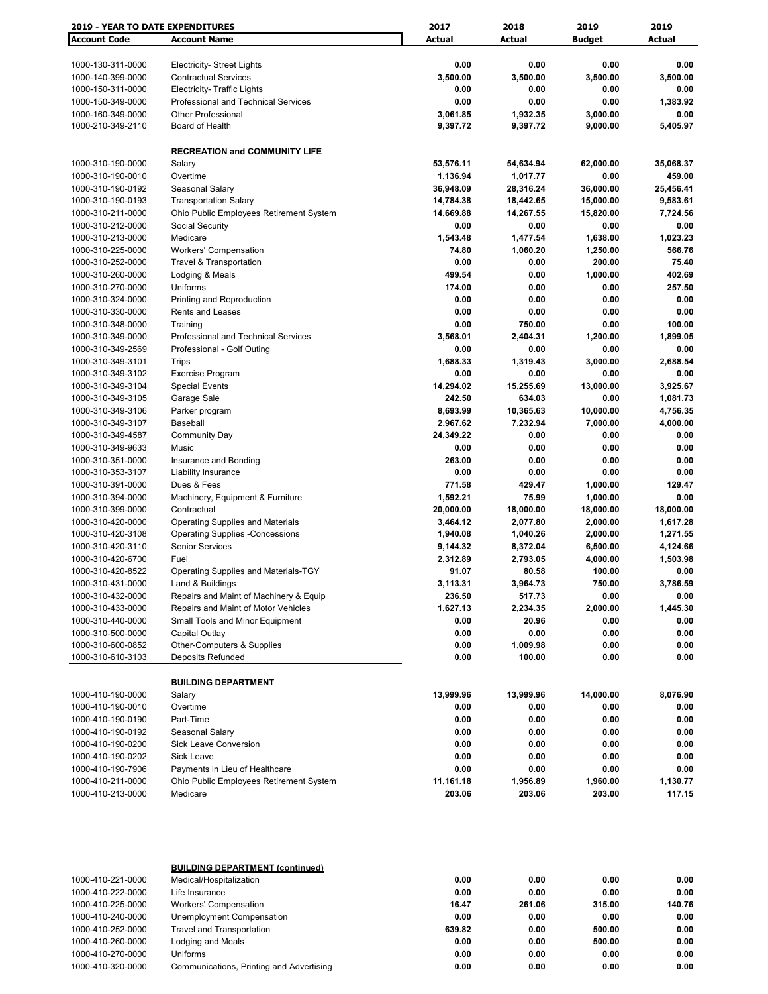| <b>2019 - YEAR TO DATE EXPENDITURES</b> |                                         | 2017          | 2018      | 2019              | 2019          |
|-----------------------------------------|-----------------------------------------|---------------|-----------|-------------------|---------------|
| <b>Account Code</b>                     | <b>Account Name</b>                     | <b>Actual</b> | Actual    | <b>Budget</b>     | <b>Actual</b> |
|                                         |                                         |               |           |                   |               |
| 1000-130-311-0000                       | <b>Electricity- Street Lights</b>       | 0.00          | 0.00      | 0.00              | 0.00          |
| 1000-140-399-0000                       | <b>Contractual Services</b>             | 3,500.00      | 3,500.00  | 3,500.00          | 3,500.00      |
| 1000-150-311-0000                       | Electricity- Traffic Lights             | 0.00          | 0.00      | 0.00              | 0.00          |
| 1000-150-349-0000                       | Professional and Technical Services     | 0.00          | 0.00      | 0.00              | 1,383.92      |
| 1000-160-349-0000                       | <b>Other Professional</b>               | 3,061.85      | 1,932.35  | 3,000.00          | 0.00          |
| 1000-210-349-2110                       | Board of Health                         | 9,397.72      | 9,397.72  | 9,000.00          | 5,405.97      |
|                                         |                                         |               |           |                   |               |
|                                         | <b>RECREATION and COMMUNITY LIFE</b>    |               |           |                   |               |
|                                         |                                         | 53,576.11     |           |                   | 35,068.37     |
| 1000-310-190-0000<br>1000-310-190-0010  | Salary<br>Overtime                      | 1,136.94      | 54,634.94 | 62,000.00<br>0.00 | 459.00        |
|                                         |                                         | 36,948.09     | 1,017.77  |                   |               |
| 1000-310-190-0192                       | Seasonal Salary                         |               | 28,316.24 | 36,000.00         | 25,456.41     |
| 1000-310-190-0193                       | <b>Transportation Salary</b>            | 14,784.38     | 18,442.65 | 15,000.00         | 9,583.61      |
| 1000-310-211-0000                       | Ohio Public Employees Retirement System | 14,669.88     | 14,267.55 | 15,820.00         | 7,724.56      |
| 1000-310-212-0000                       | Social Security                         | 0.00          | 0.00      | 0.00              | 0.00          |
| 1000-310-213-0000                       | Medicare                                | 1,543.48      | 1,477.54  | 1,638.00          | 1,023.23      |
| 1000-310-225-0000                       | <b>Workers' Compensation</b>            | 74.80         | 1,060.20  | 1,250.00          | 566.76        |
| 1000-310-252-0000                       | <b>Travel &amp; Transportation</b>      | 0.00          | 0.00      | 200.00            | 75.40         |
| 1000-310-260-0000                       | Lodging & Meals                         | 499.54        | 0.00      | 1,000.00          | 402.69        |
| 1000-310-270-0000                       | Uniforms                                | 174.00        | 0.00      | 0.00              | 257.50        |
| 1000-310-324-0000                       | Printing and Reproduction               | 0.00          | 0.00      | 0.00              | 0.00          |
| 1000-310-330-0000                       | Rents and Leases                        | 0.00          | 0.00      | 0.00              | 0.00          |
| 1000-310-348-0000                       | Training                                | 0.00          | 750.00    | 0.00              | 100.00        |
| 1000-310-349-0000                       | Professional and Technical Services     | 3,568.01      | 2,404.31  | 1,200.00          | 1,899.05      |
| 1000-310-349-2569                       | Professional - Golf Outing              | 0.00          | 0.00      | 0.00              | 0.00          |
| 1000-310-349-3101                       | Trips                                   | 1,688.33      | 1,319.43  | 3,000.00          | 2,688.54      |
| 1000-310-349-3102                       | <b>Exercise Program</b>                 | 0.00          | 0.00      | 0.00              | 0.00          |
| 1000-310-349-3104                       | <b>Special Events</b>                   | 14,294.02     | 15,255.69 | 13,000.00         | 3,925.67      |
| 1000-310-349-3105                       | Garage Sale                             | 242.50        | 634.03    | 0.00              | 1,081.73      |
| 1000-310-349-3106                       | Parker program                          | 8,693.99      | 10,365.63 | 10,000.00         | 4,756.35      |
| 1000-310-349-3107                       | Baseball                                | 2,967.62      | 7,232.94  | 7,000.00          | 4,000.00      |
| 1000-310-349-4587                       | <b>Community Day</b>                    | 24,349.22     | 0.00      | 0.00              | 0.00          |
| 1000-310-349-9633                       | Music                                   | 0.00          | 0.00      | 0.00              | 0.00          |
| 1000-310-351-0000                       | Insurance and Bonding                   | 263.00        | 0.00      | 0.00              | 0.00          |
| 1000-310-353-3107                       | Liability Insurance                     | 0.00          | 0.00      | 0.00              | 0.00          |
| 1000-310-391-0000                       | Dues & Fees                             | 771.58        | 429.47    | 1,000.00          | 129.47        |
| 1000-310-394-0000                       | Machinery, Equipment & Furniture        | 1,592.21      | 75.99     | 1,000.00          | 0.00          |
| 1000-310-399-0000                       | Contractual                             | 20,000.00     | 18,000.00 | 18,000.00         | 18,000.00     |
| 1000-310-420-0000                       | <b>Operating Supplies and Materials</b> | 3,464.12      | 2,077.80  | 2,000.00          | 1,617.28      |
| 1000-310-420-3108                       | <b>Operating Supplies -Concessions</b>  | 1,940.08      | 1,040.26  | 2,000.00          | 1,271.55      |
| 1000-310-420-3110                       | <b>Senior Services</b>                  | 9,144.32      | 8,372.04  | 6,500.00          | 4,124.66      |
| 1000-310-420-6700                       | Fuel                                    | 2,312.89      | 2,793.05  | 4,000.00          | 1,503.98      |
| 1000-310-420-8522                       | Operating Supplies and Materials-TGY    | 91.07         | 80.58     | 100.00            | 0.00          |
| 1000-310-431-0000                       | Land & Buildings                        | 3,113.31      | 3,964.73  | 750.00            | 3,786.59      |
|                                         |                                         |               |           |                   |               |
| 1000-310-432-0000                       | Repairs and Maint of Machinery & Equip  | 236.50        | 517.73    | 0.00              | 0.00          |
| 1000-310-433-0000                       | Repairs and Maint of Motor Vehicles     | 1,627.13      | 2,234.35  | 2,000.00          | 1,445.30      |
| 1000-310-440-0000                       | Small Tools and Minor Equipment         | 0.00          | 20.96     | 0.00              | 0.00          |
| 1000-310-500-0000                       | Capital Outlay                          | 0.00          | 0.00      | 0.00              | 0.00          |
| 1000-310-600-0852                       | Other-Computers & Supplies              | 0.00          | 1,009.98  | 0.00              | 0.00          |
| 1000-310-610-3103                       | Deposits Refunded                       | 0.00          | 100.00    | 0.00              | 0.00          |
|                                         |                                         |               |           |                   |               |
|                                         | <b>BUILDING DEPARTMENT</b>              |               |           |                   |               |
| 1000-410-190-0000                       | Salary                                  | 13,999.96     | 13,999.96 | 14,000.00         | 8,076.90      |
| 1000-410-190-0010                       | Overtime                                | 0.00          | 0.00      | 0.00              | 0.00          |
| 1000-410-190-0190                       | Part-Time                               | 0.00          | 0.00      | 0.00              | 0.00          |
| 1000-410-190-0192                       | Seasonal Salary                         | 0.00          | 0.00      | 0.00              | 0.00          |
| 1000-410-190-0200                       | Sick Leave Conversion                   | 0.00          | 0.00      | 0.00              | 0.00          |
| 1000-410-190-0202                       | Sick Leave                              | 0.00          | 0.00      | 0.00              | 0.00          |
| 1000-410-190-7906                       | Payments in Lieu of Healthcare          | 0.00          | 0.00      | 0.00              | 0.00          |
| 1000-410-211-0000                       | Ohio Public Employees Retirement System | 11,161.18     | 1,956.89  | 1,960.00          | 1,130.77      |
| 1000-410-213-0000                       | Medicare                                | 203.06        | 203.06    | 203.00            | 117.15        |
|                                         |                                         |               |           |                   |               |
|                                         | <b>BUILDING DEPARTMENT (continued)</b>  |               |           |                   |               |
| 1000-410-221-0000                       | Medical/Hospitalization                 | 0.00          | 0.00      | 0.00              | 0.00          |
| 1000-410-222-0000                       | Life Insurance                          | 0.00          | 0.00      | 0.00              | 0.00          |
| 1000-410-225-0000                       | <b>Workers' Compensation</b>            | 16.47         | 261.06    | 315.00            | 140.76        |
| 1000-410-240-0000                       | Unemployment Compensation               | 0.00          | 0.00      | 0.00              | 0.00          |
| 1000-410-252-0000                       | <b>Travel and Transportation</b>        | 639.82        | 0.00      | 500.00            | 0.00          |
| 1000-410-260-0000                       | Lodging and Meals                       | 0.00          | 0.00      | 500.00            | 0.00          |

1000-410-270-0000 Uniforms **0.00 0.00 0.00 0.00** 1000-410-320-0000 Communications, Printing and Advertising **0.00 0.00 0.00 0.00**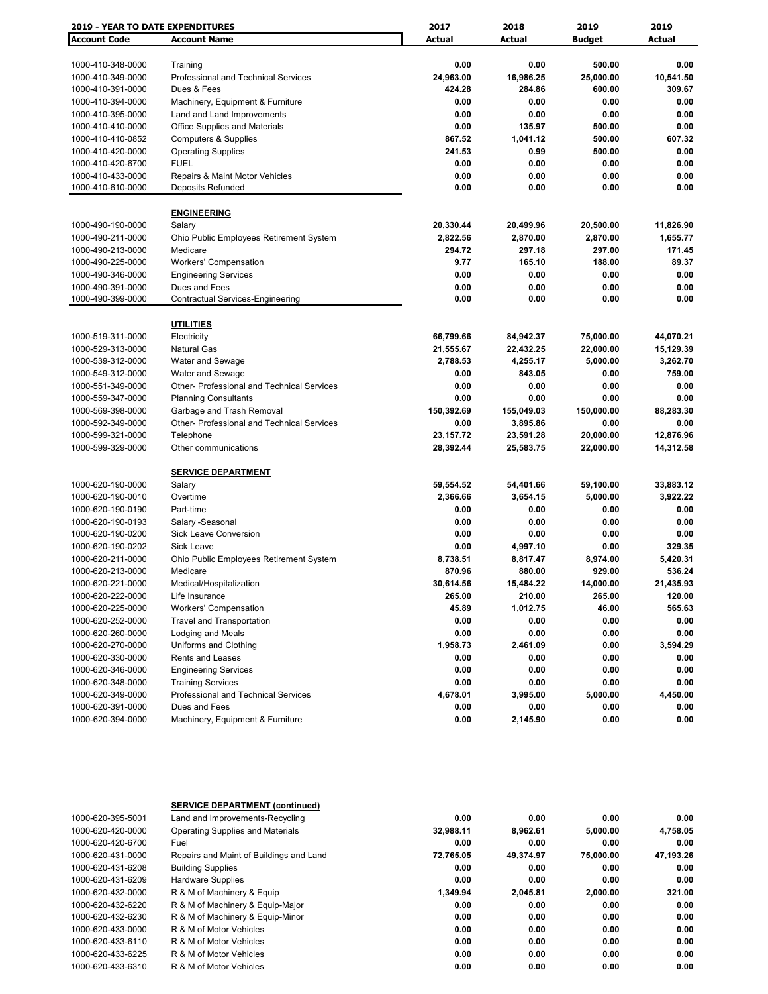| <b>2019 - YEAR TO DATE EXPENDITURES</b> |                                            | 2017          | 2018                | 2019          | 2019      |
|-----------------------------------------|--------------------------------------------|---------------|---------------------|---------------|-----------|
| <b>Account Code</b>                     | <b>Account Name</b>                        | <b>Actual</b> | <b>Actual</b>       | <b>Budget</b> | Actual    |
|                                         |                                            |               |                     |               |           |
| 1000-410-348-0000                       | Training                                   | 0.00          | 0.00                | 500.00        | 0.00      |
| 1000-410-349-0000                       | Professional and Technical Services        | 24,963.00     | 16,986.25           | 25,000.00     | 10,541.50 |
| 1000-410-391-0000                       | Dues & Fees                                | 424.28        | 284.86              | 600.00        | 309.67    |
| 1000-410-394-0000                       | Machinery, Equipment & Furniture           | 0.00          | 0.00                | 0.00          | 0.00      |
| 1000-410-395-0000                       | Land and Land Improvements                 | 0.00          | 0.00                | 0.00          | 0.00      |
| 1000-410-410-0000                       | <b>Office Supplies and Materials</b>       | 0.00          | 135.97              | 500.00        | 0.00      |
| 1000-410-410-0852                       | <b>Computers &amp; Supplies</b>            | 867.52        | 1,041.12            | 500.00        | 607.32    |
| 1000-410-420-0000                       | <b>Operating Supplies</b>                  | 241.53        | 0.99                | 500.00        | 0.00      |
| 1000-410-420-6700                       | <b>FUEL</b>                                | 0.00          | 0.00                | 0.00          | 0.00      |
| 1000-410-433-0000                       | Repairs & Maint Motor Vehicles             | 0.00          | 0.00                | 0.00          | 0.00      |
| 1000-410-610-0000                       | Deposits Refunded                          | 0.00          | 0.00                | 0.00          | 0.00      |
|                                         | <b>ENGINEERING</b>                         |               |                     |               |           |
| 1000-490-190-0000                       | Salary                                     | 20,330.44     | 20,499.96           | 20,500.00     | 11,826.90 |
| 1000-490-211-0000                       | Ohio Public Employees Retirement System    | 2,822.56      | 2,870.00            | 2,870.00      | 1,655.77  |
| 1000-490-213-0000                       | Medicare                                   | 294.72        | 297.18              | 297.00        | 171.45    |
| 1000-490-225-0000                       | <b>Workers' Compensation</b>               | 9.77          | 165.10              | 188.00        | 89.37     |
| 1000-490-346-0000                       | <b>Engineering Services</b>                | 0.00          | 0.00                | 0.00          | 0.00      |
| 1000-490-391-0000                       | Dues and Fees                              | 0.00          | 0.00                | 0.00          | 0.00      |
| 1000-490-399-0000                       | <b>Contractual Services-Engineering</b>    | 0.00          | 0.00                | 0.00          | 0.00      |
|                                         |                                            |               |                     |               |           |
|                                         | <b>UTILITIES</b>                           |               |                     |               |           |
| 1000-519-311-0000                       | Electricity                                | 66,799.66     | 84,942.37           | 75,000.00     | 44,070.21 |
| 1000-529-313-0000                       | Natural Gas                                | 21,555.67     | 22,432.25           | 22,000.00     | 15,129.39 |
| 1000-539-312-0000                       | Water and Sewage                           | 2,788.53      | 4,255.17            | 5,000.00      | 3,262.70  |
| 1000-549-312-0000                       | Water and Sewage                           | 0.00          | 843.05              | 0.00          | 759.00    |
| 1000-551-349-0000                       | Other- Professional and Technical Services | 0.00          | 0.00                | 0.00          | 0.00      |
| 1000-559-347-0000                       | <b>Planning Consultants</b>                | 0.00          | 0.00                | 0.00          | 0.00      |
| 1000-569-398-0000                       | Garbage and Trash Removal                  | 150,392.69    | 155,049.03          | 150,000.00    | 88,283.30 |
| 1000-592-349-0000                       | Other- Professional and Technical Services | 0.00          | 3,895.86            | 0.00          | 0.00      |
| 1000-599-321-0000                       | Telephone                                  | 23,157.72     | 23,591.28           | 20,000.00     | 12,876.96 |
| 1000-599-329-0000                       | Other communications                       | 28,392.44     | 25,583.75           | 22,000.00     | 14,312.58 |
|                                         | <b>SERVICE DEPARTMENT</b>                  |               |                     |               |           |
| 1000-620-190-0000                       | Salary                                     | 59,554.52     | 54,401.66           | 59,100.00     | 33,883.12 |
| 1000-620-190-0010                       | Overtime                                   | 2,366.66      | 3,654.15            | 5,000.00      | 3,922.22  |
| 1000-620-190-0190                       | Part-time                                  | 0.00          | 0.00                | 0.00          | 0.00      |
| 1000-620-190-0193                       | Salary -Seasonal                           | 0.00          | 0.00                | 0.00          | 0.00      |
| 1000-620-190-0200                       | Sick Leave Conversion                      | 0.00          | 0.00                | 0.00          | 0.00      |
| 1000-620-190-0202                       | <b>Sick Leave</b>                          | 0.00          | 4,997.10            | 0.00          | 329.35    |
| 1000-620-211-0000                       | Ohio Public Employees Retirement System    | 8,738.51      | 8,817.47            | 8,974.00      | 5,420.31  |
| 1000-620-213-0000                       | Medicare                                   | 870.96        | 880.00              | 929.00        | 536.24    |
| 1000-620-221-0000                       | Medical/Hospitalization                    | 30,614.56     |                     | 14,000.00     | 21,435.93 |
| 1000-620-222-0000                       | Life Insurance                             | 265.00        | 15,484.22<br>210.00 | 265.00        | 120.00    |
| 1000-620-225-0000                       | <b>Workers' Compensation</b>               | 45.89         | 1,012.75            | 46.00         | 565.63    |
| 1000-620-252-0000                       |                                            |               |                     |               |           |
|                                         | <b>Travel and Transportation</b>           | 0.00<br>0.00  | 0.00                | 0.00          | 0.00      |
| 1000-620-260-0000                       | Lodging and Meals                          |               | 0.00                | 0.00          | 0.00      |
| 1000-620-270-0000                       | Uniforms and Clothing                      | 1,958.73      | 2,461.09            | 0.00          | 3,594.29  |
| 1000-620-330-0000                       | Rents and Leases                           | 0.00          | 0.00                | 0.00          | 0.00      |
| 1000-620-346-0000                       | <b>Engineering Services</b>                | 0.00          | 0.00                | 0.00          | 0.00      |
| 1000-620-348-0000                       | <b>Training Services</b>                   | 0.00          | 0.00                | 0.00          | 0.00      |
| 1000-620-349-0000                       | Professional and Technical Services        | 4,678.01      | 3,995.00            | 5,000.00      | 4,450.00  |
| 1000-620-391-0000                       | Dues and Fees                              | 0.00          | 0.00                | 0.00          | 0.00      |
| 1000-620-394-0000                       | Machinery, Equipment & Furniture           | 0.00          | 2,145.90            | 0.00          | 0.00      |

|                   | <b>SERVICE DEPARTMENT (continued)</b>   |           |           |           |           |
|-------------------|-----------------------------------------|-----------|-----------|-----------|-----------|
| 1000-620-395-5001 | Land and Improvements-Recycling         | 0.00      | 0.00      | 0.00      | 0.00      |
| 1000-620-420-0000 | <b>Operating Supplies and Materials</b> | 32,988.11 | 8.962.61  | 5,000.00  | 4,758.05  |
| 1000-620-420-6700 | Fuel                                    | 0.00      | 0.00      | 0.00      | 0.00      |
| 1000-620-431-0000 | Repairs and Maint of Buildings and Land | 72,765.05 | 49,374.97 | 75,000.00 | 47,193.26 |
| 1000-620-431-6208 | <b>Building Supplies</b>                | 0.00      | 0.00      | 0.00      | 0.00      |
| 1000-620-431-6209 | <b>Hardware Supplies</b>                | 0.00      | 0.00      | 0.00      | 0.00      |
| 1000-620-432-0000 | R & M of Machinery & Equip              | 1.349.94  | 2.045.81  | 2.000.00  | 321.00    |
| 1000-620-432-6220 | R & M of Machinery & Equip-Major        | 0.00      | 0.00      | 0.00      | 0.00      |
| 1000-620-432-6230 | R & M of Machinery & Equip-Minor        | 0.00      | 0.00      | 0.00      | 0.00      |
| 1000-620-433-0000 | R & M of Motor Vehicles                 | 0.00      | 0.00      | 0.00      | 0.00      |
| 1000-620-433-6110 | R & M of Motor Vehicles                 | 0.00      | 0.00      | 0.00      | 0.00      |
| 1000-620-433-6225 | R & M of Motor Vehicles                 | 0.00      | 0.00      | 0.00      | 0.00      |
| 1000-620-433-6310 | R & M of Motor Vehicles                 | 0.00      | 0.00      | 0.00      | 0.00      |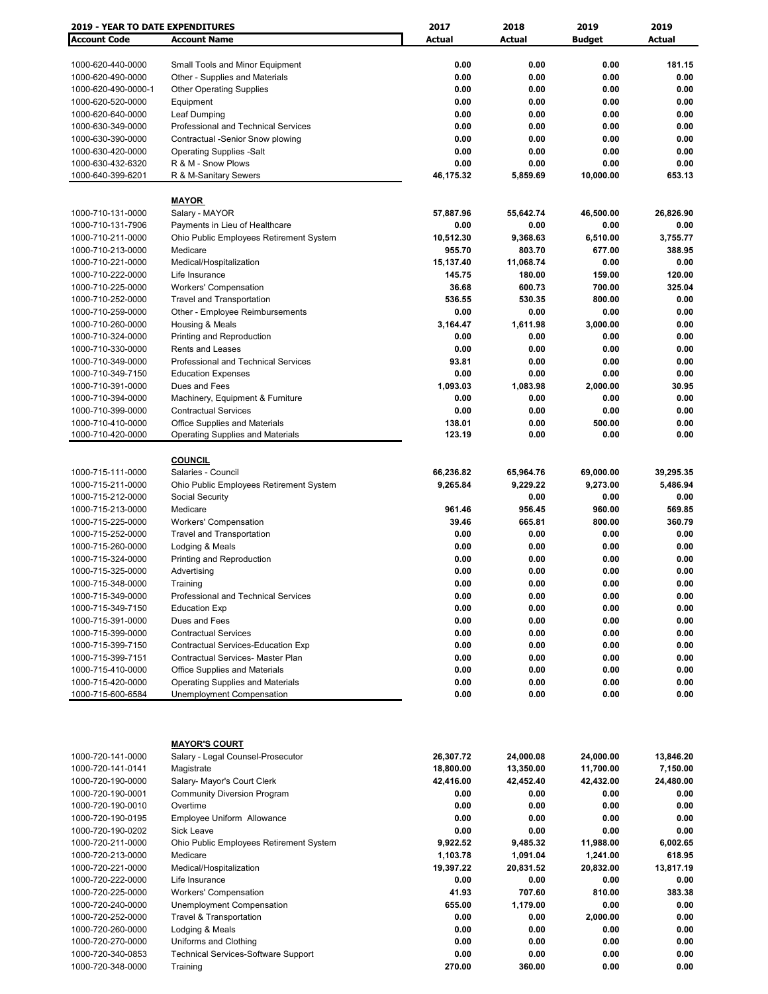| <b>2019 - YEAR TO DATE EXPENDITURES</b> |                                            | 2017      | 2018          | 2019          | 2019      |
|-----------------------------------------|--------------------------------------------|-----------|---------------|---------------|-----------|
| <b>Account Code</b>                     | <b>Account Name</b>                        | Actual    | <b>Actual</b> | <b>Budget</b> | Actual    |
|                                         |                                            |           |               |               |           |
| 1000-620-440-0000                       | Small Tools and Minor Equipment            | 0.00      | 0.00          | 0.00          | 181.15    |
| 1000-620-490-0000                       | Other - Supplies and Materials             | 0.00      | 0.00          | 0.00          | 0.00      |
| 1000-620-490-0000-1                     |                                            | 0.00      | 0.00          | 0.00          | 0.00      |
|                                         | <b>Other Operating Supplies</b>            |           |               |               |           |
| 1000-620-520-0000                       | Equipment                                  | 0.00      | 0.00          | 0.00          | 0.00      |
| 1000-620-640-0000                       | Leaf Dumping                               | 0.00      | 0.00          | 0.00          | 0.00      |
| 1000-630-349-0000                       | Professional and Technical Services        | 0.00      | 0.00          | 0.00          | 0.00      |
| 1000-630-390-0000                       | Contractual -Senior Snow plowing           | 0.00      | 0.00          | 0.00          | 0.00      |
| 1000-630-420-0000                       | <b>Operating Supplies -Salt</b>            | 0.00      | 0.00          | 0.00          | 0.00      |
| 1000-630-432-6320                       | R & M - Snow Plows                         | 0.00      | 0.00          | 0.00          | 0.00      |
| 1000-640-399-6201                       | R & M-Sanitary Sewers                      | 46,175.32 | 5,859.69      | 10,000.00     | 653.13    |
|                                         |                                            |           |               |               |           |
|                                         | <b>MAYOR</b>                               |           |               |               |           |
| 1000-710-131-0000                       | Salary - MAYOR                             | 57,887.96 | 55,642.74     | 46,500.00     | 26,826.90 |
| 1000-710-131-7906                       | Payments in Lieu of Healthcare             | 0.00      | 0.00          | 0.00          | 0.00      |
| 1000-710-211-0000                       | Ohio Public Employees Retirement System    | 10,512.30 | 9,368.63      | 6,510.00      | 3,755.77  |
| 1000-710-213-0000                       | Medicare                                   | 955.70    | 803.70        | 677.00        | 388.95    |
|                                         |                                            |           |               |               |           |
| 1000-710-221-0000                       | Medical/Hospitalization                    | 15,137.40 | 11,068.74     | 0.00          | 0.00      |
| 1000-710-222-0000                       | Life Insurance                             | 145.75    | 180.00        | 159.00        | 120.00    |
| 1000-710-225-0000                       | <b>Workers' Compensation</b>               | 36.68     | 600.73        | 700.00        | 325.04    |
| 1000-710-252-0000                       | <b>Travel and Transportation</b>           | 536.55    | 530.35        | 800.00        | 0.00      |
| 1000-710-259-0000                       | Other - Employee Reimbursements            | 0.00      | 0.00          | 0.00          | 0.00      |
| 1000-710-260-0000                       | Housing & Meals                            | 3,164.47  | 1,611.98      | 3,000.00      | 0.00      |
| 1000-710-324-0000                       | Printing and Reproduction                  | 0.00      | 0.00          | 0.00          | 0.00      |
| 1000-710-330-0000                       | <b>Rents and Leases</b>                    | 0.00      | 0.00          | 0.00          | 0.00      |
| 1000-710-349-0000                       | <b>Professional and Technical Services</b> | 93.81     | 0.00          | 0.00          | 0.00      |
| 1000-710-349-7150                       | <b>Education Expenses</b>                  | 0.00      | 0.00          | 0.00          | 0.00      |
|                                         |                                            |           |               |               |           |
| 1000-710-391-0000                       | Dues and Fees                              | 1,093.03  | 1,083.98      | 2,000.00      | 30.95     |
| 1000-710-394-0000                       | Machinery, Equipment & Furniture           | 0.00      | 0.00          | 0.00          | 0.00      |
| 1000-710-399-0000                       | <b>Contractual Services</b>                | 0.00      | 0.00          | 0.00          | 0.00      |
| 1000-710-410-0000                       | Office Supplies and Materials              | 138.01    | 0.00          | 500.00        | 0.00      |
| 1000-710-420-0000                       | <b>Operating Supplies and Materials</b>    | 123.19    | 0.00          | 0.00          | 0.00      |
|                                         |                                            |           |               |               |           |
|                                         | <b>COUNCIL</b>                             |           |               |               |           |
| 1000-715-111-0000                       | Salaries - Council                         | 66,236.82 | 65,964.76     | 69,000.00     | 39,295.35 |
| 1000-715-211-0000                       | Ohio Public Employees Retirement System    | 9,265.84  | 9,229.22      | 9,273.00      | 5,486.94  |
| 1000-715-212-0000                       | Social Security                            |           | 0.00          | 0.00          | 0.00      |
| 1000-715-213-0000                       | Medicare                                   | 961.46    | 956.45        | 960.00        | 569.85    |
|                                         |                                            |           |               |               |           |
| 1000-715-225-0000                       | <b>Workers' Compensation</b>               | 39.46     | 665.81        | 800.00        | 360.79    |
| 1000-715-252-0000                       | <b>Travel and Transportation</b>           | 0.00      | 0.00          | 0.00          | 0.00      |
| 1000-715-260-0000                       | Lodging & Meals                            | 0.00      | 0.00          | 0.00          | 0.00      |
| 1000-715-324-0000                       | Printing and Reproduction                  | 0.00      | 0.00          | 0.00          | 0.00      |
| 1000-715-325-0000                       | Advertising                                | 0.00      | 0.00          | 0.00          | 0.00      |
| 1000-715-348-0000                       | Training                                   | 0.00      | 0.00          | 0.00          | 0.00      |
| 1000-715-349-0000                       | Professional and Technical Services        | 0.00      | 0.00          | 0.00          | 0.00      |
| 1000-715-349-7150                       | <b>Education Exp</b>                       | 0.00      | 0.00          | 0.00          | 0.00      |
| 1000-715-391-0000                       | Dues and Fees                              | 0.00      | 0.00          | 0.00          | 0.00      |
| 1000-715-399-0000                       | <b>Contractual Services</b>                | 0.00      | 0.00          | 0.00          | 0.00      |
| 1000-715-399-7150                       |                                            | 0.00      | 0.00          | 0.00          |           |
|                                         | Contractual Services-Education Exp         |           |               |               | 0.00      |
| 1000-715-399-7151                       | Contractual Services- Master Plan          | 0.00      | 0.00          | 0.00          | 0.00      |
| 1000-715-410-0000                       | Office Supplies and Materials              | 0.00      | 0.00          | 0.00          | 0.00      |
| 1000-715-420-0000                       | <b>Operating Supplies and Materials</b>    | 0.00      | 0.00          | 0.00          | 0.00      |
| 1000-715-600-6584                       | Unemployment Compensation                  | 0.00      | 0.00          | 0.00          | 0.00      |
|                                         |                                            |           |               |               |           |
|                                         |                                            |           |               |               |           |
|                                         |                                            |           |               |               |           |
|                                         | <b>MAYOR'S COURT</b>                       |           |               |               |           |
| 1000-720-141-0000                       | Salary - Legal Counsel-Prosecutor          | 26,307.72 | 24,000.08     | 24,000.00     | 13,846.20 |
| 1000-720-141-0141                       | Magistrate                                 | 18,800.00 | 13,350.00     | 11,700.00     | 7,150.00  |
|                                         |                                            |           |               |               |           |
| 1000-720-190-0000                       | Salary- Mayor's Court Clerk                | 42,416.00 | 42,452.40     | 42,432.00     | 24,480.00 |
| 1000-720-190-0001                       | <b>Community Diversion Program</b>         | 0.00      | 0.00          | 0.00          | 0.00      |
| 1000-720-190-0010                       | Overtime                                   | 0.00      | 0.00          | 0.00          | 0.00      |
| 1000-720-190-0195                       | Employee Uniform Allowance                 | 0.00      | 0.00          | 0.00          | 0.00      |
| 1000-720-190-0202                       | Sick Leave                                 | 0.00      | 0.00          | 0.00          | 0.00      |
| 1000-720-211-0000                       | Ohio Public Employees Retirement System    | 9,922.52  | 9,485.32      | 11,988.00     | 6,002.65  |
| 1000-720-213-0000                       | Medicare                                   | 1,103.78  | 1,091.04      | 1,241.00      | 618.95    |
| 1000-720-221-0000                       | Medical/Hospitalization                    | 19,397.22 | 20,831.52     | 20,832.00     | 13,817.19 |
| 1000-720-222-0000                       | Life Insurance                             | 0.00      | 0.00          | 0.00          | 0.00      |
|                                         |                                            |           |               |               |           |
| 1000-720-225-0000                       | <b>Workers' Compensation</b>               | 41.93     | 707.60        | 810.00        | 383.38    |
| 1000-720-240-0000                       | Unemployment Compensation                  | 655.00    | 1,179.00      | 0.00          | 0.00      |
| 1000-720-252-0000                       | <b>Travel &amp; Transportation</b>         | 0.00      | 0.00          | 2,000.00      | 0.00      |
| 1000-720-260-0000                       | Lodging & Meals                            | 0.00      | 0.00          | 0.00          | 0.00      |
| 1000-720-270-0000                       | Uniforms and Clothing                      | 0.00      | 0.00          | 0.00          | 0.00      |
| 1000-720-340-0853                       | <b>Technical Services-Software Support</b> | 0.00      | 0.00          | 0.00          | 0.00      |
| 1000-720-348-0000                       | Training                                   | 270.00    | 360.00        | 0.00          | 0.00      |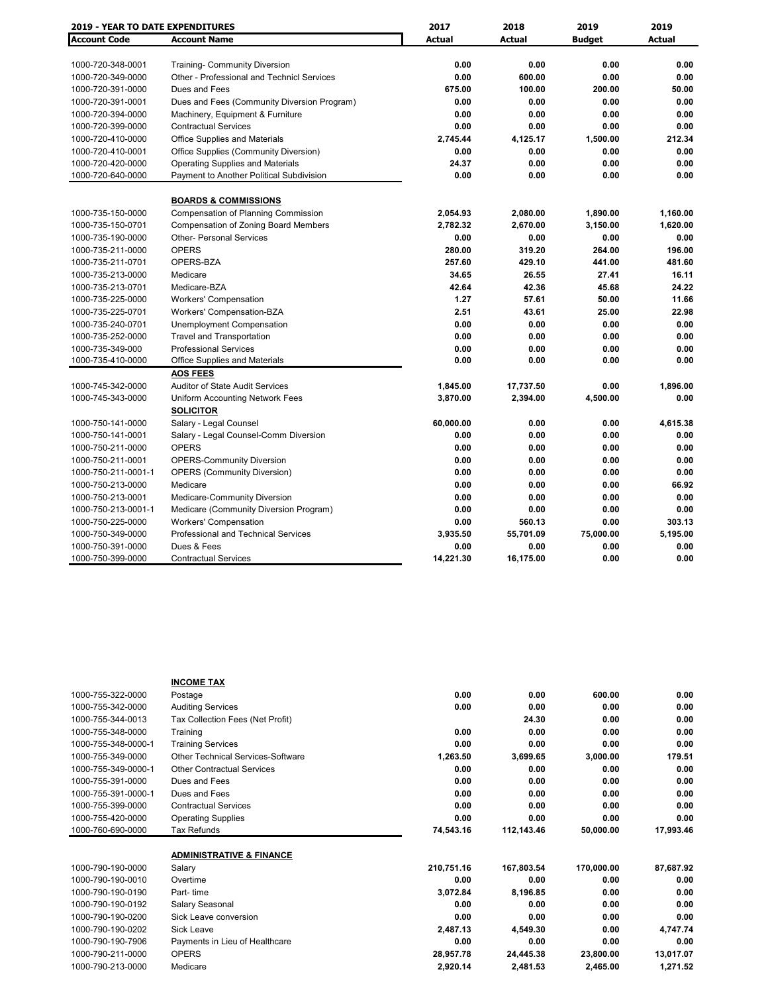| <b>2019 - YEAR TO DATE EXPENDITURES</b> |                                             | 2017          | 2018          | 2019          | 2019          |
|-----------------------------------------|---------------------------------------------|---------------|---------------|---------------|---------------|
| <b>Account Code</b>                     | <b>Account Name</b>                         | <b>Actual</b> | <b>Actual</b> | <b>Budget</b> | <b>Actual</b> |
|                                         |                                             |               |               |               |               |
| 1000-720-348-0001                       | <b>Training- Community Diversion</b>        | 0.00          | 0.00          | 0.00          | 0.00          |
| 1000-720-349-0000                       | Other - Professional and Technicl Services  | 0.00          | 600.00        | 0.00          | 0.00          |
| 1000-720-391-0000                       | Dues and Fees                               | 675.00        | 100.00        | 200.00        | 50.00         |
| 1000-720-391-0001                       | Dues and Fees (Community Diversion Program) | 0.00          | 0.00          | 0.00          | 0.00          |
| 1000-720-394-0000                       | Machinery, Equipment & Furniture            | 0.00          | 0.00          | 0.00          | 0.00          |
| 1000-720-399-0000                       | <b>Contractual Services</b>                 | 0.00          | 0.00          | 0.00          | 0.00          |
| 1000-720-410-0000                       | <b>Office Supplies and Materials</b>        | 2,745.44      | 4,125.17      | 1,500.00      | 212.34        |
| 1000-720-410-0001                       | Office Supplies (Community Diversion)       | 0.00          | 0.00          | 0.00          | 0.00          |
| 1000-720-420-0000                       | <b>Operating Supplies and Materials</b>     | 24.37         | 0.00          | 0.00          | 0.00          |
| 1000-720-640-0000                       | Payment to Another Political Subdivision    | 0.00          | 0.00          | 0.00          | 0.00          |
|                                         | <b>BOARDS &amp; COMMISSIONS</b>             |               |               |               |               |
| 1000-735-150-0000                       | <b>Compensation of Planning Commission</b>  | 2,054.93      | 2,080.00      | 1,890.00      | 1,160.00      |
| 1000-735-150-0701                       | Compensation of Zoning Board Members        | 2,782.32      | 2,670.00      | 3,150.00      | 1,620.00      |
| 1000-735-190-0000                       | <b>Other- Personal Services</b>             | 0.00          | 0.00          | 0.00          | 0.00          |
| 1000-735-211-0000                       | <b>OPERS</b>                                | 280.00        | 319.20        | 264.00        | 196.00        |
| 1000-735-211-0701                       | OPERS-BZA                                   | 257.60        | 429.10        | 441.00        | 481.60        |
| 1000-735-213-0000                       | Medicare                                    | 34.65         | 26.55         | 27.41         | 16.11         |
| 1000-735-213-0701                       | Medicare-BZA                                | 42.64         | 42.36         | 45.68         | 24.22         |
| 1000-735-225-0000                       | <b>Workers' Compensation</b>                | 1.27          | 57.61         | 50.00         | 11.66         |
| 1000-735-225-0701                       | Workers' Compensation-BZA                   | 2.51          | 43.61         | 25.00         | 22.98         |
| 1000-735-240-0701                       | Unemployment Compensation                   | 0.00          | 0.00          | 0.00          | 0.00          |
| 1000-735-252-0000                       | <b>Travel and Transportation</b>            | 0.00          | 0.00          | 0.00          | 0.00          |
| 1000-735-349-000                        | <b>Professional Services</b>                | 0.00          | 0.00          | 0.00          | 0.00          |
| 1000-735-410-0000                       | Office Supplies and Materials               | 0.00          | 0.00          | 0.00          | 0.00          |
|                                         | <b>AOS FEES</b>                             |               |               |               |               |
| 1000-745-342-0000                       | <b>Auditor of State Audit Services</b>      | 1,845.00      | 17,737.50     | 0.00          | 1,896.00      |
| 1000-745-343-0000                       | Uniform Accounting Network Fees             | 3,870.00      | 2,394.00      | 4,500.00      | 0.00          |
|                                         | <b>SOLICITOR</b>                            |               |               |               |               |
| 1000-750-141-0000                       | Salary - Legal Counsel                      | 60,000.00     | 0.00          | 0.00          | 4,615.38      |
| 1000-750-141-0001                       | Salary - Legal Counsel-Comm Diversion       | 0.00          | 0.00          | 0.00          | 0.00          |
| 1000-750-211-0000                       | <b>OPERS</b>                                | 0.00          | 0.00          | 0.00          | 0.00          |
| 1000-750-211-0001                       | <b>OPERS-Community Diversion</b>            | 0.00          | 0.00          | 0.00          | 0.00          |
| 1000-750-211-0001-1                     | <b>OPERS (Community Diversion)</b>          | 0.00          | 0.00          | 0.00          | 0.00          |
| 1000-750-213-0000                       | Medicare                                    | 0.00          | 0.00          | 0.00          | 66.92         |
| 1000-750-213-0001                       | Medicare-Community Diversion                | 0.00          | 0.00          | 0.00          | 0.00          |
| 1000-750-213-0001-1                     | Medicare (Community Diversion Program)      | 0.00          | 0.00          | 0.00          | 0.00          |
| 1000-750-225-0000                       | <b>Workers' Compensation</b>                | 0.00          | 560.13        | 0.00          | 303.13        |
| 1000-750-349-0000                       | <b>Professional and Technical Services</b>  | 3,935.50      | 55,701.09     | 75,000.00     | 5,195.00      |
| 1000-750-391-0000                       | Dues & Fees                                 | 0.00          | 0.00          | 0.00          | 0.00          |
| 1000-750-399-0000                       | <b>Contractual Services</b>                 | 14,221.30     | 16,175.00     | 0.00          | 0.00          |

|                     | <b>INCOME TAX</b>                   |            |            |            |           |
|---------------------|-------------------------------------|------------|------------|------------|-----------|
| 1000-755-322-0000   | Postage                             | 0.00       | 0.00       | 600.00     | 0.00      |
| 1000-755-342-0000   | <b>Auditing Services</b>            | 0.00       | 0.00       | 0.00       | 0.00      |
| 1000-755-344-0013   | Tax Collection Fees (Net Profit)    |            | 24.30      | 0.00       | 0.00      |
| 1000-755-348-0000   | Training                            | 0.00       | 0.00       | 0.00       | 0.00      |
| 1000-755-348-0000-1 | <b>Training Services</b>            | 0.00       | 0.00       | 0.00       | 0.00      |
| 1000-755-349-0000   | Other Technical Services-Software   | 1,263.50   | 3,699.65   | 3,000.00   | 179.51    |
| 1000-755-349-0000-1 | <b>Other Contractual Services</b>   | 0.00       | 0.00       | 0.00       | 0.00      |
| 1000-755-391-0000   | Dues and Fees                       | 0.00       | 0.00       | 0.00       | 0.00      |
| 1000-755-391-0000-1 | Dues and Fees                       | 0.00       | 0.00       | 0.00       | 0.00      |
| 1000-755-399-0000   | <b>Contractual Services</b>         | 0.00       | 0.00       | 0.00       | 0.00      |
| 1000-755-420-0000   | <b>Operating Supplies</b>           | 0.00       | 0.00       | 0.00       | 0.00      |
| 1000-760-690-0000   | Tax Refunds                         | 74,543.16  | 112,143.46 | 50,000.00  | 17,993.46 |
|                     |                                     |            |            |            |           |
|                     | <b>ADMINISTRATIVE &amp; FINANCE</b> |            |            |            |           |
| 1000-790-190-0000   | Salary                              | 210,751.16 | 167,803.54 | 170,000.00 | 87,687.92 |
| 1000-790-190-0010   | Overtime                            | 0.00       | 0.00       | 0.00       | 0.00      |
| 1000-790-190-0190   | Part-time                           | 3,072.84   | 8,196.85   | 0.00       | 0.00      |
| 1000-790-190-0192   | Salary Seasonal                     | 0.00       | 0.00       | 0.00       | 0.00      |
| 1000-790-190-0200   | Sick Leave conversion               | 0.00       | 0.00       | 0.00       | 0.00      |
| 1000-790-190-0202   | <b>Sick Leave</b>                   | 2,487.13   | 4,549.30   | 0.00       | 4,747.74  |
| 1000-790-190-7906   | Payments in Lieu of Healthcare      | 0.00       | 0.00       | 0.00       | 0.00      |
| 1000-790-211-0000   | <b>OPERS</b>                        | 28,957.78  | 24,445.38  | 23,800.00  | 13,017.07 |
| 1000-790-213-0000   | Medicare                            | 2,920.14   | 2,481.53   | 2,465.00   | 1,271.52  |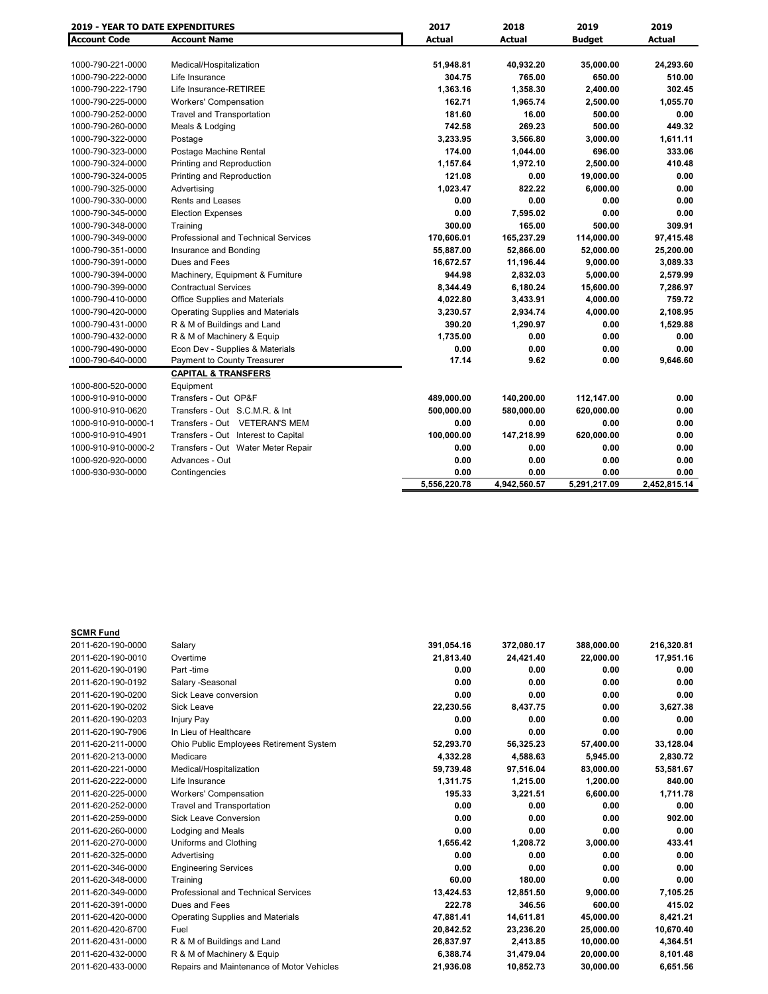| <b>2019 - YEAR TO DATE EXPENDITURES</b> |                                            | 2017          | 2018         | 2019          | 2019          |
|-----------------------------------------|--------------------------------------------|---------------|--------------|---------------|---------------|
| <b>Account Code</b>                     | <b>Account Name</b>                        | <b>Actual</b> | Actual       | <b>Budget</b> | <b>Actual</b> |
|                                         |                                            |               |              |               |               |
| 1000-790-221-0000                       | Medical/Hospitalization                    | 51,948.81     | 40,932.20    | 35,000.00     | 24,293.60     |
| 1000-790-222-0000                       | Life Insurance                             | 304.75        | 765.00       | 650.00        | 510.00        |
| 1000-790-222-1790                       | Life Insurance-RETIREE                     | 1,363.16      | 1,358.30     | 2,400.00      | 302.45        |
| 1000-790-225-0000                       | <b>Workers' Compensation</b>               | 162.71        | 1,965.74     | 2,500.00      | 1,055.70      |
| 1000-790-252-0000                       | <b>Travel and Transportation</b>           | 181.60        | 16.00        | 500.00        | 0.00          |
| 1000-790-260-0000                       | Meals & Lodging                            | 742.58        | 269.23       | 500.00        | 449.32        |
| 1000-790-322-0000                       | Postage                                    | 3,233.95      | 3,566.80     | 3,000.00      | 1,611.11      |
| 1000-790-323-0000                       | Postage Machine Rental                     | 174.00        | 1,044.00     | 696.00        | 333.06        |
| 1000-790-324-0000                       | Printing and Reproduction                  | 1,157.64      | 1,972.10     | 2,500.00      | 410.48        |
| 1000-790-324-0005                       | Printing and Reproduction                  | 121.08        | 0.00         | 19,000.00     | 0.00          |
| 1000-790-325-0000                       | Advertising                                | 1,023.47      | 822.22       | 6,000.00      | 0.00          |
| 1000-790-330-0000                       | <b>Rents and Leases</b>                    | 0.00          | 0.00         | 0.00          | 0.00          |
| 1000-790-345-0000                       | <b>Election Expenses</b>                   | 0.00          | 7,595.02     | 0.00          | 0.00          |
| 1000-790-348-0000                       | Training                                   | 300.00        | 165.00       | 500.00        | 309.91        |
| 1000-790-349-0000                       | <b>Professional and Technical Services</b> | 170,606.01    | 165,237.29   | 114,000.00    | 97,415.48     |
| 1000-790-351-0000                       | Insurance and Bonding                      | 55,887.00     | 52,866.00    | 52,000.00     | 25,200.00     |
| 1000-790-391-0000                       | Dues and Fees                              | 16,672.57     | 11,196.44    | 9,000.00      | 3,089.33      |
| 1000-790-394-0000                       | Machinery, Equipment & Furniture           | 944.98        | 2,832.03     | 5,000.00      | 2,579.99      |
| 1000-790-399-0000                       | <b>Contractual Services</b>                | 8,344.49      | 6,180.24     | 15,600.00     | 7,286.97      |
| 1000-790-410-0000                       | <b>Office Supplies and Materials</b>       | 4,022.80      | 3,433.91     | 4,000.00      | 759.72        |
| 1000-790-420-0000                       | <b>Operating Supplies and Materials</b>    | 3,230.57      | 2,934.74     | 4,000.00      | 2,108.95      |
| 1000-790-431-0000                       | R & M of Buildings and Land                | 390.20        | 1,290.97     | 0.00          | 1,529.88      |
| 1000-790-432-0000                       | R & M of Machinery & Equip                 | 1.735.00      | 0.00         | 0.00          | 0.00          |
| 1000-790-490-0000                       | Econ Dev - Supplies & Materials            | 0.00          | 0.00         | 0.00          | 0.00          |
| 1000-790-640-0000                       | Payment to County Treasurer                | 17.14         | 9.62         | 0.00          | 9,646.60      |
|                                         | <b>CAPITAL &amp; TRANSFERS</b>             |               |              |               |               |
| 1000-800-520-0000                       | Equipment                                  |               |              |               |               |
| 1000-910-910-0000                       | Transfers - Out OP&F                       | 489,000.00    | 140,200.00   | 112,147.00    | 0.00          |
| 1000-910-910-0620                       | Transfers - Out S.C.M.R. & Int             | 500,000.00    | 580,000.00   | 620,000.00    | 0.00          |
| 1000-910-910-0000-1                     | Transfers - Out VETERAN'S MEM              | 0.00          | 0.00         | 0.00          | 0.00          |
| 1000-910-910-4901                       | Transfers - Out Interest to Capital        | 100,000.00    | 147,218.99   | 620,000.00    | 0.00          |
| 1000-910-910-0000-2                     | Transfers - Out Water Meter Repair         | 0.00          | 0.00         | 0.00          | 0.00          |
| 1000-920-920-0000                       | Advances - Out                             | 0.00          | 0.00         | 0.00          | 0.00          |
| 1000-930-930-0000                       | Contingencies                              | 0.00          | 0.00         | 0.00          | 0.00          |
|                                         |                                            | 5.556.220.78  | 4,942,560.57 | 5,291,217.09  | 2.452.815.14  |

| <b>SCMR Fund</b>  |                                           |            |            |            |            |
|-------------------|-------------------------------------------|------------|------------|------------|------------|
| 2011-620-190-0000 | Salary                                    | 391,054.16 | 372,080.17 | 388,000.00 | 216,320.81 |
| 2011-620-190-0010 | Overtime                                  | 21,813.40  | 24,421.40  | 22,000.00  | 17,951.16  |
| 2011-620-190-0190 | Part -time                                | 0.00       | 0.00       | 0.00       | 0.00       |
| 2011-620-190-0192 | Salary - Seasonal                         | 0.00       | 0.00       | 0.00       | 0.00       |
| 2011-620-190-0200 | Sick Leave conversion                     | 0.00       | 0.00       | 0.00       | 0.00       |
| 2011-620-190-0202 | <b>Sick Leave</b>                         | 22,230.56  | 8,437.75   | 0.00       | 3,627.38   |
| 2011-620-190-0203 | Injury Pay                                | 0.00       | 0.00       | 0.00       | 0.00       |
| 2011-620-190-7906 | In Lieu of Healthcare                     | 0.00       | 0.00       | 0.00       | 0.00       |
| 2011-620-211-0000 | Ohio Public Employees Retirement System   | 52,293.70  | 56,325.23  | 57,400.00  | 33,128.04  |
| 2011-620-213-0000 | Medicare                                  | 4,332.28   | 4,588.63   | 5,945.00   | 2,830.72   |
| 2011-620-221-0000 | Medical/Hospitalization                   | 59,739.48  | 97,516.04  | 83,000.00  | 53,581.67  |
| 2011-620-222-0000 | Life Insurance                            | 1,311.75   | 1,215.00   | 1,200.00   | 840.00     |
| 2011-620-225-0000 | <b>Workers' Compensation</b>              | 195.33     | 3,221.51   | 6.600.00   | 1.711.78   |
| 2011-620-252-0000 | <b>Travel and Transportation</b>          | 0.00       | 0.00       | 0.00       | 0.00       |
| 2011-620-259-0000 | <b>Sick Leave Conversion</b>              | 0.00       | 0.00       | 0.00       | 902.00     |
| 2011-620-260-0000 | Lodging and Meals                         | 0.00       | 0.00       | 0.00       | 0.00       |
| 2011-620-270-0000 | Uniforms and Clothing                     | 1.656.42   | 1.208.72   | 3,000.00   | 433.41     |
| 2011-620-325-0000 | Advertising                               | 0.00       | 0.00       | 0.00       | 0.00       |
| 2011-620-346-0000 | <b>Engineering Services</b>               | 0.00       | 0.00       | 0.00       | 0.00       |
| 2011-620-348-0000 | Training                                  | 60.00      | 180.00     | 0.00       | 0.00       |
| 2011-620-349-0000 | Professional and Technical Services       | 13,424.53  | 12,851.50  | 9.000.00   | 7,105.25   |
| 2011-620-391-0000 | Dues and Fees                             | 222.78     | 346.56     | 600.00     | 415.02     |
| 2011-620-420-0000 | <b>Operating Supplies and Materials</b>   | 47,881.41  | 14.611.81  | 45,000.00  | 8,421.21   |
| 2011-620-420-6700 | Fuel                                      | 20,842.52  | 23,236.20  | 25,000.00  | 10,670.40  |
| 2011-620-431-0000 | R & M of Buildings and Land               | 26,837.97  | 2,413.85   | 10,000.00  | 4,364.51   |
| 2011-620-432-0000 | R & M of Machinery & Equip                | 6,388.74   | 31,479.04  | 20,000.00  | 8,101.48   |
| 2011-620-433-0000 | Repairs and Maintenance of Motor Vehicles | 21,936.08  | 10,852.73  | 30,000.00  | 6,651.56   |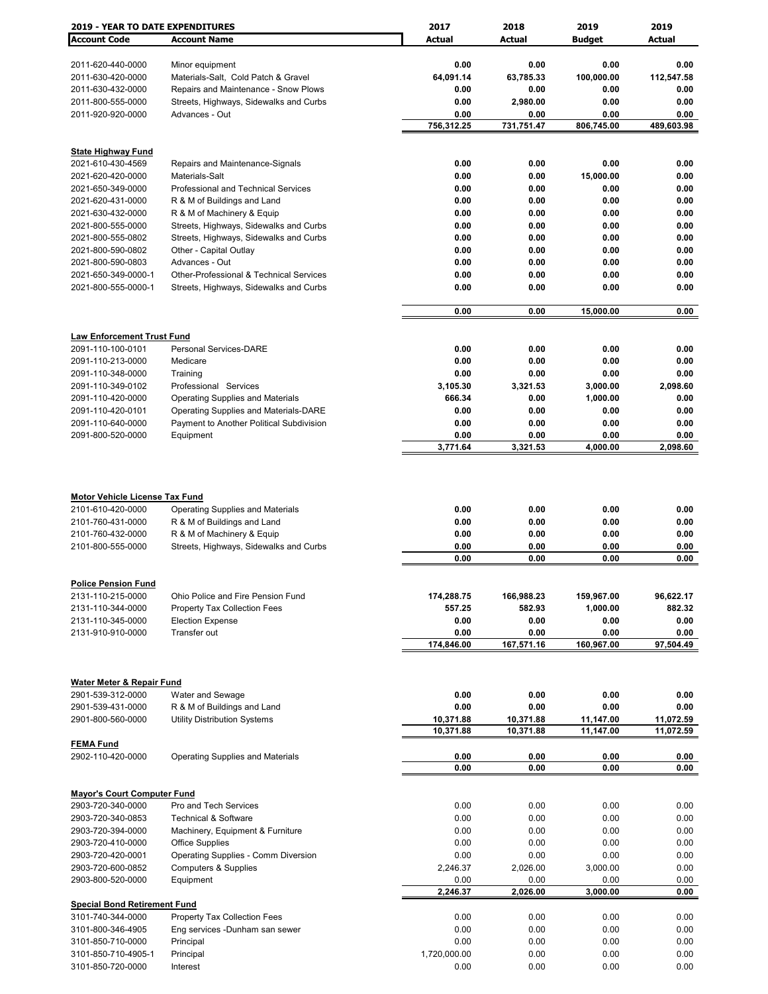| <b>2019 - YEAR TO DATE EXPENDITURES</b>                     |                                                                                                      | 2017                   | 2018                   | 2019                   | 2019                   |
|-------------------------------------------------------------|------------------------------------------------------------------------------------------------------|------------------------|------------------------|------------------------|------------------------|
| <b>Account Code</b>                                         | <b>Account Name</b>                                                                                  | <b>Actual</b>          | Actual                 | <b>Budget</b>          | Actual                 |
|                                                             |                                                                                                      |                        |                        |                        |                        |
| 2011-620-440-0000                                           | Minor equipment                                                                                      | 0.00                   | 0.00                   | 0.00                   | 0.00                   |
| 2011-630-420-0000                                           | Materials-Salt, Cold Patch & Gravel                                                                  | 64,091.14              | 63,785.33              | 100,000.00             | 112,547.58             |
| 2011-630-432-0000                                           | Repairs and Maintenance - Snow Plows                                                                 | 0.00                   | 0.00                   | 0.00                   | 0.00                   |
| 2011-800-555-0000                                           | Streets, Highways, Sidewalks and Curbs                                                               | 0.00                   | 2,980.00               | 0.00                   | 0.00                   |
| 2011-920-920-0000                                           | Advances - Out                                                                                       | 0.00<br>756,312.25     | 0.00<br>731,751.47     | 0.00<br>806,745.00     | 0.00<br>489,603.98     |
|                                                             |                                                                                                      |                        |                        |                        |                        |
| <b>State Highway Fund</b>                                   |                                                                                                      |                        |                        |                        |                        |
| 2021-610-430-4569                                           | Repairs and Maintenance-Signals                                                                      | 0.00                   | 0.00                   | 0.00                   | 0.00                   |
| 2021-620-420-0000                                           | Materials-Salt                                                                                       | 0.00                   | 0.00                   | 15,000.00              | 0.00                   |
| 2021-650-349-0000                                           | Professional and Technical Services                                                                  | 0.00                   | 0.00                   | 0.00                   | 0.00                   |
| 2021-620-431-0000                                           | R & M of Buildings and Land                                                                          | 0.00                   | 0.00                   | 0.00                   | 0.00                   |
| 2021-630-432-0000                                           | R & M of Machinery & Equip                                                                           | 0.00                   | 0.00                   | 0.00                   | 0.00                   |
| 2021-800-555-0000                                           | Streets, Highways, Sidewalks and Curbs                                                               | 0.00                   | 0.00                   | 0.00                   | 0.00                   |
| 2021-800-555-0802                                           | Streets, Highways, Sidewalks and Curbs                                                               | 0.00                   | 0.00                   | 0.00                   | 0.00                   |
| 2021-800-590-0802                                           | Other - Capital Outlay                                                                               | 0.00                   | 0.00                   | 0.00                   | 0.00                   |
| 2021-800-590-0803                                           | Advances - Out                                                                                       | 0.00                   | 0.00                   | 0.00                   | 0.00                   |
| 2021-650-349-0000-1                                         | Other-Professional & Technical Services                                                              | 0.00                   | 0.00                   | 0.00                   | 0.00                   |
| 2021-800-555-0000-1                                         | Streets, Highways, Sidewalks and Curbs                                                               | 0.00                   | 0.00                   | 0.00                   | 0.00                   |
|                                                             |                                                                                                      | 0.00                   | 0.00                   | 15,000.00              | 0.00                   |
|                                                             |                                                                                                      |                        |                        |                        |                        |
| <b>Law Enforcement Trust Fund</b>                           |                                                                                                      |                        |                        |                        |                        |
| 2091-110-100-0101                                           | <b>Personal Services-DARE</b>                                                                        | 0.00                   | 0.00                   | 0.00                   | 0.00                   |
| 2091-110-213-0000                                           | Medicare                                                                                             | 0.00                   | 0.00                   | 0.00                   | 0.00                   |
| 2091-110-348-0000                                           | Training                                                                                             | 0.00                   | 0.00                   | 0.00                   | 0.00                   |
| 2091-110-349-0102                                           | Professional Services                                                                                | 3,105.30               | 3,321.53               | 3,000.00               | 2,098.60               |
| 2091-110-420-0000                                           | <b>Operating Supplies and Materials</b>                                                              | 666.34                 | 0.00                   | 1,000.00               | 0.00                   |
| 2091-110-420-0101                                           | Operating Supplies and Materials-DARE                                                                | 0.00                   | 0.00                   | 0.00                   | 0.00                   |
| 2091-110-640-0000                                           | Payment to Another Political Subdivision                                                             | 0.00                   | 0.00                   | 0.00                   | 0.00                   |
| 2091-800-520-0000                                           | Equipment                                                                                            | 0.00                   | 0.00                   | 0.00                   | 0.00                   |
|                                                             |                                                                                                      | 3,771.64               | 3,321.53               | 4,000.00               | 2,098.60               |
| 2101-610-420-0000<br>2101-760-431-0000<br>2101-760-432-0000 | <b>Operating Supplies and Materials</b><br>R & M of Buildings and Land<br>R & M of Machinery & Equip | 0.00<br>0.00<br>0.00   | 0.00<br>0.00<br>0.00   | 0.00<br>0.00<br>0.00   | 0.00<br>0.00<br>0.00   |
| 2101-800-555-0000                                           | Streets, Highways, Sidewalks and Curbs                                                               | 0.00                   | 0.00                   | 0.00                   | 0.00                   |
|                                                             |                                                                                                      | 0.00                   | 0.00                   | 0.00                   | 0.00                   |
|                                                             |                                                                                                      |                        |                        |                        |                        |
| <b>Police Pension Fund</b><br>2131-110-215-0000             | Ohio Police and Fire Pension Fund                                                                    | 174,288.75             | 166,988.23             | 159,967.00             | 96,622.17              |
| 2131-110-344-0000                                           | <b>Property Tax Collection Fees</b>                                                                  | 557.25                 | 582.93                 | 1,000.00               | 882.32                 |
| 2131-110-345-0000                                           | <b>Election Expense</b>                                                                              | 0.00                   | 0.00                   | 0.00                   | 0.00                   |
| 2131-910-910-0000                                           | Transfer out                                                                                         | 0.00                   | 0.00                   | 0.00                   | 0.00                   |
|                                                             |                                                                                                      | 174,846.00             | 167,571.16             | 160,967.00             | 97,504.49              |
|                                                             |                                                                                                      |                        |                        |                        |                        |
|                                                             |                                                                                                      |                        |                        |                        |                        |
| <b>Water Meter &amp; Repair Fund</b>                        |                                                                                                      |                        |                        |                        |                        |
| 2901-539-312-0000                                           | Water and Sewage                                                                                     | 0.00                   | 0.00                   | 0.00                   | 0.00                   |
| 2901-539-431-0000                                           | R & M of Buildings and Land                                                                          | 0.00                   | 0.00                   | 0.00                   | 0.00                   |
| 2901-800-560-0000                                           | <b>Utility Distribution Systems</b>                                                                  | 10,371.88<br>10,371.88 | 10,371.88<br>10,371.88 | 11,147.00<br>11,147.00 | 11,072.59<br>11,072.59 |
| <b>FEMA Fund</b>                                            |                                                                                                      |                        |                        |                        |                        |
| 2902-110-420-0000                                           | <b>Operating Supplies and Materials</b>                                                              | 0.00                   | 0.00                   | 0.00                   | 0.00                   |
|                                                             |                                                                                                      | 0.00                   | 0.00                   | 0.00                   | 0.00                   |
|                                                             |                                                                                                      |                        |                        |                        |                        |
| <b>Mayor's Court Computer Fund</b>                          |                                                                                                      |                        |                        |                        |                        |
| 2903-720-340-0000                                           | Pro and Tech Services                                                                                | 0.00                   | 0.00                   | 0.00                   | 0.00                   |
| 2903-720-340-0853                                           | <b>Technical &amp; Software</b>                                                                      | 0.00                   | 0.00                   | 0.00                   | 0.00                   |
| 2903-720-394-0000                                           | Machinery, Equipment & Furniture                                                                     | 0.00                   | 0.00                   | 0.00                   | 0.00                   |
| 2903-720-410-0000                                           | <b>Office Supplies</b>                                                                               | 0.00                   | 0.00                   | 0.00                   | 0.00                   |
| 2903-720-420-0001                                           | Operating Supplies - Comm Diversion                                                                  | 0.00                   | 0.00                   | 0.00                   | 0.00                   |
| 2903-720-600-0852                                           | <b>Computers &amp; Supplies</b>                                                                      | 2,246.37               | 2,026.00               | 3,000.00               | 0.00                   |
| 2903-800-520-0000                                           | Equipment                                                                                            | 0.00<br>2,246.37       | 0.00                   | 0.00<br>3,000.00       | 0.00<br>0.00           |
|                                                             |                                                                                                      |                        | 2,026.00               |                        |                        |
| <b>Special Bond Retirement Fund</b><br>3101-740-344-0000    | Property Tax Collection Fees                                                                         | 0.00                   | 0.00                   | 0.00                   | 0.00                   |
| 3101-800-346-4905                                           | Eng services -Dunham san sewer                                                                       | 0.00                   | 0.00                   | 0.00                   | 0.00                   |
| 3101-850-710-0000                                           | Principal                                                                                            | 0.00                   | 0.00                   | 0.00                   | 0.00                   |
| 3101-850-710-4905-1                                         | Principal                                                                                            | 1,720,000.00           | 0.00                   | 0.00                   | 0.00                   |
| 3101-850-720-0000                                           | Interest                                                                                             | 0.00                   | 0.00                   | 0.00                   | 0.00                   |
|                                                             |                                                                                                      |                        |                        |                        |                        |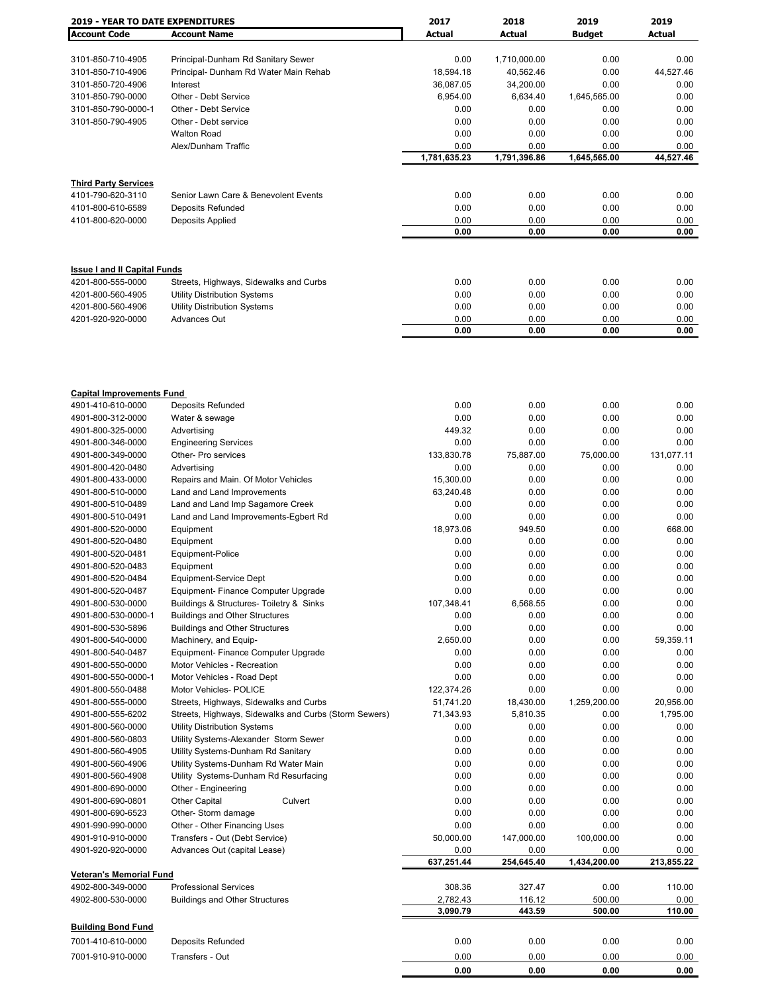| <b>2019 - YEAR TO DATE EXPENDITURES</b> |                                                       | 2017         | 2018         | 2019          | 2019         |
|-----------------------------------------|-------------------------------------------------------|--------------|--------------|---------------|--------------|
| <b>Account Code</b>                     | <b>Account Name</b>                                   | Actual       | Actual       | <b>Budget</b> | Actual       |
|                                         |                                                       |              |              |               |              |
| 3101-850-710-4905                       | Principal-Dunham Rd Sanitary Sewer                    | 0.00         | 1,710,000.00 | 0.00          | 0.00         |
| 3101-850-710-4906                       | Principal- Dunham Rd Water Main Rehab                 | 18,594.18    | 40,562.46    | 0.00          | 44,527.46    |
| 3101-850-720-4906                       | Interest                                              | 36,087.05    | 34,200.00    | 0.00          | 0.00         |
| 3101-850-790-0000                       | Other - Debt Service                                  | 6,954.00     | 6,634.40     | 1,645,565.00  | 0.00         |
| 3101-850-790-0000-1                     | Other - Debt Service                                  | 0.00         | 0.00         | 0.00          | 0.00         |
| 3101-850-790-4905                       | Other - Debt service                                  | 0.00         | 0.00         | 0.00          | 0.00         |
|                                         |                                                       |              | 0.00         |               | 0.00         |
|                                         | <b>Walton Road</b>                                    | 0.00         |              | 0.00          |              |
|                                         | Alex/Dunham Traffic                                   | 0.00         | 0.00         | 0.00          | 0.00         |
|                                         |                                                       | 1,781,635.23 | 1,791,396.86 | 1,645,565.00  | 44,527.46    |
|                                         |                                                       |              |              |               |              |
| <b>Third Party Services</b>             |                                                       |              |              |               |              |
| 4101-790-620-3110                       | Senior Lawn Care & Benevolent Events                  | 0.00         | 0.00         | 0.00          | 0.00         |
| 4101-800-610-6589                       | Deposits Refunded                                     | 0.00         | 0.00         | 0.00          | 0.00         |
| 4101-800-620-0000                       | Deposits Applied                                      | 0.00         | 0.00         | 0.00          | 0.00         |
|                                         |                                                       | 0.00         | 0.00         | 0.00          | 0.00         |
|                                         |                                                       |              |              |               |              |
| <b>Issue I and II Capital Funds</b>     |                                                       |              |              |               |              |
| 4201-800-555-0000                       | Streets, Highways, Sidewalks and Curbs                | 0.00         | 0.00         | 0.00          | 0.00         |
| 4201-800-560-4905                       | Utility Distribution Systems                          | 0.00         | 0.00         | 0.00          | 0.00         |
| 4201-800-560-4906                       | <b>Utility Distribution Systems</b>                   | 0.00         | 0.00         | 0.00          | 0.00         |
|                                         |                                                       |              |              |               |              |
| 4201-920-920-0000                       | Advances Out                                          | 0.00<br>0.00 | 0.00<br>0.00 | 0.00<br>0.00  | 0.00<br>0.00 |
|                                         |                                                       |              |              |               |              |
|                                         |                                                       |              |              |               |              |
| <b>Capital Improvements Fund</b>        |                                                       |              |              |               |              |
| 4901-410-610-0000                       | Deposits Refunded                                     | 0.00         | 0.00         | 0.00          | 0.00         |
| 4901-800-312-0000                       | Water & sewage                                        | 0.00         | 0.00         | 0.00          | 0.00         |
| 4901-800-325-0000                       | Advertising                                           | 449.32       | 0.00         | 0.00          | 0.00         |
| 4901-800-346-0000                       | <b>Engineering Services</b>                           | 0.00         | 0.00         | 0.00          | 0.00         |
|                                         |                                                       |              |              |               |              |
| 4901-800-349-0000                       | Other- Pro services                                   | 133,830.78   | 75,887.00    | 75,000.00     | 131,077.11   |
| 4901-800-420-0480                       | Advertising                                           | 0.00         | 0.00         | 0.00          | 0.00         |
| 4901-800-433-0000                       | Repairs and Main. Of Motor Vehicles                   | 15,300.00    | 0.00         | 0.00          | 0.00         |
| 4901-800-510-0000                       | Land and Land Improvements                            | 63,240.48    | 0.00         | 0.00          | 0.00         |
| 4901-800-510-0489                       | Land and Land Imp Sagamore Creek                      | 0.00         | 0.00         | 0.00          | 0.00         |
| 4901-800-510-0491                       | Land and Land Improvements-Egbert Rd                  | 0.00         | 0.00         | 0.00          | 0.00         |
| 4901-800-520-0000                       | Equipment                                             | 18,973.06    | 949.50       | 0.00          | 668.00       |
| 4901-800-520-0480                       | Equipment                                             | 0.00         | 0.00         | 0.00          | 0.00         |
| 4901-800-520-0481                       | Equipment-Police                                      | 0.00         | 0.00         | 0.00          | 0.00         |
| 4901-800-520-0483                       | Equipment                                             | 0.00         | 0.00         | 0.00          | 0.00         |
| 4901-800-520-0484                       | Equipment-Service Dept                                | 0.00         | 0.00         | 0.00          | 0.00         |
| 4901-800-520-0487                       | Equipment- Finance Computer Upgrade                   | 0.00         | 0.00         | 0.00          | 0.00         |
| 4901-800-530-0000                       |                                                       | 107,348.41   |              |               |              |
|                                         | Buildings & Structures- Toiletry & Sinks              |              | 6,568.55     | 0.00          | 0.00         |
| 4901-800-530-0000-1                     | <b>Buildings and Other Structures</b>                 | 0.00         | 0.00         | 0.00          | 0.00         |
| 4901-800-530-5896                       | <b>Buildings and Other Structures</b>                 | 0.00         | 0.00         | 0.00          | 0.00         |
| 4901-800-540-0000                       | Machinery, and Equip-                                 | 2,650.00     | 0.00         | 0.00          | 59,359.11    |
| 4901-800-540-0487                       | Equipment- Finance Computer Upgrade                   | 0.00         | 0.00         | 0.00          | 0.00         |
| 4901-800-550-0000                       | Motor Vehicles - Recreation                           | 0.00         | 0.00         | 0.00          | 0.00         |
| 4901-800-550-0000-1                     | Motor Vehicles - Road Dept                            | 0.00         | 0.00         | 0.00          | 0.00         |
| 4901-800-550-0488                       | Motor Vehicles- POLICE                                | 122,374.26   | 0.00         | 0.00          | 0.00         |
| 4901-800-555-0000                       | Streets, Highways, Sidewalks and Curbs                | 51,741.20    | 18,430.00    | 1,259,200.00  | 20,956.00    |
| 4901-800-555-6202                       | Streets, Highways, Sidewalks and Curbs (Storm Sewers) | 71,343.93    | 5,810.35     | 0.00          | 1,795.00     |
| 4901-800-560-0000                       | <b>Utility Distribution Systems</b>                   | 0.00         | 0.00         | 0.00          | 0.00         |
| 4901-800-560-0803                       | Utility Systems-Alexander Storm Sewer                 | 0.00         | 0.00         | 0.00          | 0.00         |
|                                         |                                                       |              |              |               |              |
| 4901-800-560-4905                       | Utility Systems-Dunham Rd Sanitary                    | 0.00         | 0.00         | 0.00          | 0.00         |
| 4901-800-560-4906                       | Utility Systems-Dunham Rd Water Main                  | 0.00         | 0.00         | 0.00          | 0.00         |
| 4901-800-560-4908                       | Utility Systems-Dunham Rd Resurfacing                 | 0.00         | 0.00         | 0.00          | 0.00         |
| 4901-800-690-0000                       | Other - Engineering                                   | 0.00         | 0.00         | 0.00          | 0.00         |
| 4901-800-690-0801                       | Other Capital<br>Culvert                              | 0.00         | 0.00         | 0.00          | 0.00         |
| 4901-800-690-6523                       | Other- Storm damage                                   | 0.00         | 0.00         | 0.00          | 0.00         |
| 4901-990-990-0000                       | Other - Other Financing Uses                          | 0.00         | 0.00         | 0.00          | 0.00         |
| 4901-910-910-0000                       | Transfers - Out (Debt Service)                        | 50,000.00    | 147,000.00   | 100,000.00    | 0.00         |
| 4901-920-920-0000                       | Advances Out (capital Lease)                          | 0.00         | 0.00         | 0.00          | 0.00         |
|                                         |                                                       | 637,251.44   | 254,645.40   | 1,434,200.00  | 213,855.22   |
| <b>Veteran's Memorial Fund</b>          |                                                       |              |              |               |              |
| 4902-800-349-0000                       | <b>Professional Services</b>                          | 308.36       | 327.47       | 0.00          | 110.00       |
| 4902-800-530-0000                       | <b>Buildings and Other Structures</b>                 | 2,782.43     | 116.12       | 500.00        | 0.00         |
|                                         |                                                       | 3,090.79     | 443.59       | 500.00        | 110.00       |
| <b>Building Bond Fund</b>               |                                                       |              |              |               |              |
| 7001-410-610-0000                       | Deposits Refunded                                     | 0.00         | 0.00         | 0.00          | 0.00         |
| 7001-910-910-0000                       | Transfers - Out                                       | 0.00         | 0.00         | 0.00          | 0.00         |
|                                         |                                                       | 0.00         | 0.00         | 0.00          | 0.00         |
|                                         |                                                       |              |              |               |              |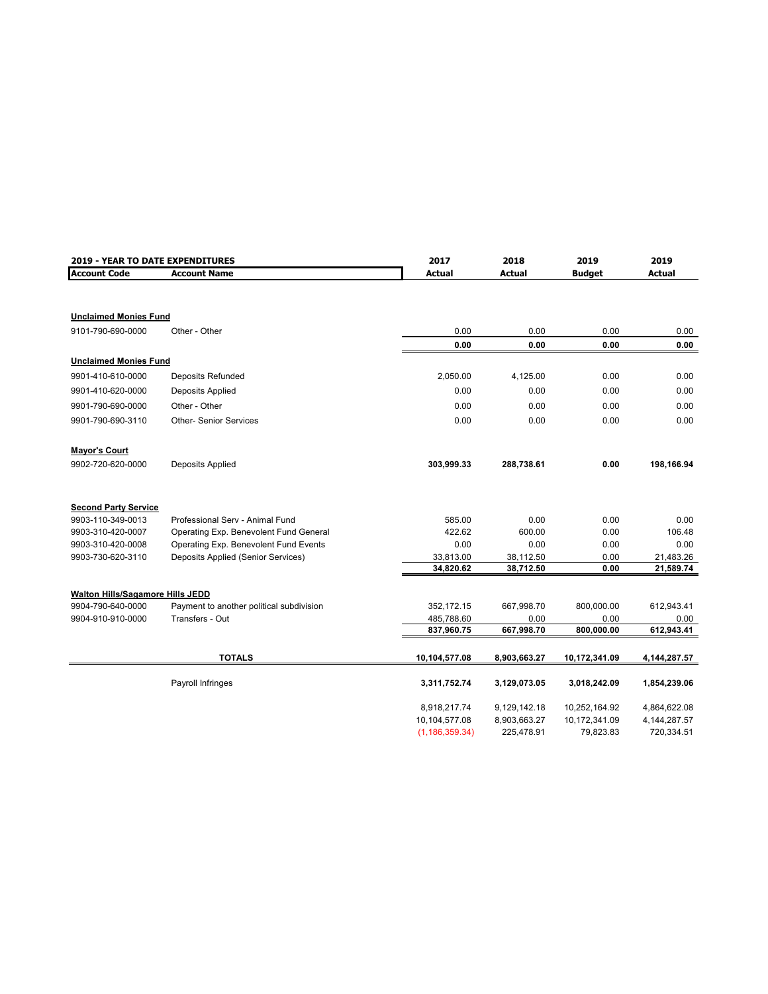| 2019 - YEAR TO DATE EXPENDITURES |                                          | 2017             | 2018          |               | 2019           |
|----------------------------------|------------------------------------------|------------------|---------------|---------------|----------------|
| <b>Account Code</b>              | <b>Account Name</b>                      | <b>Actual</b>    | <b>Actual</b> | <b>Budget</b> | <b>Actual</b>  |
|                                  |                                          |                  |               |               |                |
| <b>Unclaimed Monies Fund</b>     |                                          |                  |               |               |                |
| 9101-790-690-0000                | Other - Other                            | 0.00             | 0.00          | 0.00          | 0.00           |
|                                  |                                          | 0.00             | 0.00          | 0.00          | 0.00           |
| <b>Unclaimed Monies Fund</b>     |                                          |                  |               |               |                |
| 9901-410-610-0000                | <b>Deposits Refunded</b>                 | 2,050.00         | 4,125.00      | 0.00          | 0.00           |
| 9901-410-620-0000                | Deposits Applied                         | 0.00             | 0.00          | 0.00          | 0.00           |
| 9901-790-690-0000                | Other - Other                            | 0.00             | 0.00          | 0.00          | 0.00           |
| 9901-790-690-3110                | <b>Other-Senior Services</b>             | 0.00             | 0.00          | 0.00          | 0.00           |
| <b>Mayor's Court</b>             |                                          |                  |               |               |                |
| 9902-720-620-0000                | Deposits Applied                         | 303,999.33       | 288,738.61    | 0.00          | 198,166.94     |
| <b>Second Party Service</b>      |                                          |                  |               |               |                |
| 9903-110-349-0013                | Professional Serv - Animal Fund          | 585.00           | 0.00          | 0.00          | 0.00           |
| 9903-310-420-0007                | Operating Exp. Benevolent Fund General   | 422.62           | 600.00        | 0.00          | 106.48         |
| 9903-310-420-0008                | Operating Exp. Benevolent Fund Events    | 0.00             | 0.00          | 0.00          | 0.00           |
| 9903-730-620-3110                | Deposits Applied (Senior Services)       | 33,813.00        | 38,112.50     | 0.00          | 21,483.26      |
|                                  |                                          | 34,820.62        | 38,712.50     | 0.00          | 21,589.74      |
| Walton Hills/Sagamore Hills JEDD |                                          |                  |               |               |                |
| 9904-790-640-0000                | Payment to another political subdivision | 352,172.15       | 667,998.70    | 800,000.00    | 612,943.41     |
| 9904-910-910-0000                | Transfers - Out                          | 485,788.60       | 0.00          | 0.00          | 0.00           |
|                                  |                                          | 837,960.75       | 667,998.70    | 800,000.00    | 612,943.41     |
|                                  | <b>TOTALS</b>                            | 10,104,577.08    | 8,903,663.27  | 10,172,341.09 | 4,144,287.57   |
|                                  | Payroll Infringes                        | 3,311,752.74     | 3,129,073.05  | 3,018,242.09  | 1,854,239.06   |
|                                  |                                          |                  |               |               |                |
|                                  |                                          | 8,918,217.74     | 9,129,142.18  | 10,252,164.92 | 4,864,622.08   |
|                                  |                                          | 10,104,577.08    | 8,903,663.27  | 10,172,341.09 | 4, 144, 287.57 |
|                                  |                                          | (1, 186, 359.34) | 225,478.91    | 79,823.83     | 720,334.51     |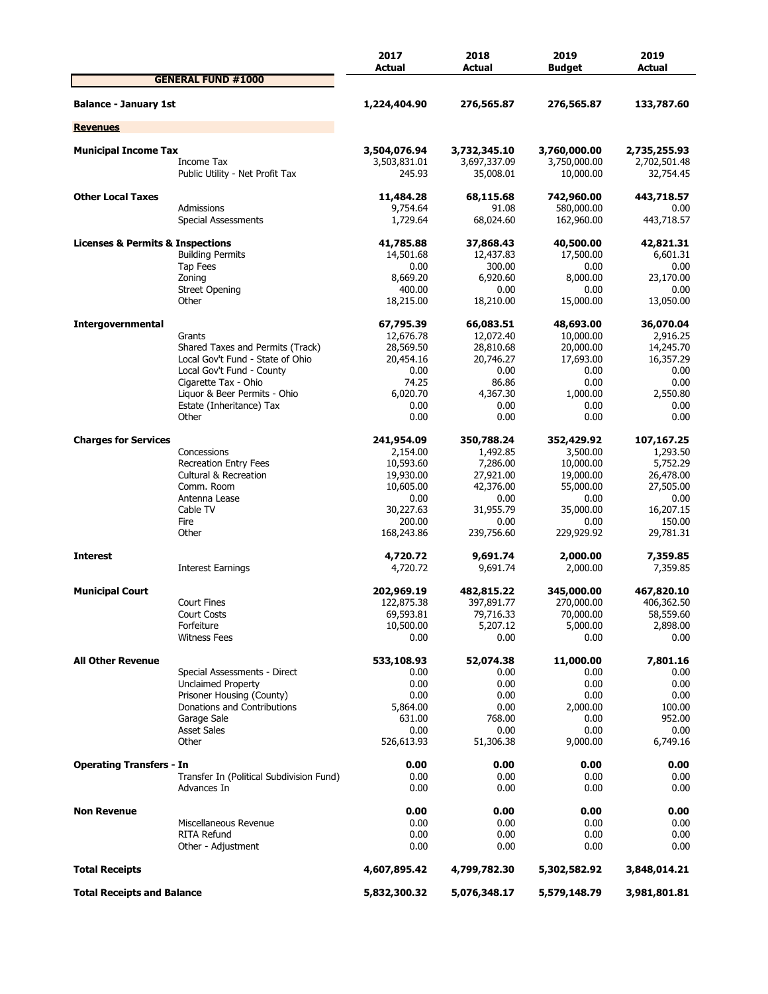|                                                 |                                                         | 2017<br>Actual               | 2018<br>Actual               | 2019<br><b>Budget</b>        | 2019<br>Actual               |
|-------------------------------------------------|---------------------------------------------------------|------------------------------|------------------------------|------------------------------|------------------------------|
|                                                 | <b>GENERAL FUND #1000</b>                               |                              |                              |                              |                              |
| <b>Balance - January 1st</b>                    |                                                         | 1,224,404.90                 | 276,565.87                   | 276,565.87                   | 133,787.60                   |
| <b>Revenues</b>                                 |                                                         |                              |                              |                              |                              |
|                                                 |                                                         |                              |                              |                              |                              |
| <b>Municipal Income Tax</b>                     | Income Tax                                              | 3,504,076.94<br>3,503,831.01 | 3,732,345.10<br>3,697,337.09 | 3,760,000.00<br>3,750,000.00 | 2,735,255.93<br>2,702,501.48 |
|                                                 | Public Utility - Net Profit Tax                         | 245.93                       | 35,008.01                    | 10,000.00                    | 32,754.45                    |
| <b>Other Local Taxes</b>                        |                                                         | 11,484.28                    | 68,115.68                    | 742,960.00                   | 443,718.57                   |
|                                                 | Admissions<br>Special Assessments                       | 9,754.64<br>1,729.64         | 91.08<br>68,024.60           | 580,000.00<br>162,960.00     | 0.00<br>443,718.57           |
| <b>Licenses &amp; Permits &amp; Inspections</b> |                                                         | 41,785.88                    | 37,868.43                    | 40,500.00                    | 42,821.31                    |
|                                                 | <b>Building Permits</b>                                 | 14,501.68                    | 12,437.83                    | 17,500.00                    | 6,601.31                     |
|                                                 | Tap Fees                                                | 0.00                         | 300.00                       | 0.00                         | 0.00                         |
|                                                 | Zoning                                                  | 8,669.20                     | 6,920.60                     | 8,000.00                     | 23,170.00                    |
|                                                 | <b>Street Opening</b>                                   | 400.00                       | 0.00                         | 0.00                         | 0.00                         |
|                                                 | Other                                                   | 18,215.00                    | 18,210.00                    | 15,000.00                    | 13,050.00                    |
| Intergovernmental                               |                                                         | 67,795.39                    | 66,083.51                    | 48,693.00                    | 36,070.04                    |
|                                                 | Grants                                                  | 12,676.78                    | 12,072.40                    | 10,000.00                    | 2,916.25                     |
|                                                 | Shared Taxes and Permits (Track)                        | 28,569.50                    | 28,810.68                    | 20,000.00                    | 14,245.70                    |
|                                                 | Local Gov't Fund - State of Ohio                        | 20,454.16                    | 20,746.27                    | 17,693.00                    | 16,357.29                    |
|                                                 | Local Gov't Fund - County<br>Cigarette Tax - Ohio       | 0.00                         | 0.00                         | 0.00                         | 0.00                         |
|                                                 | Liquor & Beer Permits - Ohio                            | 74.25<br>6,020.70            | 86.86                        | 0.00                         | 0.00<br>2,550.80             |
|                                                 | Estate (Inheritance) Tax                                | 0.00                         | 4,367.30<br>0.00             | 1,000.00<br>0.00             | 0.00                         |
|                                                 | Other                                                   | 0.00                         | 0.00                         | 0.00                         | 0.00                         |
| <b>Charges for Services</b>                     |                                                         | 241,954.09                   | 350,788.24                   | 352,429.92                   | 107,167.25                   |
|                                                 | Concessions                                             | 2,154.00                     | 1,492.85                     | 3,500.00                     | 1,293.50                     |
|                                                 | <b>Recreation Entry Fees</b>                            | 10,593.60                    | 7,286.00                     | 10,000.00                    | 5,752.29                     |
|                                                 | <b>Cultural &amp; Recreation</b>                        | 19,930.00                    | 27,921.00                    | 19,000.00                    | 26,478.00                    |
|                                                 | Comm. Room                                              | 10,605.00                    | 42,376.00                    | 55,000.00                    | 27,505.00                    |
|                                                 | Antenna Lease                                           | 0.00                         | 0.00                         | 0.00                         | 0.00                         |
|                                                 | Cable TV                                                | 30,227.63                    | 31,955.79                    | 35,000.00                    | 16,207.15                    |
|                                                 | Fire                                                    | 200.00                       | 0.00                         | 0.00                         | 150.00                       |
|                                                 | Other                                                   | 168,243.86                   | 239,756.60                   | 229,929.92                   | 29,781.31                    |
| <b>Interest</b>                                 |                                                         | 4,720.72                     | 9,691.74                     | 2,000.00                     | 7,359.85                     |
|                                                 | Interest Earnings                                       | 4,720.72                     | 9,691.74                     | 2,000.00                     | 7,359.85                     |
| <b>Municipal Court</b>                          |                                                         | 202,969.19                   | 482,815.22                   | 345,000.00                   | 467,820.10                   |
|                                                 | <b>Court Fines</b>                                      | 122,875.38                   | 397,891.77                   | 270,000.00                   | 406,362.50                   |
|                                                 | Court Costs                                             | 69,593.81                    | 79,716.33                    | 70,000.00                    | 58,559.60                    |
|                                                 | Forfeiture                                              | 10,500.00                    | 5,207.12                     | 5,000.00                     | 2,898.00                     |
|                                                 | <b>Witness Fees</b>                                     | 0.00                         | 0.00                         | 0.00                         | 0.00                         |
| <b>All Other Revenue</b>                        |                                                         | 533,108.93                   | 52,074.38                    | 11,000.00                    | 7,801.16                     |
|                                                 | Special Assessments - Direct                            | 0.00                         | 0.00                         | 0.00                         | 0.00                         |
|                                                 | <b>Unclaimed Property</b>                               | 0.00                         | 0.00                         | 0.00                         | 0.00                         |
|                                                 | Prisoner Housing (County)                               | 0.00                         | 0.00                         | 0.00                         | 0.00                         |
|                                                 | Donations and Contributions                             | 5,864.00                     | 0.00                         | 2,000.00                     | 100.00                       |
|                                                 | Garage Sale                                             | 631.00                       | 768.00                       | 0.00                         | 952.00                       |
|                                                 | <b>Asset Sales</b>                                      | 0.00                         | 0.00                         | 0.00                         | 0.00                         |
|                                                 | Other                                                   | 526,613.93                   | 51,306.38                    | 9,000.00                     | 6,749.16                     |
| <b>Operating Transfers - In</b>                 |                                                         | 0.00                         | 0.00                         | 0.00                         | 0.00                         |
|                                                 | Transfer In (Political Subdivision Fund)<br>Advances In | 0.00<br>0.00                 | 0.00<br>0.00                 | 0.00<br>0.00                 | 0.00<br>0.00                 |
|                                                 |                                                         |                              |                              |                              |                              |
| <b>Non Revenue</b>                              | Miscellaneous Revenue                                   | 0.00<br>0.00                 | 0.00<br>0.00                 | 0.00<br>0.00                 | 0.00<br>0.00                 |
|                                                 | <b>RITA Refund</b>                                      | 0.00                         | 0.00                         | 0.00                         | 0.00                         |
|                                                 | Other - Adjustment                                      | 0.00                         | 0.00                         | 0.00                         | 0.00                         |
| <b>Total Receipts</b>                           |                                                         | 4,607,895.42                 | 4,799,782.30                 | 5,302,582.92                 | 3,848,014.21                 |
| <b>Total Receipts and Balance</b>               |                                                         | 5,832,300.32                 | 5,076,348.17                 | 5,579,148.79                 | 3,981,801.81                 |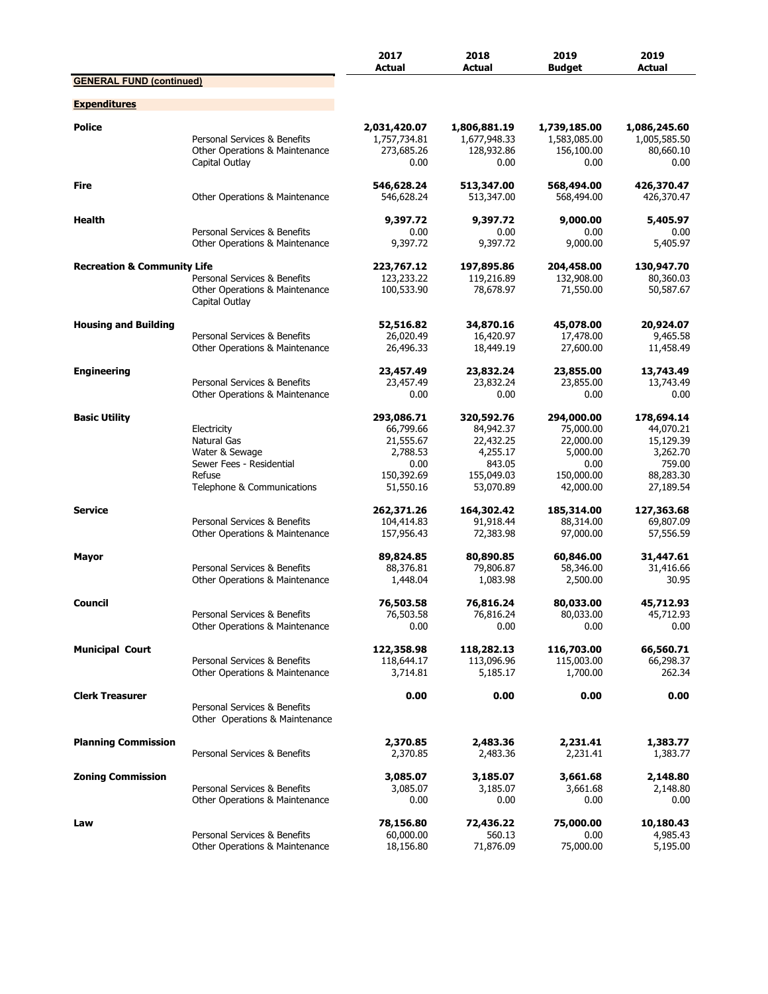|                                        |                                                                                                                  | 2017<br><b>Actual</b>                                                               | 2018<br><b>Actual</b>                                                                 | 2019<br><b>Budget</b>                                                               | 2019<br><b>Actual</b>                                                                |
|----------------------------------------|------------------------------------------------------------------------------------------------------------------|-------------------------------------------------------------------------------------|---------------------------------------------------------------------------------------|-------------------------------------------------------------------------------------|--------------------------------------------------------------------------------------|
| <b>GENERAL FUND (continued)</b>        |                                                                                                                  |                                                                                     |                                                                                       |                                                                                     |                                                                                      |
| <b>Expenditures</b>                    |                                                                                                                  |                                                                                     |                                                                                       |                                                                                     |                                                                                      |
| <b>Police</b>                          | Personal Services & Benefits<br>Other Operations & Maintenance<br>Capital Outlay                                 | 2,031,420.07<br>1,757,734.81<br>273,685.26<br>0.00                                  | 1,806,881.19<br>1,677,948.33<br>128,932.86<br>0.00                                    | 1,739,185.00<br>1,583,085.00<br>156,100.00<br>0.00                                  | 1,086,245.60<br>1,005,585.50<br>80,660.10<br>0.00                                    |
| <b>Fire</b>                            | Other Operations & Maintenance                                                                                   | 546,628.24<br>546,628.24                                                            | 513,347.00<br>513,347.00                                                              | 568,494.00<br>568,494.00                                                            | 426,370.47<br>426,370.47                                                             |
| Health                                 | Personal Services & Benefits<br>Other Operations & Maintenance                                                   | 9,397.72<br>0.00<br>9,397.72                                                        | 9,397.72<br>0.00<br>9,397.72                                                          | 9,000.00<br>0.00<br>9,000.00                                                        | 5,405.97<br>0.00<br>5,405.97                                                         |
| <b>Recreation &amp; Community Life</b> | Personal Services & Benefits<br>Other Operations & Maintenance<br>Capital Outlay                                 | 223,767.12<br>123,233.22<br>100,533.90                                              | 197,895.86<br>119,216.89<br>78,678.97                                                 | 204,458.00<br>132,908.00<br>71,550.00                                               | 130,947.70<br>80,360.03<br>50,587.67                                                 |
| <b>Housing and Building</b>            | Personal Services & Benefits<br>Other Operations & Maintenance                                                   | 52,516.82<br>26,020.49<br>26,496.33                                                 | 34,870.16<br>16,420.97<br>18,449.19                                                   | 45,078.00<br>17,478.00<br>27,600.00                                                 | 20,924.07<br>9,465.58<br>11,458.49                                                   |
| <b>Engineering</b>                     | Personal Services & Benefits<br>Other Operations & Maintenance                                                   | 23,457.49<br>23,457.49<br>0.00                                                      | 23,832.24<br>23,832.24<br>0.00                                                        | 23,855.00<br>23,855.00<br>0.00                                                      | 13,743.49<br>13,743.49<br>0.00                                                       |
| <b>Basic Utility</b>                   | Electricity<br>Natural Gas<br>Water & Sewage<br>Sewer Fees - Residential<br>Refuse<br>Telephone & Communications | 293,086.71<br>66,799.66<br>21,555.67<br>2,788.53<br>0.00<br>150,392.69<br>51,550.16 | 320,592.76<br>84,942.37<br>22,432.25<br>4,255.17<br>843.05<br>155,049.03<br>53,070.89 | 294,000.00<br>75,000.00<br>22,000.00<br>5,000.00<br>0.00<br>150,000.00<br>42,000.00 | 178,694.14<br>44,070.21<br>15,129.39<br>3,262.70<br>759.00<br>88,283.30<br>27,189.54 |
| <b>Service</b>                         | Personal Services & Benefits<br>Other Operations & Maintenance                                                   | 262,371.26<br>104,414.83<br>157,956.43                                              | 164,302.42<br>91,918.44<br>72,383.98                                                  | 185,314.00<br>88,314.00<br>97,000.00                                                | 127,363.68<br>69,807.09<br>57,556.59                                                 |
| <b>Mayor</b>                           | Personal Services & Benefits<br>Other Operations & Maintenance                                                   | 89,824.85<br>88,376.81<br>1,448.04                                                  | 80,890.85<br>79,806.87<br>1,083.98                                                    | 60,846.00<br>58,346.00<br>2,500.00                                                  | 31,447.61<br>31,416.66<br>30.95                                                      |
| Council                                | Personal Services & Benefits<br>Other Operations & Maintenance                                                   | 76,503.58<br>76,503.58<br>0.00                                                      | 76,816.24<br>76,816.24<br>0.00                                                        | 80,033.00<br>80,033.00<br>0.00                                                      | 45,712.93<br>45,712.93<br>0.00                                                       |
| <b>Municipal Court</b>                 | Personal Services & Benefits<br>Other Operations & Maintenance                                                   | 122,358.98<br>118,644.17<br>3,714.81                                                | 118,282.13<br>113,096.96<br>5,185.17                                                  | 116,703.00<br>115,003.00<br>1,700.00                                                | 66,560.71<br>66,298.37<br>262.34                                                     |
| <b>Clerk Treasurer</b>                 | Personal Services & Benefits<br>Other Operations & Maintenance                                                   | 0.00                                                                                | 0.00                                                                                  | 0.00                                                                                | 0.00                                                                                 |
| <b>Planning Commission</b>             | Personal Services & Benefits                                                                                     | 2,370.85<br>2,370.85                                                                | 2,483.36<br>2,483.36                                                                  | 2,231.41<br>2,231.41                                                                | 1,383.77<br>1,383.77                                                                 |
| <b>Zoning Commission</b>               | Personal Services & Benefits<br>Other Operations & Maintenance                                                   | 3,085.07<br>3,085.07<br>0.00                                                        | 3,185.07<br>3,185.07<br>0.00                                                          | 3,661.68<br>3,661.68<br>0.00                                                        | 2,148.80<br>2,148.80<br>0.00                                                         |
| Law                                    | Personal Services & Benefits<br>Other Operations & Maintenance                                                   | 78,156.80<br>60,000.00<br>18,156.80                                                 | 72,436.22<br>560.13<br>71,876.09                                                      | 75,000.00<br>0.00<br>75,000.00                                                      | 10,180.43<br>4,985.43<br>5,195.00                                                    |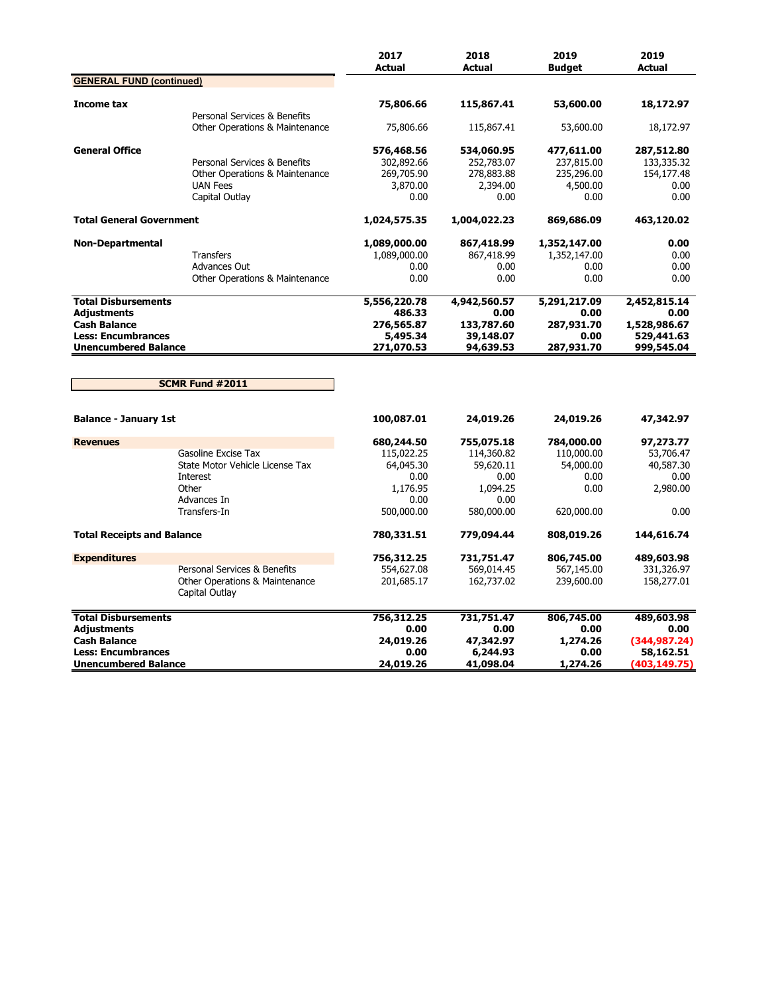|                                                                                                                                     |                                                                                                                   | 2017<br><b>Actual</b>                                             | 2018<br><b>Actual</b>                                             | 2019<br><b>Budget</b>                                 | 2019<br><b>Actual</b>                                            |
|-------------------------------------------------------------------------------------------------------------------------------------|-------------------------------------------------------------------------------------------------------------------|-------------------------------------------------------------------|-------------------------------------------------------------------|-------------------------------------------------------|------------------------------------------------------------------|
| <b>GENERAL FUND (continued)</b>                                                                                                     |                                                                                                                   |                                                                   |                                                                   |                                                       |                                                                  |
| Income tax                                                                                                                          | Personal Services & Benefits                                                                                      | 75,806.66                                                         | 115,867.41                                                        | 53,600.00                                             | 18,172.97                                                        |
|                                                                                                                                     | <b>Other Operations &amp; Maintenance</b>                                                                         | 75,806.66                                                         | 115,867.41                                                        | 53,600.00                                             | 18,172.97                                                        |
| <b>General Office</b>                                                                                                               | Personal Services & Benefits<br><b>Other Operations &amp; Maintenance</b><br><b>UAN Fees</b>                      | 576,468.56<br>302,892.66<br>269,705.90<br>3,870.00                | 534,060.95<br>252,783.07<br>278,883.88<br>2,394.00                | 477,611.00<br>237,815.00<br>235,296.00<br>4,500.00    | 287,512.80<br>133,335.32<br>154,177.48<br>0.00                   |
|                                                                                                                                     | Capital Outlay                                                                                                    | 0.00                                                              | 0.00                                                              | 0.00                                                  | 0.00                                                             |
| <b>Total General Government</b>                                                                                                     |                                                                                                                   | 1,024,575.35                                                      | 1,004,022.23                                                      | 869,686.09                                            | 463,120.02                                                       |
| <b>Non-Departmental</b>                                                                                                             | <b>Transfers</b><br><b>Advances Out</b><br>Other Operations & Maintenance                                         | 1,089,000.00<br>1,089,000.00<br>0.00<br>0.00                      | 867,418.99<br>867,418.99<br>0.00<br>0.00                          | 1,352,147.00<br>1,352,147.00<br>0.00<br>0.00          | 0.00<br>0.00<br>0.00<br>0.00                                     |
| <b>Total Disbursements</b>                                                                                                          |                                                                                                                   | 5,556,220.78                                                      | 4,942,560.57                                                      | 5,291,217.09                                          | 2,452,815.14                                                     |
| <b>Adjustments</b><br><b>Cash Balance</b><br><b>Less: Encumbrances</b><br><b>Unencumbered Balance</b>                               |                                                                                                                   | 486.33<br>276,565.87<br>5,495.34<br>271,070.53                    | 0.00<br>133,787.60<br>39,148.07<br>94,639.53                      | 0.00<br>287,931.70<br>0.00<br>287,931.70              | 0.00<br>1,528,986.67<br>529,441.63<br>999,545.04                 |
|                                                                                                                                     | <b>SCMR Fund #2011</b>                                                                                            |                                                                   |                                                                   |                                                       |                                                                  |
| <b>Balance - January 1st</b>                                                                                                        |                                                                                                                   | 100,087.01                                                        | 24,019.26                                                         | 24,019.26                                             | 47,342.97                                                        |
| <b>Revenues</b>                                                                                                                     |                                                                                                                   | 680,244.50                                                        | 755,075.18                                                        | 784,000.00                                            | 97,273.77                                                        |
|                                                                                                                                     | Gasoline Excise Tax<br>State Motor Vehicle License Tax<br><b>Interest</b><br>Other<br>Advances In<br>Transfers-In | 115,022.25<br>64,045.30<br>0.00<br>1,176.95<br>0.00<br>500,000.00 | 114,360.82<br>59,620.11<br>0.00<br>1,094.25<br>0.00<br>580,000.00 | 110,000.00<br>54,000.00<br>0.00<br>0.00<br>620,000.00 | 53,706.47<br>40,587.30<br>0.00<br>2,980.00<br>0.00               |
| <b>Total Receipts and Balance</b>                                                                                                   |                                                                                                                   | 780,331.51                                                        | 779,094.44                                                        | 808,019.26                                            | 144,616.74                                                       |
| <b>Expenditures</b>                                                                                                                 | Personal Services & Benefits<br>Other Operations & Maintenance<br>Capital Outlay                                  | 756,312.25<br>554,627.08<br>201,685.17                            | 731,751.47<br>569,014.45<br>162,737.02                            | 806,745.00<br>567,145.00<br>239,600.00                | 489,603.98<br>331,326.97<br>158,277.01                           |
| <b>Total Disbursements</b><br><b>Adjustments</b><br><b>Cash Balance</b><br><b>Less: Encumbrances</b><br><b>Unencumbered Balance</b> |                                                                                                                   | 756,312.25<br>0.00<br>24,019.26<br>0.00<br>24,019.26              | 731,751.47<br>0.00<br>47,342.97<br>6,244.93<br>41,098.04          | 806,745.00<br>0.00<br>1,274.26<br>0.00<br>1,274.26    | 489,603.98<br>0.00<br>(344, 987.24)<br>58,162.51<br>(403,149.75) |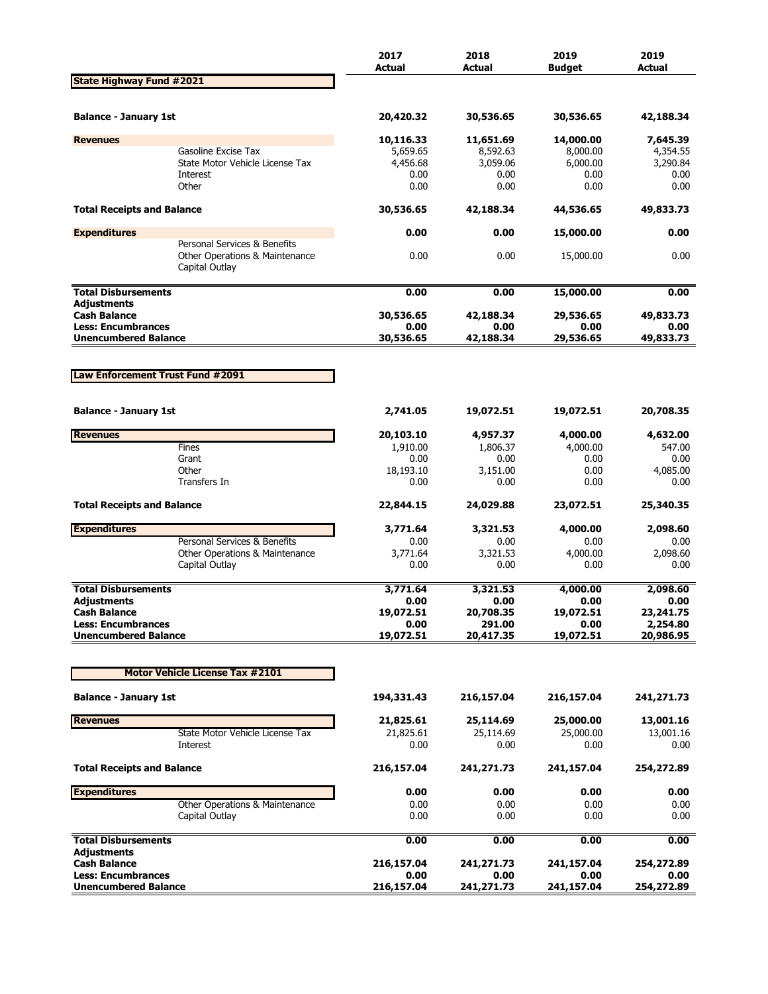|                                                  |                                                                                  | 2017<br><b>Actual</b> | 2018<br><b>Actual</b> | 2019<br><b>Budget</b> | 2019<br><b>Actual</b> |
|--------------------------------------------------|----------------------------------------------------------------------------------|-----------------------|-----------------------|-----------------------|-----------------------|
| <b>State Highway Fund #2021</b>                  |                                                                                  |                       |                       |                       |                       |
|                                                  |                                                                                  |                       |                       |                       | 42,188.34             |
| <b>Balance - January 1st</b>                     |                                                                                  | 20,420.32             | 30,536.65             | 30,536.65             |                       |
| <b>Revenues</b>                                  |                                                                                  | 10,116.33             | 11,651.69             | 14,000.00             | 7,645.39              |
|                                                  | Gasoline Excise Tax<br>State Motor Vehicle License Tax                           | 5,659.65<br>4,456.68  | 8,592.63<br>3,059.06  | 8,000.00<br>6,000.00  | 4,354.55<br>3,290.84  |
|                                                  | Interest                                                                         | 0.00                  | 0.00                  | 0.00                  | 0.00                  |
|                                                  | Other                                                                            | 0.00                  | 0.00                  | 0.00                  | 0.00                  |
| <b>Total Receipts and Balance</b>                |                                                                                  | 30,536.65             | 42,188.34             | 44,536.65             | 49,833.73             |
| <b>Expenditures</b>                              |                                                                                  | 0.00                  | 0.00                  | 15,000.00             | 0.00                  |
|                                                  | Personal Services & Benefits<br>Other Operations & Maintenance<br>Capital Outlay | 0.00                  | 0.00                  | 15,000.00             | 0.00                  |
| <b>Total Disbursements</b>                       |                                                                                  | 0.00                  | 0.00                  | 15,000.00             | 0.00                  |
| <b>Adjustments</b>                               |                                                                                  |                       |                       |                       |                       |
| <b>Cash Balance</b><br><b>Less: Encumbrances</b> |                                                                                  | 30,536.65<br>0.00     | 42,188.34<br>0.00     | 29,536.65<br>0.00     | 49,833.73<br>0.00     |
| <b>Unencumbered Balance</b>                      |                                                                                  | 30,536.65             | 42,188.34             | 29,536.65             | 49,833.73             |
|                                                  |                                                                                  |                       |                       |                       |                       |
| Law Enforcement Trust Fund #2091                 |                                                                                  |                       |                       |                       |                       |
|                                                  |                                                                                  |                       |                       |                       |                       |
| <b>Balance - January 1st</b>                     |                                                                                  | 2,741.05              | 19,072.51             | 19,072.51             | 20,708.35             |
| <b>Revenues</b>                                  |                                                                                  | 20,103.10             | 4,957.37              | 4,000.00              | 4,632.00              |
|                                                  | Fines                                                                            | 1,910.00              | 1,806.37              | 4,000.00              | 547.00                |
|                                                  | Grant                                                                            | 0.00                  | 0.00                  | 0.00                  | 0.00                  |
|                                                  | Other<br>Transfers In                                                            | 18,193.10<br>0.00     | 3,151.00<br>0.00      | 0.00<br>0.00          | 4,085.00<br>0.00      |
| <b>Total Receipts and Balance</b>                |                                                                                  | 22,844.15             | 24,029.88             | 23,072.51             | 25,340.35             |
|                                                  |                                                                                  |                       |                       |                       |                       |
| <b>Expenditures</b>                              | Personal Services & Benefits                                                     | 3,771.64<br>0.00      | 3,321.53<br>0.00      | 4,000.00<br>0.00      | 2,098.60<br>0.00      |
|                                                  | Other Operations & Maintenance                                                   | 3,771.64              | 3,321.53              | 4,000.00              | 2,098.60              |
|                                                  | Capital Outlay                                                                   | 0.00                  | 0.00                  | 0.00                  | 0.00                  |
| <b>Total Disbursements</b>                       |                                                                                  | 3,771.64              | 3,321.53              | 4,000.00              | 2,098.60              |
| Adjustments                                      |                                                                                  | 0.00                  | 0.00                  | 0.00                  | 0.00                  |
| <b>Cash Balance</b>                              |                                                                                  | 19,072.51             | 20,708.35             | 19,072.51             | 23,241.75             |
| <b>Less: Encumbrances</b>                        |                                                                                  | 0.00                  | 291.00                | 0.00                  | 2,254.80              |
| <b>Unencumbered Balance</b>                      |                                                                                  | 19,072.51             | 20,417.35             | 19,072.51             | 20,986.95             |
|                                                  | <b>Motor Vehicle License Tax #2101</b>                                           |                       |                       |                       |                       |
| <b>Balance - January 1st</b>                     |                                                                                  | 194,331.43            | 216,157.04            | 216,157.04            | 241,271.73            |
| <b>Revenues</b>                                  |                                                                                  | 21,825.61             | 25,114.69             | 25,000.00             | 13,001.16             |
|                                                  | State Motor Vehicle License Tax                                                  | 21,825.61             | 25,114.69             | 25,000.00             | 13,001.16             |
|                                                  | Interest                                                                         | 0.00                  | 0.00                  | 0.00                  | 0.00                  |
| <b>Total Receipts and Balance</b>                |                                                                                  | 216,157.04            | 241,271.73            | 241,157.04            | 254,272.89            |
| <b>Expenditures</b>                              |                                                                                  | 0.00                  | 0.00                  | 0.00                  | 0.00                  |
|                                                  | Other Operations & Maintenance                                                   | 0.00                  | 0.00                  | 0.00                  | 0.00                  |
|                                                  | Capital Outlay                                                                   | 0.00                  | 0.00                  | 0.00                  | 0.00                  |
| <b>Total Disbursements</b><br><b>Adjustments</b> |                                                                                  | 0.00                  | 0.00                  | 0.00                  | 0.00                  |
| <b>Cash Balance</b>                              |                                                                                  | 216,157.04            | 241,271.73            | 241,157.04            | 254,272.89            |
| <b>Less: Encumbrances</b>                        |                                                                                  | 0.00                  | 0.00                  | 0.00                  | 0.00                  |
| <b>Unencumbered Balance</b>                      |                                                                                  | 216,157.04            | 241,271.73            | 241,157.04            | 254,272.89            |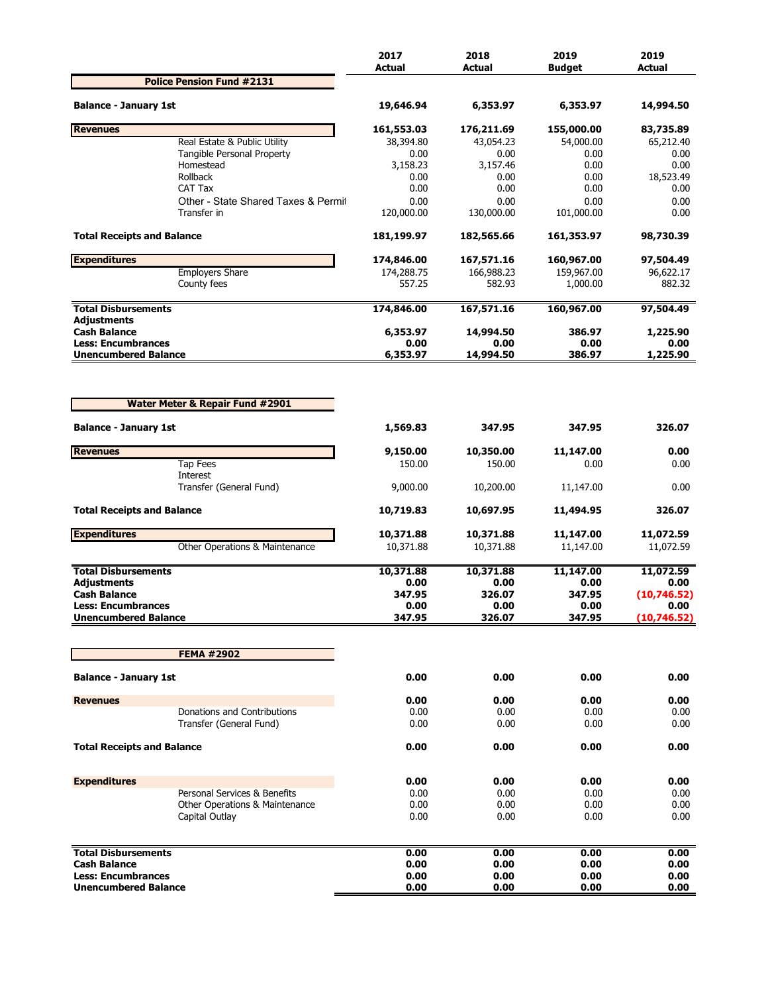|                                                                                                                                                                                                                                                                                                                                                                 |                                                                | 2017<br><b>Actual</b> | 2018<br><b>Actual</b> | 2019<br><b>Budget</b> | 2019<br><b>Actual</b> |
|-----------------------------------------------------------------------------------------------------------------------------------------------------------------------------------------------------------------------------------------------------------------------------------------------------------------------------------------------------------------|----------------------------------------------------------------|-----------------------|-----------------------|-----------------------|-----------------------|
|                                                                                                                                                                                                                                                                                                                                                                 | <b>Police Pension Fund #2131</b>                               |                       |                       |                       |                       |
|                                                                                                                                                                                                                                                                                                                                                                 |                                                                | 19,646.94             | 6,353.97              | 6,353.97              | 14,994.50             |
| <b>Revenues</b>                                                                                                                                                                                                                                                                                                                                                 |                                                                | 161,553.03            | 176,211.69            | 155,000.00            | 83,735.89             |
| <b>Balance - January 1st</b><br><b>Total Receipts and Balance</b><br>Adjustments<br><b>Unencumbered Balance</b><br><b>Balance - January 1st</b><br><b>Total Receipts and Balance</b><br><b>Cash Balance</b><br><b>Less: Encumbrances</b><br><b>Unencumbered Balance</b><br><b>Balance - January 1st</b><br><b>Revenues</b><br><b>Total Receipts and Balance</b> | Real Estate & Public Utility                                   | 38,394.80             | 43,054.23             | 54,000.00             | 65,212.40             |
|                                                                                                                                                                                                                                                                                                                                                                 | Tangible Personal Property<br>Homestead                        | 0.00<br>3,158.23      | 0.00<br>3,157.46      | 0.00<br>0.00          | 0.00<br>0.00          |
|                                                                                                                                                                                                                                                                                                                                                                 | Rollback                                                       | 0.00                  | 0.00                  | 0.00                  | 18,523.49             |
|                                                                                                                                                                                                                                                                                                                                                                 | CAT Tax                                                        | 0.00                  | 0.00                  | 0.00                  | 0.00                  |
|                                                                                                                                                                                                                                                                                                                                                                 | Other - State Shared Taxes & Permit                            | 0.00                  | 0.00                  | 0.00                  | 0.00                  |
|                                                                                                                                                                                                                                                                                                                                                                 | Transfer in                                                    | 120,000.00            | 130,000.00            | 101,000.00            | 0.00                  |
|                                                                                                                                                                                                                                                                                                                                                                 |                                                                | 181,199.97            | 182,565.66            | 161,353.97            | 98,730.39             |
| <b>Expenditures</b>                                                                                                                                                                                                                                                                                                                                             |                                                                | 174,846.00            | 167,571.16            | 160,967.00            | 97,504.49             |
|                                                                                                                                                                                                                                                                                                                                                                 | <b>Employers Share</b>                                         | 174,288.75            | 166,988.23            | 159,967.00            | 96,622.17             |
|                                                                                                                                                                                                                                                                                                                                                                 | County fees                                                    | 557.25                | 582.93                | 1,000.00              | 882.32                |
| <b>Total Disbursements</b>                                                                                                                                                                                                                                                                                                                                      |                                                                | 174,846.00            | 167,571.16            | 160,967.00            | 97,504.49             |
| <b>Cash Balance</b>                                                                                                                                                                                                                                                                                                                                             |                                                                | 6,353.97              | 14,994.50             | 386.97                | 1,225.90              |
| <b>Less: Encumbrances</b>                                                                                                                                                                                                                                                                                                                                       |                                                                | 0.00<br>6,353.97      | 0.00<br>14,994.50     | 0.00<br>386.97        | 0.00<br>1,225.90      |
|                                                                                                                                                                                                                                                                                                                                                                 | <b>Water Meter &amp; Repair Fund #2901</b>                     |                       |                       |                       |                       |
|                                                                                                                                                                                                                                                                                                                                                                 |                                                                | 1,569.83              | 347.95                | 347.95                | 326.07                |
| <b>Revenues</b>                                                                                                                                                                                                                                                                                                                                                 |                                                                | 9,150.00              | 10,350.00             | 11,147.00             | 0.00                  |
|                                                                                                                                                                                                                                                                                                                                                                 | <b>Tap Fees</b>                                                | 150.00                | 150.00                | 0.00                  | 0.00                  |
|                                                                                                                                                                                                                                                                                                                                                                 | Interest<br>Transfer (General Fund)                            | 9,000.00              | 10,200.00             | 11,147.00             | 0.00                  |
|                                                                                                                                                                                                                                                                                                                                                                 |                                                                | 10,719.83             | 10,697.95             | 11,494.95             | 326.07                |
| <b>Expenditures</b>                                                                                                                                                                                                                                                                                                                                             |                                                                | 10,371.88             | 10,371.88             | 11,147.00             | 11,072.59             |
|                                                                                                                                                                                                                                                                                                                                                                 | Other Operations & Maintenance                                 | 10,371.88             | 10,371.88             | 11,147.00             | 11,072.59             |
| <b>Total Disbursements</b>                                                                                                                                                                                                                                                                                                                                      |                                                                | 10,371.88             | 10,371.88             | 11,147.00             | 11,072.59             |
| <b>Adiustments</b>                                                                                                                                                                                                                                                                                                                                              |                                                                | 0.00                  | 0.00                  | 0.00                  | 0.00                  |
|                                                                                                                                                                                                                                                                                                                                                                 |                                                                | 347.95                | 326.07                | 347.95                | (10,746.52)           |
|                                                                                                                                                                                                                                                                                                                                                                 |                                                                | 0.00<br>347.95        | 0.00<br>326.07        | 0.00<br>347.95        | 0.00<br>(10, 746.52)  |
|                                                                                                                                                                                                                                                                                                                                                                 |                                                                |                       |                       |                       |                       |
|                                                                                                                                                                                                                                                                                                                                                                 | <b>FEMA #2902</b>                                              |                       |                       |                       |                       |
|                                                                                                                                                                                                                                                                                                                                                                 |                                                                | 0.00                  | 0.00                  | 0.00                  | 0.00                  |
|                                                                                                                                                                                                                                                                                                                                                                 |                                                                | 0.00                  | 0.00                  | 0.00                  | 0.00                  |
|                                                                                                                                                                                                                                                                                                                                                                 | Donations and Contributions                                    | 0.00                  | 0.00                  | 0.00                  | 0.00                  |
|                                                                                                                                                                                                                                                                                                                                                                 | Transfer (General Fund)                                        | 0.00                  | 0.00                  | 0.00                  | 0.00                  |
|                                                                                                                                                                                                                                                                                                                                                                 |                                                                | 0.00                  | 0.00                  | 0.00                  | 0.00                  |
|                                                                                                                                                                                                                                                                                                                                                                 |                                                                |                       |                       |                       |                       |
| <b>Expenditures</b>                                                                                                                                                                                                                                                                                                                                             |                                                                | 0.00                  | 0.00                  | 0.00                  | 0.00                  |
|                                                                                                                                                                                                                                                                                                                                                                 | Personal Services & Benefits<br>Other Operations & Maintenance | 0.00<br>0.00          | 0.00<br>0.00          | 0.00<br>0.00          | 0.00<br>0.00          |
|                                                                                                                                                                                                                                                                                                                                                                 | Capital Outlay                                                 | 0.00                  | 0.00                  | 0.00                  | 0.00                  |
| <b>Total Disbursements</b>                                                                                                                                                                                                                                                                                                                                      |                                                                | 0.00                  | 0.00                  | 0.00                  | 0.00                  |
| <b>Cash Balance</b>                                                                                                                                                                                                                                                                                                                                             |                                                                | 0.00                  | 0.00                  | 0.00                  | 0.00                  |
| <b>Less: Encumbrances</b>                                                                                                                                                                                                                                                                                                                                       |                                                                | 0.00                  | 0.00                  | 0.00                  | 0.00                  |
| <b>Unencumbered Balance</b>                                                                                                                                                                                                                                                                                                                                     |                                                                | 0.00                  | 0.00                  | 0.00                  | 0.00                  |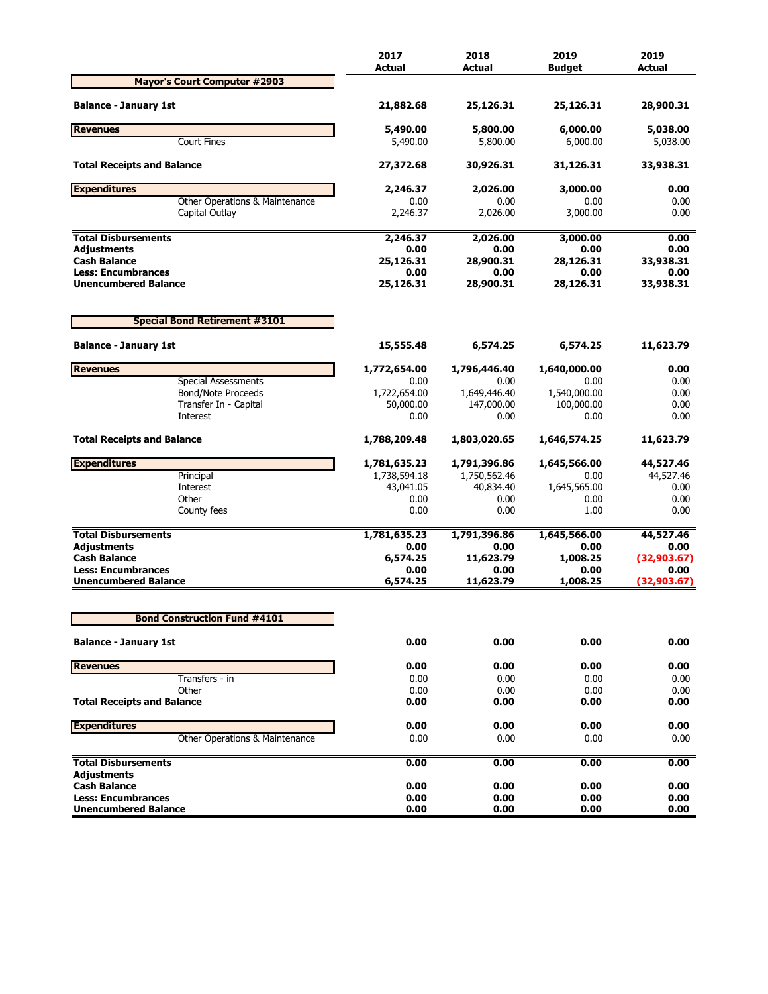|                                                          | 2017<br><b>Actual</b> | 2018<br>Actual    | 2019<br><b>Budaet</b> | 2019<br><b>Actual</b> |
|----------------------------------------------------------|-----------------------|-------------------|-----------------------|-----------------------|
| <b>Mayor's Court Computer #2903</b>                      |                       |                   |                       |                       |
| <b>Balance - January 1st</b>                             | 21,882.68             | 25,126.31         | 25,126.31             | 28,900.31             |
| <b>Revenues</b>                                          | 5,490.00              | 5,800.00          | 6,000.00              | 5,038.00              |
| <b>Court Fines</b>                                       | 5,490.00              | 5,800.00          | 6,000.00              | 5,038.00              |
| <b>Total Receipts and Balance</b>                        | 27,372.68             | 30,926.31         | 31,126.31             | 33,938.31             |
| <b>Expenditures</b>                                      | 2,246.37              | 2,026.00          | 3,000.00              | 0.00                  |
| Other Operations & Maintenance                           | 0.00                  | 0.00              | 0.00                  | 0.00                  |
| Capital Outlay                                           | 2,246.37              | 2,026.00          | 3,000.00              | 0.00                  |
| <b>Total Disbursements</b>                               | 2,246.37              | 2,026.00          | 3,000.00              | 0.00                  |
| <b>Adjustments</b>                                       | 0.00                  | 0.00              | 0.00                  | 0.00                  |
| <b>Cash Balance</b>                                      | 25,126.31             | 28,900.31         | 28,126.31             | 33,938.31             |
| <b>Less: Encumbrances</b><br><b>Unencumbered Balance</b> | 0.00<br>25,126.31     | 0.00<br>28,900.31 | 0.00<br>28,126.31     | 0.00<br>33,938.31     |
|                                                          |                       |                   |                       |                       |
| <b>Special Bond Retirement #3101</b>                     |                       |                   |                       |                       |
| <b>Balance - January 1st</b>                             | 15,555.48             | 6,574.25          | 6,574.25              | 11,623.79             |
| <b>Revenues</b>                                          | 1,772,654.00          | 1,796,446.40      | 1,640,000.00          | 0.00                  |
| <b>Special Assessments</b>                               | 0.00                  | 0.00              | 0.00                  | 0.00                  |
| <b>Bond/Note Proceeds</b>                                | 1,722,654.00          | 1,649,446.40      | 1,540,000.00          | 0.00                  |
| Transfer In - Capital                                    | 50,000.00             | 147,000.00        | 100,000.00            | 0.00                  |
| <b>Interest</b>                                          | 0.00                  | 0.00              | 0.00                  | 0.00                  |
| <b>Total Receipts and Balance</b>                        | 1,788,209.48          | 1,803,020.65      | 1,646,574.25          | 11,623.79             |
| <b>Expenditures</b>                                      | 1,781,635.23          | 1,791,396.86      | 1,645,566.00          | 44,527.46             |
| Principal                                                | 1,738,594.18          | 1,750,562.46      | 0.00                  | 44,527.46             |
| Interest                                                 | 43,041.05             | 40,834.40         | 1,645,565.00          | 0.00                  |
| Other                                                    | 0.00                  | 0.00              | 0.00                  | 0.00                  |
| County fees                                              | 0.00                  | 0.00              | 1.00                  | 0.00                  |
| <b>Total Disbursements</b>                               | 1,781,635.23          | 1,791,396.86      | 1,645,566.00          | 44,527.46             |
| <b>Adjustments</b>                                       | 0.00                  | 0.00              | 0.00                  | 0.00                  |
| <b>Cash Balance</b>                                      | 6,574.25              | 11,623.79         | 1,008.25              | (32,903.67)           |
| <b>Less: Encumbrances</b>                                | 0.00                  | 0.00              | 0.00                  | 0.00                  |
| <b>Unencumbered Balance</b>                              | 6,574.25              | 11,623.79         | 1,008.25              | (32,903.67)           |
| <b>Bond Construction Fund #4101</b>                      |                       |                   |                       |                       |
|                                                          |                       |                   |                       |                       |
| <b>Balance - January 1st</b>                             | 0.00                  | 0.00              | 0.00                  | 0.00                  |
| <b>Revenues</b>                                          | 0.00                  | 0.00              | 0.00                  | 0.00                  |
| Transfers - in                                           | 0.00                  | 0.00              | 0.00                  | 0.00                  |
| Other                                                    | 0.00                  | 0.00              | 0.00                  | 0.00                  |
| <b>Total Receipts and Balance</b>                        | 0.00                  | 0.00              | 0.00                  | 0.00                  |
| <b>Expenditures</b>                                      | 0.00                  | 0.00              | 0.00                  | 0.00                  |
| Other Operations & Maintenance                           | 0.00                  | 0.00              | 0.00                  | 0.00                  |
| <b>Total Disbursements</b>                               | 0.00                  | 0.00              | 0.00                  | 0.00                  |
| <b>Adjustments</b>                                       |                       |                   |                       |                       |
| <b>Cash Balance</b>                                      | 0.00                  | 0.00              | 0.00                  | 0.00                  |
| <b>Less: Encumbrances</b><br><b>Unencumbered Balance</b> | 0.00<br>0.00          | 0.00<br>0.00      | 0.00<br>0.00          | 0.00<br>0.00          |
|                                                          |                       |                   |                       |                       |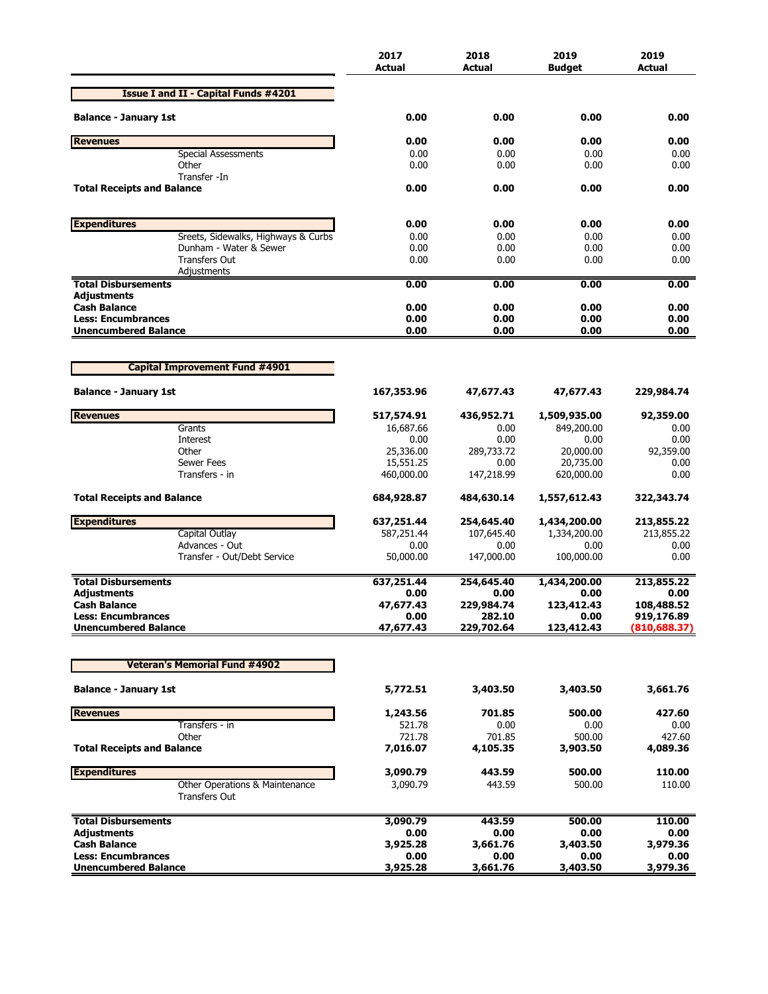|                                                        | 2017<br><b>Actual</b>  | 2018<br><b>Actual</b> | 2019<br><b>Budget</b>  | 2019<br>Actual           |
|--------------------------------------------------------|------------------------|-----------------------|------------------------|--------------------------|
| <b>Issue I and II - Capital Funds #4201</b>            |                        |                       |                        |                          |
| <b>Balance - January 1st</b>                           | 0.00                   | 0.00                  | 0.00                   | 0.00                     |
| <b>Revenues</b>                                        | 0.00                   | 0.00                  | 0.00                   | 0.00                     |
| <b>Special Assessments</b>                             | 0.00                   | 0.00                  | 0.00                   | 0.00                     |
| Other                                                  | 0.00                   | 0.00                  | 0.00                   | 0.00                     |
| Transfer -In<br><b>Total Receipts and Balance</b>      | 0.00                   | 0.00                  | 0.00                   | 0.00                     |
| <b>Expenditures</b>                                    | 0.00                   | 0.00                  | 0.00                   | 0.00                     |
| Sreets, Sidewalks, Highways & Curbs                    | 0.00                   | 0.00                  | 0.00                   | 0.00                     |
| Dunham - Water & Sewer                                 | 0.00                   | 0.00                  | 0.00                   | 0.00                     |
| <b>Transfers Out</b>                                   | 0.00                   | 0.00                  | 0.00                   | 0.00                     |
| Adjustments<br><b>Total Disbursements</b>              | 0.00                   | 0.00                  | 0.00                   | 0.00                     |
| Adjustments                                            |                        |                       |                        |                          |
| <b>Cash Balance</b>                                    | 0.00                   | 0.00                  | 0.00                   | 0.00                     |
| <b>Less: Encumbrances</b>                              | 0.00                   | 0.00                  | 0.00                   | 0.00                     |
| <b>Unencumbered Balance</b>                            | 0.00                   | 0.00                  | 0.00                   | 0.00                     |
|                                                        |                        |                       |                        |                          |
| <b>Capital Improvement Fund #4901</b>                  |                        |                       |                        |                          |
| <b>Balance - January 1st</b>                           | 167,353.96             | 47,677.43             | 47,677.43              | 229,984.74               |
| <b>Revenues</b>                                        | 517,574.91             | 436,952.71            | 1,509,935.00           | 92,359.00                |
| Grants                                                 | 16,687.66              | 0.00                  | 849,200.00             | 0.00                     |
| Interest                                               | 0.00                   | 0.00                  | 0.00                   | 0.00                     |
| Other<br><b>Sewer Fees</b>                             | 25,336.00<br>15,551.25 | 289,733.72<br>0.00    | 20,000.00<br>20,735.00 | 92,359.00<br>0.00        |
| Transfers - in                                         | 460,000.00             | 147,218.99            | 620,000.00             | 0.00                     |
| <b>Total Receipts and Balance</b>                      | 684,928.87             | 484,630.14            | 1,557,612.43           | 322,343.74               |
| <b>Expenditures</b>                                    | 637,251.44             | 254,645.40            | 1,434,200.00           | 213,855.22               |
| Capital Outlay                                         | 587,251.44             | 107,645.40            | 1,334,200.00           | 213,855.22               |
| Advances - Out                                         | 0.00                   | 0.00                  | 0.00                   | 0.00                     |
| Transfer - Out/Debt Service                            | 50,000.00              | 147,000.00            | 100,000.00             | 0.00                     |
| <b>Total Disbursements</b>                             | 637,251.44             | 254,645.40            | 1,434,200.00           | 213,855.22               |
| Adjustments                                            | 0.00                   | 0.00                  | 0.00                   | 0.00                     |
| <b>Cash Balance</b><br><b>Less: Encumbrances</b>       | 47,677.43<br>0.00      | 229,984.74<br>282.10  | 123,412.43<br>0.00     | 108,488.52<br>919,176.89 |
| <b>Unencumbered Balance</b>                            | 47,677.43              | 229,702.64            | 123,412.43             | (810, 688.37)            |
|                                                        |                        |                       |                        |                          |
| <b>Veteran's Memorial Fund #4902</b>                   |                        |                       |                        |                          |
| <b>Balance - January 1st</b>                           | 5,772.51               | 3,403.50              | 3,403.50               | 3,661.76                 |
| <b>Revenues</b>                                        | 1,243.56               | 701.85                | 500.00                 | 427.60                   |
| Transfers - in                                         | 521.78                 | 0.00                  | 0.00                   | 0.00                     |
| Other                                                  | 721.78                 | 701.85                | 500.00                 | 427.60                   |
| <b>Total Receipts and Balance</b>                      | 7,016.07               | 4,105.35              | 3,903.50               | 4,089.36                 |
| <b>Expenditures</b>                                    | 3,090.79               | 443.59                | 500.00                 | 110.00                   |
| Other Operations & Maintenance<br><b>Transfers Out</b> | 3,090.79               | 443.59                | 500.00                 | 110.00                   |
| <b>Total Disbursements</b>                             | 3,090.79               | 443.59                | 500.00                 | 110.00                   |
| Adjustments                                            | 0.00                   | 0.00                  | 0.00                   | 0.00                     |
| <b>Cash Balance</b>                                    | 3,925.28               | 3,661.76              | 3,403.50               | 3,979.36                 |
| <b>Less: Encumbrances</b>                              | 0.00                   | 0.00                  | 0.00                   | 0.00                     |
| <b>Unencumbered Balance</b>                            | 3,925.28               | 3,661.76              | 3,403.50               | 3,979.36                 |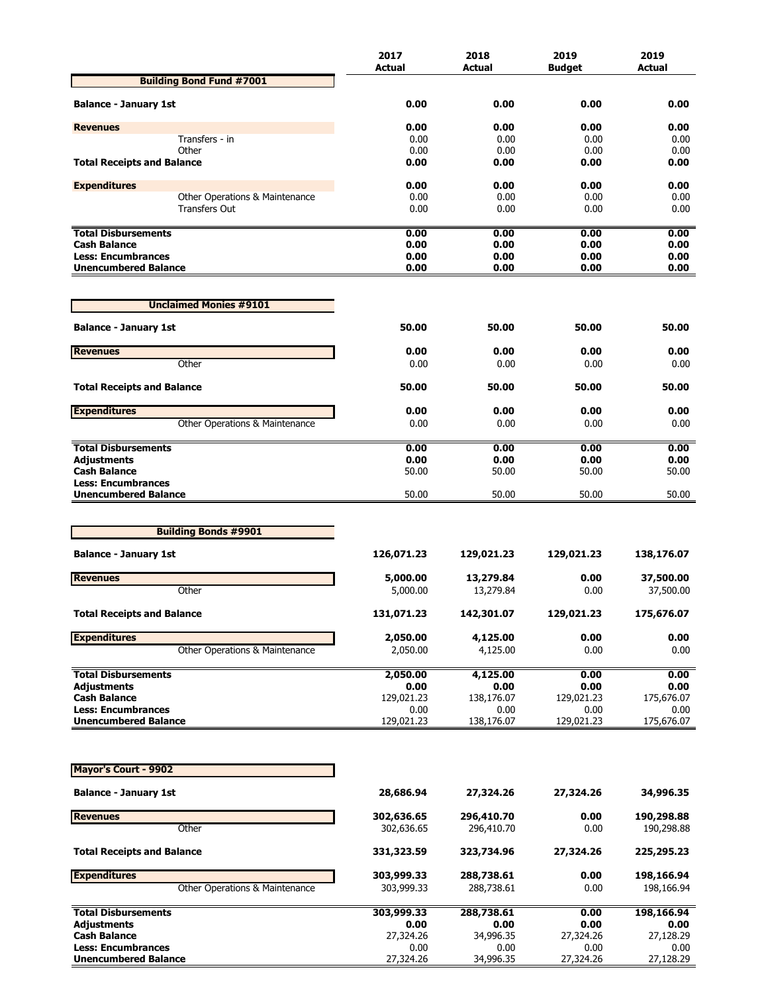|                                                          | 2017               | 2018               | 2019               | 2019               |
|----------------------------------------------------------|--------------------|--------------------|--------------------|--------------------|
| <b>Building Bond Fund #7001</b>                          | <b>Actual</b>      | Actual             | <b>Budget</b>      | Actual             |
|                                                          |                    |                    |                    |                    |
| <b>Balance - January 1st</b>                             | 0.00               | 0.00               | 0.00               | 0.00               |
| <b>Revenues</b>                                          | 0.00               | 0.00               | 0.00               | 0.00               |
| Transfers - in                                           | 0.00               | 0.00               | 0.00               | 0.00               |
| Other                                                    | 0.00               | 0.00               | 0.00               | 0.00               |
| <b>Total Receipts and Balance</b>                        | 0.00               | 0.00               | 0.00               | 0.00               |
| <b>Expenditures</b>                                      | 0.00               | 0.00               | 0.00               | 0.00               |
| Other Operations & Maintenance                           | 0.00               | 0.00               | 0.00               | 0.00               |
| <b>Transfers Out</b>                                     | 0.00               | 0.00               | 0.00               | 0.00               |
| <b>Total Disbursements</b>                               | 0.00               | 0.00               | 0.00               | 0.00               |
| <b>Cash Balance</b>                                      | 0.00               | 0.00               | 0.00               | 0.00               |
| <b>Less: Encumbrances</b><br><b>Unencumbered Balance</b> | 0.00<br>0.00       | 0.00<br>0.00       | 0.00<br>0.00       | 0.00<br>0.00       |
|                                                          |                    |                    |                    |                    |
| <b>Unclaimed Monies #9101</b>                            |                    |                    |                    |                    |
|                                                          |                    |                    |                    |                    |
| <b>Balance - January 1st</b>                             | 50.00              | 50.00              | 50.00              | 50.00              |
| <b>Revenues</b>                                          | 0.00               | 0.00               | 0.00               | 0.00               |
| Other                                                    | 0.00               | 0.00               | 0.00               | 0.00               |
| <b>Total Receipts and Balance</b>                        | 50.00              | 50.00              | 50.00              | 50.00              |
| <b>Expenditures</b>                                      | 0.00               | 0.00               | 0.00               | 0.00               |
| Other Operations & Maintenance                           | 0.00               | 0.00               | 0.00               | 0.00               |
|                                                          |                    |                    |                    |                    |
| <b>Total Disbursements</b><br><b>Adjustments</b>         | 0.00<br>0.00       | 0.00<br>0.00       | 0.00<br>0.00       | 0.00<br>0.00       |
| <b>Cash Balance</b>                                      | 50.00              | 50.00              | 50.00              | 50.00              |
| <b>Less: Encumbrances</b>                                |                    |                    |                    |                    |
| <b>Unencumbered Balance</b>                              | 50.00              | 50.00              | 50.00              | 50.00              |
|                                                          |                    |                    |                    |                    |
| <b>Building Bonds #9901</b>                              |                    |                    |                    |                    |
| <b>Balance - January 1st</b>                             | 126,071.23         | 129,021.23         | 129,021.23         | 138,176.07         |
| <b>Revenues</b>                                          | 5,000.00           | 13,279.84          | 0.00               | 37,500.00          |
| Other                                                    | 5,000.00           | 13,279.84          | 0.00               | 37,500.00          |
|                                                          |                    |                    |                    |                    |
| <b>Total Receipts and Balance</b>                        | 131,071.23         | 142,301.07         | 129,021.23         | 175,676.07         |
| <b>Expenditures</b>                                      | 2,050.00           | 4,125.00           | 0.00               | 0.00               |
| Other Operations & Maintenance                           | 2,050.00           | 4,125.00           | 0.00               | 0.00               |
| <b>Total Disbursements</b>                               | 2,050.00           | 4,125.00           | 0.00               | 0.00               |
| <b>Adjustments</b>                                       | 0.00               | 0.00               | 0.00               | 0.00               |
| <b>Cash Balance</b>                                      | 129,021.23         | 138,176.07         | 129,021.23         | 175,676.07         |
| <b>Less: Encumbrances</b><br><b>Unencumbered Balance</b> | 0.00<br>129,021.23 | 0.00<br>138,176.07 | 0.00<br>129,021.23 | 0.00<br>175,676.07 |
|                                                          |                    |                    |                    |                    |
|                                                          |                    |                    |                    |                    |
| <b>Mayor's Court - 9902</b>                              |                    |                    |                    |                    |
| <b>Balance - January 1st</b>                             | 28,686.94          | 27,324.26          | 27,324.26          | 34,996.35          |
| <b>Revenues</b>                                          | 302,636.65         | 296,410.70         | 0.00               | 190,298.88         |
| Other                                                    | 302,636.65         | 296,410.70         | 0.00               | 190,298.88         |
| <b>Total Receipts and Balance</b>                        | 331,323.59         | 323,734.96         | 27,324.26          | 225,295.23         |
| <b>Expenditures</b>                                      | 303,999.33         | 288,738.61         | 0.00               | 198,166.94         |
| Other Operations & Maintenance                           | 303,999.33         | 288,738.61         | 0.00               | 198,166.94         |
| <b>Total Disbursements</b>                               | 303,999.33         | 288,738.61         | 0.00               | 198,166.94         |
| <b>Adjustments</b>                                       | 0.00               | 0.00               | 0.00               | 0.00               |
| <b>Cash Balance</b><br><b>Less: Encumbrances</b>         | 27,324.26<br>0.00  | 34,996.35<br>0.00  | 27,324.26<br>0.00  | 27,128.29<br>0.00  |
| <b>Unencumbered Balance</b>                              | 27,324.26          | 34,996.35          | 27,324.26          | 27,128.29          |